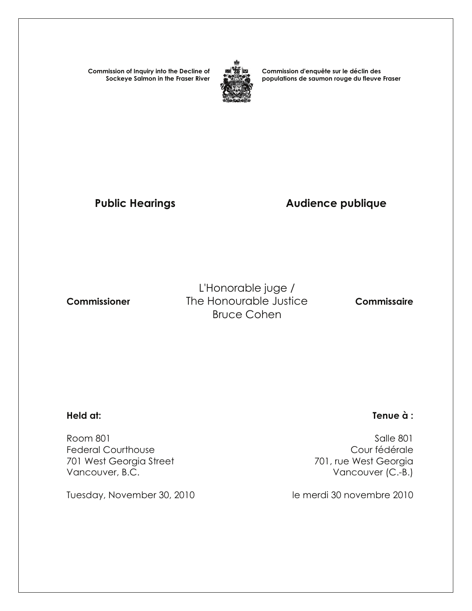**Commission of Inquiry into the Decline of Sockeye Salmon in the Fraser River**



**Commission d'enquête sur le déclin des populations de saumon rouge du fleuve Fraser**

# Public Hearings **Audience publique**

L'Honorable juge / **Commissioner** The Honourable Justice **Commissaire** Bruce Cohen

Room 801 Salle 801 Federal Courthouse **Courthouse** Cour fédérale 701 West Georgia Street 2017 201, rue West Georgia Vancouver, B.C. **Vancouver (C.-B.)** 

Tuesday, November 30, 2010 le merdi 30 novembre 2010

#### **Held at: Tenue à :**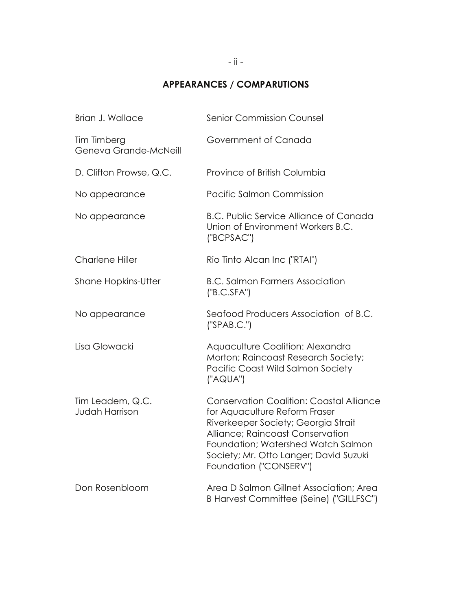## **APPEARANCES / COMPARUTIONS**

| Brian J. Wallace                          | <b>Senior Commission Counsel</b>                                                                                                                                                                                                                                      |
|-------------------------------------------|-----------------------------------------------------------------------------------------------------------------------------------------------------------------------------------------------------------------------------------------------------------------------|
| Tim Timberg<br>Geneva Grande-McNeill      | Government of Canada                                                                                                                                                                                                                                                  |
| D. Clifton Prowse, Q.C.                   | Province of British Columbia                                                                                                                                                                                                                                          |
| No appearance                             | Pacific Salmon Commission                                                                                                                                                                                                                                             |
| No appearance                             | <b>B.C. Public Service Alliance of Canada</b><br>Union of Environment Workers B.C.<br>("BCPSAC")                                                                                                                                                                      |
| <b>Charlene Hiller</b>                    | Rio Tinto Alcan Inc ("RTAI")                                                                                                                                                                                                                                          |
| <b>Shane Hopkins-Utter</b>                | <b>B.C. Salmon Farmers Association</b><br>('B.C.SFA")                                                                                                                                                                                                                 |
| No appearance                             | Seafood Producers Association of B.C.<br>('SPAB.C.'')                                                                                                                                                                                                                 |
| Lisa Glowacki                             | Aquaculture Coalition: Alexandra<br>Morton; Raincoast Research Society;<br>Pacific Coast Wild Salmon Society<br>("AQUA")                                                                                                                                              |
| Tim Leadem, Q.C.<br><b>Judah Harrison</b> | <b>Conservation Coalition: Coastal Alliance</b><br>for Aquaculture Reform Fraser<br>Riverkeeper Society; Georgia Strait<br>Alliance; Raincoast Conservation<br>Foundation; Watershed Watch Salmon<br>Society; Mr. Otto Langer; David Suzuki<br>Foundation ("CONSERV") |
| Don Rosenbloom                            | Area D Salmon Gillnet Association; Area<br>B Harvest Committee (Seine) ("GILLFSC")                                                                                                                                                                                    |
|                                           |                                                                                                                                                                                                                                                                       |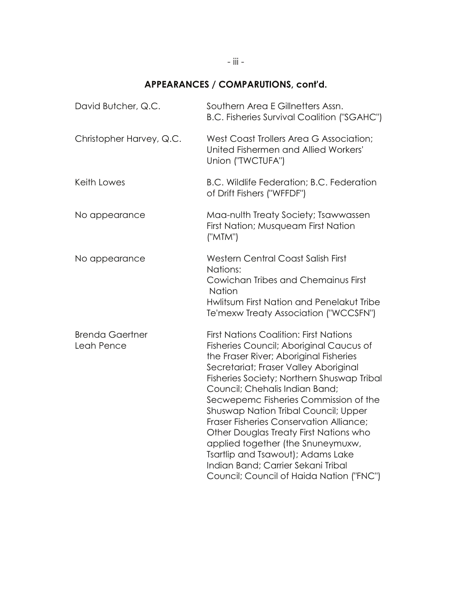## **APPEARANCES / COMPARUTIONS, cont'd.**

| David Butcher, Q.C.                  | Southern Area E Gillnetters Assn.<br><b>B.C. Fisheries Survival Coalition ("SGAHC")</b>                                                                                                                                                                                                                                                                                                                                                                                                                                                                                                              |
|--------------------------------------|------------------------------------------------------------------------------------------------------------------------------------------------------------------------------------------------------------------------------------------------------------------------------------------------------------------------------------------------------------------------------------------------------------------------------------------------------------------------------------------------------------------------------------------------------------------------------------------------------|
| Christopher Harvey, Q.C.             | West Coast Trollers Area G Association;<br>United Fishermen and Allied Workers'<br>Union ("TWCTUFA")                                                                                                                                                                                                                                                                                                                                                                                                                                                                                                 |
| Keith Lowes                          | B.C. Wildlife Federation; B.C. Federation<br>of Drift Fishers ("WFFDF")                                                                                                                                                                                                                                                                                                                                                                                                                                                                                                                              |
| No appearance                        | Maa-nulth Treaty Society; Tsawwassen<br>First Nation; Musqueam First Nation<br>("MTM")                                                                                                                                                                                                                                                                                                                                                                                                                                                                                                               |
| No appearance                        | <b>Western Central Coast Salish First</b><br>Nations:<br>Cowichan Tribes and Chemainus First<br><b>Nation</b><br>Hwlitsum First Nation and Penelakut Tribe<br>Te'mexw Treaty Association ("WCCSFN")                                                                                                                                                                                                                                                                                                                                                                                                  |
| <b>Brenda Gaertner</b><br>Leah Pence | <b>First Nations Coalition: First Nations</b><br>Fisheries Council; Aboriginal Caucus of<br>the Fraser River; Aboriginal Fisheries<br>Secretariat; Fraser Valley Aboriginal<br>Fisheries Society; Northern Shuswap Tribal<br>Council; Chehalis Indian Band;<br>Secwepemc Fisheries Commission of the<br>Shuswap Nation Tribal Council; Upper<br><b>Fraser Fisheries Conservation Alliance;</b><br>Other Douglas Treaty First Nations who<br>applied together (the Snuneymuxw,<br>Tsartlip and Tsawout); Adams Lake<br>Indian Band; Carrier Sekani Tribal<br>Council; Council of Haida Nation ("FNC") |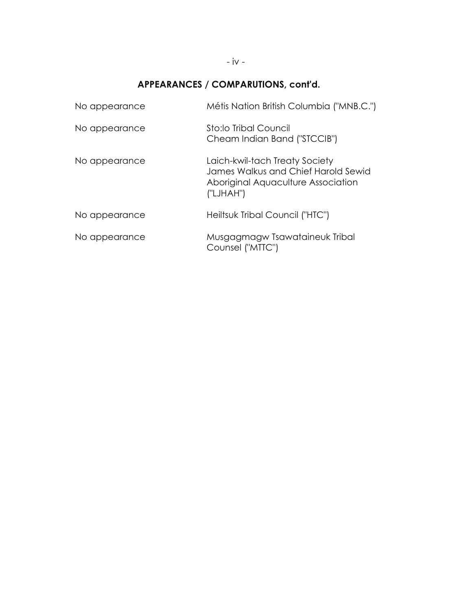## **APPEARANCES / COMPARUTIONS, cont'd.**

| No appearance | Métis Nation British Columbia ("MNB.C.")                                                                                 |
|---------------|--------------------------------------------------------------------------------------------------------------------------|
| No appearance | Sto:lo Tribal Council<br>Cheam Indian Band ("STCCIB")                                                                    |
| No appearance | Laich-kwil-tach Treaty Society<br>James Walkus and Chief Harold Sewid<br>Aboriginal Aquaculture Association<br>("LJHAH") |
| No appearance | Heiltsuk Tribal Council ("HTC")                                                                                          |
| No appearance | Musgagmagw Tsawataineuk Tribal<br>Counsel ("MTTC")                                                                       |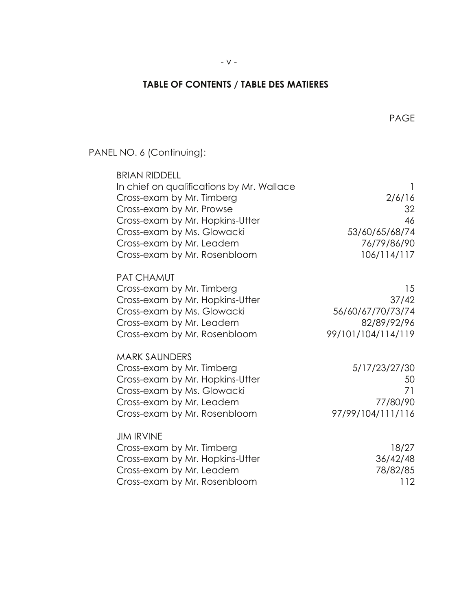#### **TABLE OF CONTENTS / TABLE DES MATIERES**

- v -

PANEL NO. 6 (Continuing):

| <b>BRIAN RIDDELL</b>                      |                    |
|-------------------------------------------|--------------------|
| In chief on qualifications by Mr. Wallace |                    |
| Cross-exam by Mr. Timberg                 | 2/6/16             |
| Cross-exam by Mr. Prowse                  | 32                 |
| Cross-exam by Mr. Hopkins-Utter           | 46                 |
| Cross-exam by Ms. Glowacki                | 53/60/65/68/74     |
| Cross-exam by Mr. Leadem                  | 76/79/86/90        |
| Cross-exam by Mr. Rosenbloom              | 106/114/117        |
| <b>PAT CHAMUT</b>                         |                    |
| Cross-exam by Mr. Timberg                 | 15                 |
| Cross-exam by Mr. Hopkins-Utter           | 37/42              |
| Cross-exam by Ms. Glowacki                | 56/60/67/70/73/74  |
| Cross-exam by Mr. Leadem                  | 82/89/92/96        |
| Cross-exam by Mr. Rosenbloom              | 99/101/104/114/119 |
| <b>MARK SAUNDERS</b>                      |                    |
| Cross-exam by Mr. Timberg                 | 5/17/23/27/30      |
| Cross-exam by Mr. Hopkins-Utter           | 50                 |
| Cross-exam by Ms. Glowacki                | 71                 |
| Cross-exam by Mr. Leadem                  | 77/80/90           |
| Cross-exam by Mr. Rosenbloom              | 97/99/104/111/116  |
| <b>JIM IRVINE</b>                         |                    |
| Cross-exam by Mr. Timberg                 | 18/27              |
| Cross-exam by Mr. Hopkins-Utter           | 36/42/48           |
| Cross-exam by Mr. Leadem                  | 78/82/85           |
| Cross-exam by Mr. Rosenbloom              | 112                |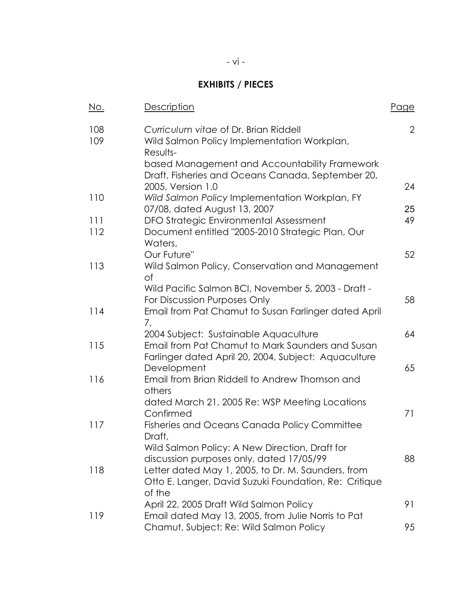#### **EXHIBITS / PIECES**

| No.        | Description                                                                                                             | Page           |
|------------|-------------------------------------------------------------------------------------------------------------------------|----------------|
| 108<br>109 | Curriculum vitae of Dr. Brian Riddell<br>Wild Salmon Policy Implementation Workplan,<br>Results-                        | $\overline{2}$ |
|            | based Management and Accountability Framework<br>Draft, Fisheries and Oceans Canada, September 20,                      |                |
| 110        | 2005, Version 1.0<br>Wild Salmon Policy Implementation Workplan, FY                                                     | 24             |
|            | 07/08, dated August 13, 2007                                                                                            | 25             |
| 111<br>112 | DFO Strategic Environmental Assessment<br>Document entitled "2005-2010 Strategic Plan, Our<br>Waters,                   | 49             |
| 113        | Our Future"<br>Wild Salmon Policy, Conservation and Management<br>Οf                                                    | 52             |
|            | Wild Pacific Salmon BCI, November 5, 2003 - Draft -<br>For Discussion Purposes Only                                     | 58             |
| 114        | Email from Pat Chamut to Susan Farlinger dated April<br>7,                                                              |                |
|            | 2004 Subject: Sustainable Aquaculture                                                                                   | 64             |
| 115        | Email from Pat Chamut to Mark Saunders and Susan<br>Farlinger dated April 20, 2004, Subject: Aquaculture<br>Development | 65             |
| 116        | Email from Brian Riddell to Andrew Thomson and<br>others                                                                |                |
|            | dated March 21, 2005 Re: WSP Meeting Locations<br>Confirmed                                                             | 71             |
| 117        | <b>Fisheries and Oceans Canada Policy Committee</b><br>Draft,                                                           |                |
|            | Wild Salmon Policy: A New Direction, Draft for<br>discussion purposes only, dated 17/05/99                              | 88             |
| 118        | Letter dated May 1, 2005, to Dr. M. Saunders, from<br>Otto E. Langer, David Suzuki Foundation, Re: Critique             |                |
|            | of the<br>April 22, 2005 Draft Wild Salmon Policy                                                                       | 91             |
| 119        | Email dated May 13, 2005, from Julie Norris to Pat<br>Chamut, Subject: Re: Wild Salmon Policy                           | 95             |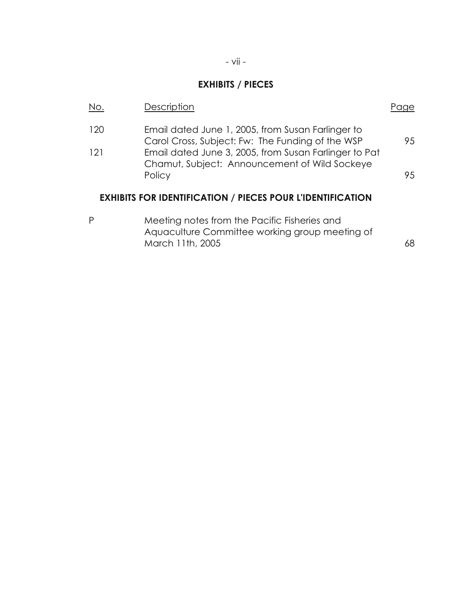## **EXHIBITS / PIECES**

| No.        | Description                                                                                                                                                    |    |
|------------|----------------------------------------------------------------------------------------------------------------------------------------------------------------|----|
| 120<br>121 | Email dated June 1, 2005, from Susan Farlinger to<br>Carol Cross, Subject: Fw: The Funding of the WSP<br>Email dated June 3, 2005, from Susan Farlinger to Pat | 95 |
|            | Chamut, Subject: Announcement of Wild Sockeye<br>Policy                                                                                                        | 95 |
|            | <b>EXHIBITS FOR IDENTIFICATION / PIECES POUR L'IDENTIFICATION</b>                                                                                              |    |
| P          | Meeting notes from the Pacific Fisheries and<br>Aquaculture Committee working group meeting of<br>March 11th, 2005                                             | 68 |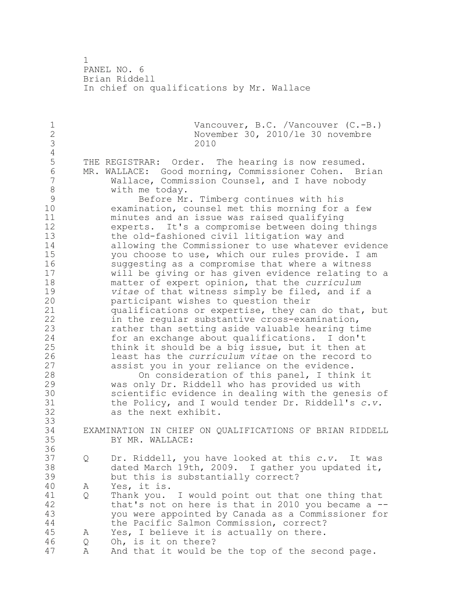PANEL NO. 6 Brian Riddell In chief on qualifications by Mr. Wallace 1 Vancouver, B.C. /Vancouver (C.-B.)<br>2 November 30, 2010/1e 30 novembre November 30, 2010/le 30 novembre 2010 4<br>5 THE REGISTRAR: Order. The hearing is now resumed. 6 MR. WALLACE: Good morning, Commissioner Cohen. Brian<br>7 Wallace, Commission Counsel, and I have nobody Wallace, Commission Counsel, and I have nobody 8 with me today.<br>9 Before Mr 9 Before Mr. Timberg continues with his<br>10 examination, counsel met this morning for examination, counsel met this morning for a few minutes and an issue was raised qualifying experts. It's a compromise between doing things the old-fashioned civil litigation way and allowing the Commissioner to use whatever evidence 15 you choose to use, which our rules provide. I am<br>16 suggesting as a compromise that where a witness suggesting as a compromise that where a witness will be giving or has given evidence relating to a matter of expert opinion, that the *curriculum vitae* of that witness simply be filed, and if a participant wishes to question their qualifications or expertise, they can do that, but in the regular substantive cross-examination, rather than setting aside valuable hearing time for an exchange about qualifications. I don't think it should be a big issue, but it then at least has the *curriculum vitae* on the record to 27 assist you in your reliance on the evidence.<br>28 0n consideration of this panel. I think On consideration of this panel, I think it was only Dr. Riddell who has provided us with 30 scientific evidence in dealing with the genesis of<br>31 the Policy, and I would tender Dr. Riddell's c.v. the Policy, and I would tender Dr. Riddell's *c.v.* as the next exhibit. EXAMINATION IN CHIEF ON QUALIFICATIONS OF BRIAN RIDDELL BY MR. WALLACE: Q Dr. Riddell, you have looked at this *c.v.* It was dated March 19th, 2009. I gather you updated it, but this is substantially correct? A Yes, it is. 41 Q Thank you. I would point out that one thing that<br>42 that's not on here is that in 2010 you became a that's not on here is that in 2010 you became a  $-$ - you were appointed by Canada as a Commissioner for the Pacific Salmon Commission, correct? A Yes, I believe it is actually on there. Q Oh, is it on there? A And that it would be the top of the second page.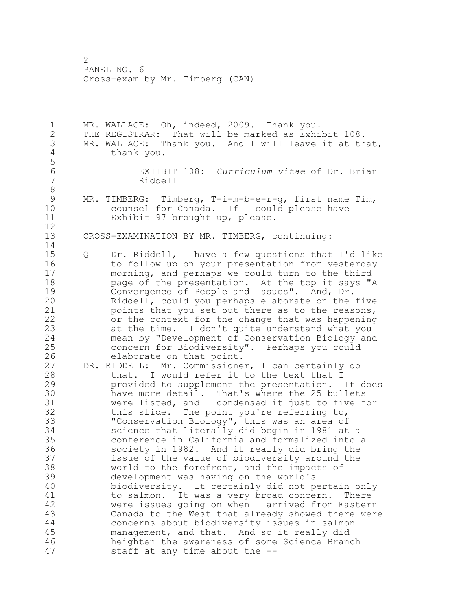MR. WALLACE: Oh, indeed, 2009. Thank you. THE REGISTRAR: That will be marked as Exhibit 108. 3 MR. WALLACE: Thank you. And I will leave it at that,<br>4 thank you. thank you. EXHIBIT 108: *Curriculum vitae* of Dr. Brian Riddell 9 MR. TIMBERG: Timberg, T-i-m-b-e-r-g, first name Tim,<br>10 counsel for Canada. If I could please have counsel for Canada. If I could please have Exhibit 97 brought up, please. CROSS-EXAMINATION BY MR. TIMBERG, continuing: Q Dr. Riddell, I have a few questions that I'd like to follow up on your presentation from yesterday morning, and perhaps we could turn to the third **page of the presentation.** At the top it says "A 19 Convergence of People and Issues". And, Dr.<br>20 Riddell, could you perhaps elaborate on the Riddell, could you perhaps elaborate on the five points that you set out there as to the reasons, or the context for the change that was happening at the time. I don't quite understand what you mean by "Development of Conservation Biology and concern for Biodiversity". Perhaps you could 26 elaborate on that point.<br>27 DR. RIDDELL: Mr. Commissione DR. RIDDELL: Mr. Commissioner, I can certainly do that. I would refer it to the text that I provided to supplement the presentation. It does 30 have more detail. That's where the 25 bullets<br>31 were listed, and I condensed it just to five f were listed, and I condensed it just to five for this slide. The point you're referring to, "Conservation Biology", this was an area of science that literally did begin in 1981 at a conference in California and formalized into a society in 1982. And it really did bring the issue of the value of biodiversity around the world to the forefront, and the impacts of development was having on the world's biodiversity. It certainly did not pertain only 41 to salmon. It was a very broad concern. There<br>42 were issues going on when I arrived from Eastern were issues going on when I arrived from Eastern Canada to the West that already showed there were concerns about biodiversity issues in salmon management, and that. And so it really did heighten the awareness of some Science Branch staff at any time about the --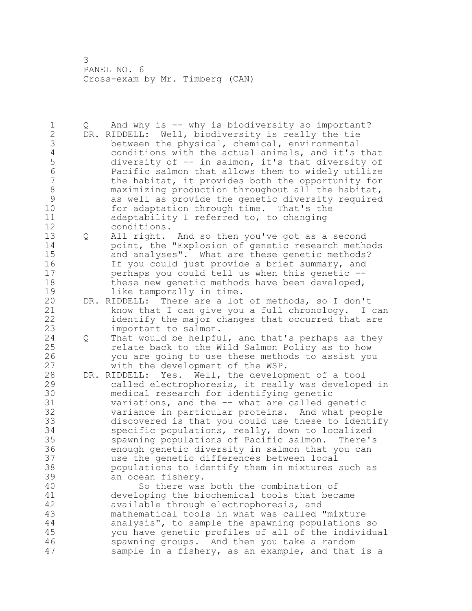Q And why is -- why is biodiversity so important? DR. RIDDELL: Well, biodiversity is really the tie 3 between the physical, chemical, environmental<br>4 conditions with the actual animals, and it's 4 conditions with the actual animals, and it's that<br>5 diversity of -- in salmon, it's that diversity of 5 diversity of -- in salmon, it's that diversity of<br>6 Racific salmon that allows them to widely utilize Pacific salmon that allows them to widely utilize the habitat, it provides both the opportunity for 8 maximizing production throughout all the habitat,<br>9 as well as provide the genetic diversity required 9 as well as provide the genetic diversity required<br>10 for adaptation through time. That's the for adaptation through time. That's the adaptability I referred to, to changing conditions. Q All right. And so then you've got as a second point, the "Explosion of genetic research methods and analyses". What are these genetic methods? If you could just provide a brief summary, and perhaps you could tell us when this genetic -- 18 these new genetic methods have been developed, 19 like temporally in time.<br>20 DR. RIDDELL: There are a lot DR. RIDDELL: There are a lot of methods, so I don't know that I can give you a full chronology. I can identify the major changes that occurred that are important to salmon. Q That would be helpful, and that's perhaps as they relate back to the Wild Salmon Policy as to how 26 you are going to use these methods to assist you<br>27 with the development of the WSP. with the development of the WSP. DR. RIDDELL: Yes. Well, the development of a tool called electrophoresis, it really was developed in 30 medical research for identifying genetic<br>31 variations, and the -- what are called qu variations, and the -- what are called genetic variance in particular proteins. And what people discovered is that you could use these to identify specific populations, really, down to localized spawning populations of Pacific salmon. There's enough genetic diversity in salmon that you can use the genetic differences between local populations to identify them in mixtures such as an ocean fishery. So there was both the combination of 41 developing the biochemical tools that became<br>42 available through electrophoresis, and available through electrophoresis, and mathematical tools in what was called "mixture analysis", to sample the spawning populations so you have genetic profiles of all of the individual spawning groups. And then you take a random sample in a fishery, as an example, and that is a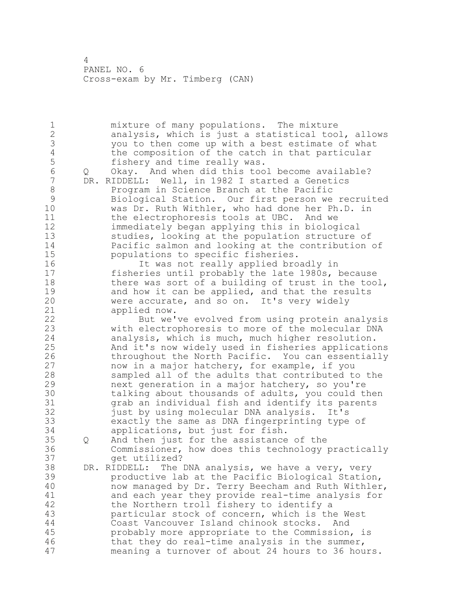mixture of many populations. The mixture analysis, which is just a statistical tool, allows you to then come up with a best estimate of what 4 the composition of the catch in that particular<br>5 fishery and time really was. 5 fishery and time really was.<br>6 0 Okav. And when did this too Q Okay. And when did this tool become available? DR. RIDDELL: Well, in 1982 I started a Genetics 8 Program in Science Branch at the Pacific<br>9 Biological Station. Our first person we 9 Biological Station. Our first person we recruited<br>10 was Dr. Ruth Withler, who had done her Ph.D. in was Dr. Ruth Withler, who had done her Ph.D. in 11 the electrophoresis tools at UBC. And we immediately began applying this in biological studies, looking at the population structure of Pacific salmon and looking at the contribution of populations to specific fisheries. It was not really applied broadly in fisheries until probably the late 1980s, because 18 there was sort of a building of trust in the tool, 19 and how it can be applied, and that the results<br>20 were accurate, and so on. It's very widely were accurate, and so on. It's very widely applied now. But we've evolved from using protein analysis with electrophoresis to more of the molecular DNA analysis, which is much, much higher resolution. And it's now widely used in fisheries applications 26 throughout the North Pacific. You can essentially<br>27 how in a major hatchery, for example, if you now in a major hatchery, for example, if you sampled all of the adults that contributed to the next generation in a major hatchery, so you're 30 talking about thousands of adults, you could then<br>31 orab an individual fish and identify its parents grab an individual fish and identify its parents just by using molecular DNA analysis. It's exactly the same as DNA fingerprinting type of applications, but just for fish. Q And then just for the assistance of the Commissioner, how does this technology practically get utilized? DR. RIDDELL: The DNA analysis, we have a very, very productive lab at the Pacific Biological Station, now managed by Dr. Terry Beecham and Ruth Withler, 41 and each year they provide real-time analysis for<br>42 the Northern troll fishery to identify a the Northern troll fishery to identify a particular stock of concern, which is the West Coast Vancouver Island chinook stocks. And probably more appropriate to the Commission, is that they do real-time analysis in the summer, meaning a turnover of about 24 hours to 36 hours.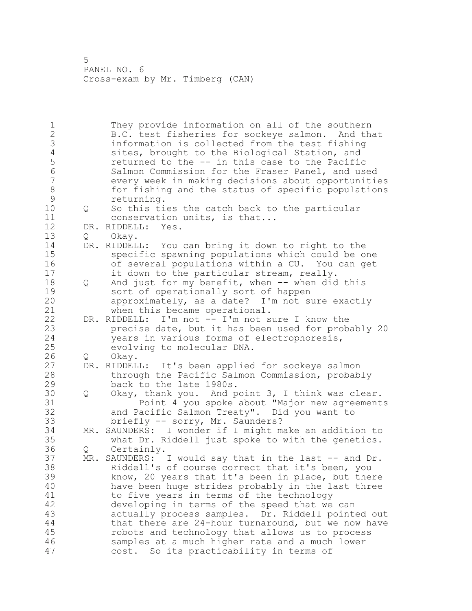They provide information on all of the southern B.C. test fisheries for sockeye salmon. And that 3 information is collected from the test fishing<br>4 sites, brought to the Biological Station, and 4 sites, brought to the Biological Station, and<br>5 seturned to the -- in this case to the Pacific 5 5 returned to the -- in this case to the Pacific<br>6 Salmon Commission for the Fraser Panel, and use Salmon Commission for the Fraser Panel, and used every week in making decisions about opportunities 8 for fishing and the status of specific populations<br>9 returning. 9 returning.<br>10 0 So this ti 0 So this ties the catch back to the particular conservation units, is that... DR. RIDDELL: Yes. Q Okay. DR. RIDDELL: You can bring it down to right to the specific spawning populations which could be one of several populations within a CU. You can get it down to the particular stream, really. 18 Q And just for my benefit, when -- when did this 19 sort of operationally sort of happen<br>20 approximately, as a date? I'm not s  $approximately,$  as a date? I'm not sure exactly when this became operational. DR. RIDDELL: I'm not -- I'm not sure I know the precise date, but it has been used for probably 20 years in various forms of electrophoresis, evolving to molecular DNA. 26 Q Okay.<br>27 DR. RIDDEL DR. RIDDELL: It's been applied for sockeye salmon through the Pacific Salmon Commission, probably back to the late 1980s. 30 Q Okay, thank you. And point 3, I think was clear.<br>31 Doint 4 you spoke about "Major new agreement Point 4 you spoke about "Major new agreements and Pacific Salmon Treaty". Did you want to briefly -- sorry, Mr. Saunders? MR. SAUNDERS: I wonder if I might make an addition to what Dr. Riddell just spoke to with the genetics. Q Certainly. MR. SAUNDERS: I would say that in the last -- and Dr. Riddell's of course correct that it's been, you know, 20 years that it's been in place, but there have been huge strides probably in the last three to five years in terms of the technology developing in terms of the speed that we can actually process samples. Dr. Riddell pointed out that there are 24-hour turnaround, but we now have robots and technology that allows us to process samples at a much higher rate and a much lower cost. So its practicability in terms of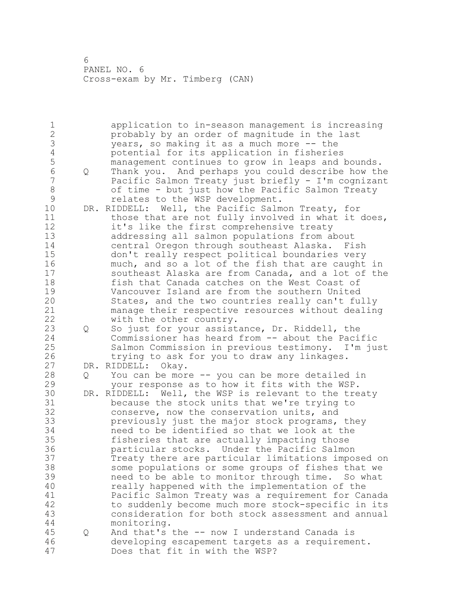application to in-season management is increasing probably by an order of magnitude in the last 3 years, so making it as a much more -- the<br>4 potential for its application in fisherie. 4 potential for its application in fisheries<br>5 management continues to grow in leaps and 1 management continues to grow in leaps and bounds. Q Thank you. And perhaps you could describe how the Pacific Salmon Treaty just briefly - I'm cognizant 8 of time - but just how the Pacific Salmon Treaty<br>9 celates to the WSP development. **relates to the WSP development.**<br>10 DR. RIDDELL: Well, the Pacific Salm DR. RIDDELL: Well, the Pacific Salmon Treaty, for 11 those that are not fully involved in what it does, it's like the first comprehensive treaty addressing all salmon populations from about central Oregon through southeast Alaska. Fish don't really respect political boundaries very much, and so a lot of the fish that are caught in southeast Alaska are from Canada, and a lot of the fish that Canada catches on the West Coast of 19 Vancouver Island are from the southern United<br>20 States, and the two countries really can't full States, and the two countries really can't fully manage their respective resources without dealing with the other country. Q So just for your assistance, Dr. Riddell, the Commissioner has heard from -- about the Pacific Salmon Commission in previous testimony. I'm just 26 trying to ask for you to draw any linkages.<br>27 DR. RIDDELL: Okay. DR. RIDDELL: Okay. Q You can be more -- you can be more detailed in your response as to how it fits with the WSP. 30 DR. RIDDELL: Well, the WSP is relevant to the treaty<br>31 because the stock units that we're trying to 31 because the stock units that we're trying to<br>32 conserve, now the conservation units, and conserve, now the conservation units, and previously just the major stock programs, they need to be identified so that we look at the fisheries that are actually impacting those particular stocks. Under the Pacific Salmon Treaty there are particular limitations imposed on some populations or some groups of fishes that we need to be able to monitor through time. So what really happened with the implementation of the Pacific Salmon Treaty was a requirement for Canada to suddenly become much more stock-specific in its consideration for both stock assessment and annual monitoring. Q And that's the -- now I understand Canada is developing escapement targets as a requirement. Does that fit in with the WSP?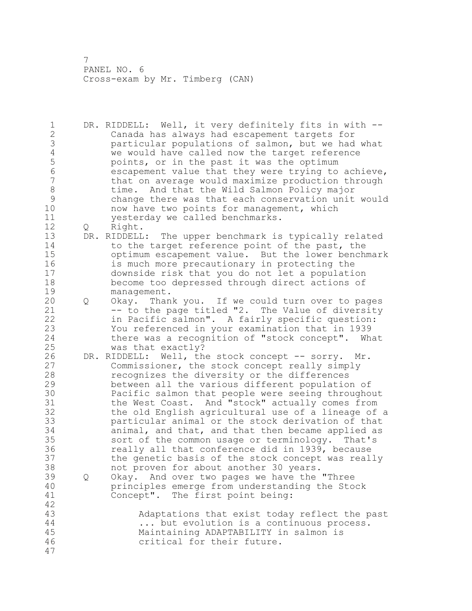DR. RIDDELL: Well, it very definitely fits in with -- Canada has always had escapement targets for particular populations of salmon, but we had what 4 we would have called now the target reference<br>5 points, or in the past it was the optimum 5 points, or in the past it was the optimum<br>6 escapement value that they were trying to escapement value that they were trying to achieve, that on average would maximize production through 8 time. And that the Wild Salmon Policy major<br>9 change there was that each conservation unit change there was that each conservation unit would now have two points for management, which yesterday we called benchmarks. Q Right. DR. RIDDELL: The upper benchmark is typically related 14 to the target reference point of the past, the optimum escapement value. But the lower benchmark is much more precautionary in protecting the downside risk that you do not let a population become too depressed through direct actions of 19 management.<br>20 0 Okay. Than Q Okay. Thank you. If we could turn over to pages 21 -- to the page titled "2. The Value of diversity in Pacific salmon". A fairly specific question: You referenced in your examination that in 1939 there was a recognition of "stock concept". What was that exactly? 26 DR. RIDDELL: Well, the stock concept -- sorry. Mr.<br>27 Commissioner, the stock concept really simply Commissioner, the stock concept really simply recognizes the diversity or the differences between all the various different population of 30 Pacific salmon that people were seeing throughout<br>31 the West Coast. And "stock" actually comes from 31 the West Coast. And "stock" actually comes from<br>32 the old English agricultural use of a lineage of the old English agricultural use of a lineage of a particular animal or the stock derivation of that animal, and that, and that then became applied as sort of the common usage or terminology. That's really all that conference did in 1939, because the genetic basis of the stock concept was really not proven for about another 30 years. Q Okay. And over two pages we have the "Three principles emerge from understanding the Stock Concept". The first point being: Adaptations that exist today reflect the past ... but evolution is a continuous process. Maintaining ADAPTABILITY in salmon is critical for their future.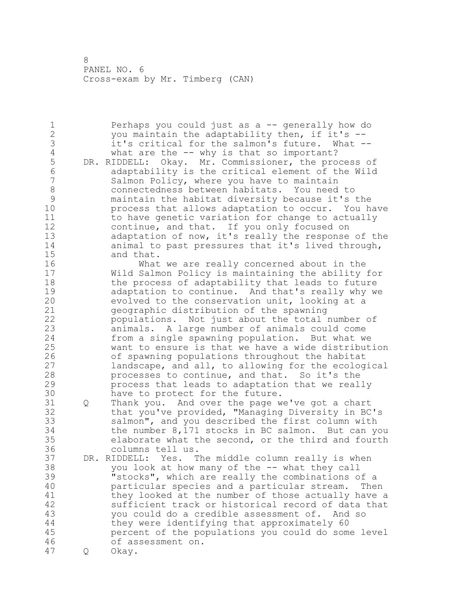Perhaps you could just as a -- generally how do 2 you maintain the adaptability then, if it's --<br>3 it's critical for the salmon's future. What --3 it's critical for the salmon's future.<br>4 What are the -- why is that so importar 4 what are the -- why is that so important?<br>5 DR. RIDDELL: Okay. Mr. Commissioner, the pro 5 DR. RIDDELL: Okay. Mr. Commissioner, the process of<br>6 adaptability is the critical element of the Wild adaptability is the critical element of the Wild Salmon Policy, where you have to maintain 8 connectedness between habitats. You need to<br>9 maintain the habitat diversity because it's maintain the habitat diversity because it's the process that allows adaptation to occur. You have to have genetic variation for change to actually continue, and that. If you only focused on adaptation of now, it's really the response of the animal to past pressures that it's lived through, 15 and that.<br>16 What What we are really concerned about in the Wild Salmon Policy is maintaining the ability for the process of adaptability that leads to future 19 adaptation to continue. And that's really why we<br>20 evolved to the conservation unit, looking at a evolved to the conservation unit, looking at a geographic distribution of the spawning populations. Not just about the total number of animals. A large number of animals could come from a single spawning population. But what we want to ensure is that we have a wide distribution 26 of spawning populations throughout the habitat<br>27 landscape, and all, to allowing for the ecolog landscape, and all, to allowing for the ecological processes to continue, and that. So it's the process that leads to adaptation that we really 30 have to protect for the future.<br>31 0 Thank you. And over the page w Q Thank you. And over the page we've got a chart that you've provided, "Managing Diversity in BC's salmon", and you described the first column with the number 8,171 stocks in BC salmon. But can you elaborate what the second, or the third and fourth columns tell us. DR. RIDDELL: Yes. The middle column really is when you look at how many of the -- what they call "stocks", which are really the combinations of a particular species and a particular stream. Then 41 they looked at the number of those actually have a<br>42 sufficient track or historical record of data that sufficient track or historical record of data that you could do a credible assessment of. And so they were identifying that approximately 60 percent of the populations you could do some level of assessment on. Q Okay.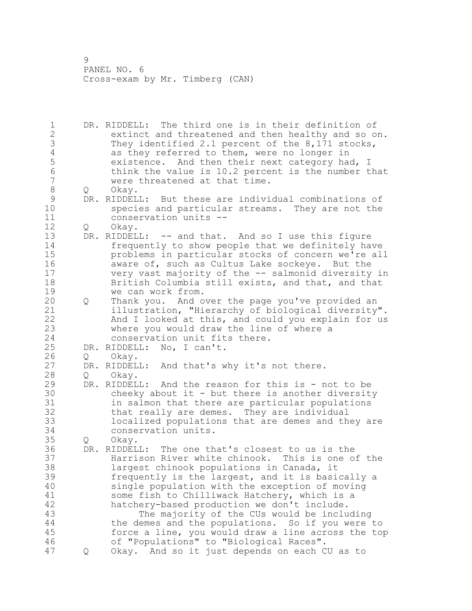DR. RIDDELL: The third one is in their definition of extinct and threatened and then healthy and so on. 3 They identified 2.1 percent of the 8,171 stocks,<br>4 as they referred to them, were no longer in 4 as they referred to them, were no longer in<br>5 existence. And then their next category ha existence. And then their next category had, I 6 think the value is 10.2 percent is the number that<br>7 were threatened at that time. were threatened at that time. 8 Q Okay.<br>9 DR.RIDDEL 9 DR. RIDDELL: But these are individual combinations of<br>10 Species and particular streams. They are not the species and particular streams. They are not the conservation units -- Q Okay. DR. RIDDELL: -- and that. And so I use this figure frequently to show people that we definitely have problems in particular stocks of concern we're all aware of, such as Cultus Lake sockeye. But the very vast majority of the -- salmonid diversity in 18 British Columbia still exists, and that, and that 19 we can work from.<br>20 0 Thank you. And o Q Thank you. And over the page you've provided an illustration, "Hierarchy of biological diversity". And I looked at this, and could you explain for us where you would draw the line of where a conservation unit fits there. DR. RIDDELL: No, I can't. 26 Q Okay.<br>27 DR. RIDDEL DR. RIDDELL: And that's why it's not there. Q Okay. DR. RIDDELL: And the reason for this is - not to be cheeky about it - but there is another diversity in salmon that there are particular populations that really are demes. They are individual localized populations that are demes and they are conservation units. Q Okay. DR. RIDDELL: The one that's closest to us is the Harrison River white chinook. This is one of the largest chinook populations in Canada, it frequently is the largest, and it is basically a single population with the exception of moving 41 some fish to Chilliwack Hatchery, which is a<br>42 hatchery-based production we don't include. hatchery-based production we don't include. The majority of the CUs would be including the demes and the populations. So if you were to force a line, you would draw a line across the top of "Populations" to "Biological Races". Q Okay. And so it just depends on each CU as to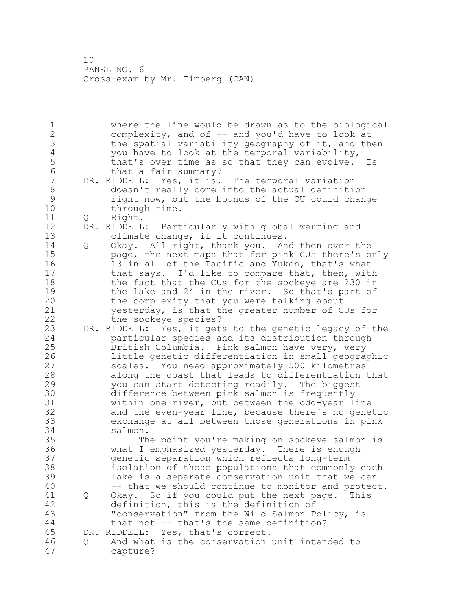1 where the line would be drawn as to the biological<br>2 complexity, and of -- and you'd have to look at complexity, and of -- and you'd have to look at 3 the spatial variability geography of it, and then 4 you have to look at the temporal variability,<br>5 that's over time as so that they can evolve. 5 that's over time as so that they can evolve. Is<br>6 that a fair summarv? 6 that a fair summary?<br>7 DR. RIDDELL: Yes. it is. DR. RIDDELL: Yes, it is. The temporal variation 8 doesn't really come into the actual definition<br>9 right now, but the bounds of the CU could chane 9 right now, but the bounds of the CU could change through time. 11 Q Right. 12 DR. RIDDELL: Particularly with global warming and 13 climate change, if it continues. 14 Q Okay. All right, thank you. And then over the 15 page, the next maps that for pink CUs there's only 16 13 in all of the Pacific and Yukon, that's what 17 that says. I'd like to compare that, then, with 18 the fact that the CUs for the sockeye are 230 in 19 the lake and 24 in the river. So that's part of<br>20 the complexity that you were talking about the complexity that you were talking about 21 yesterday, is that the greater number of CUs for 22 the sockeye species? 23 DR. RIDDELL: Yes, it gets to the genetic legacy of the 24 particular species and its distribution through 25 British Columbia. Pink salmon have very, very 26 little genetic differentiation in small geographic<br>27 scales. You need approximately 500 kilometres scales. You need approximately 500 kilometres 28 along the coast that leads to differentiation that 29 you can start detecting readily. The biggest 30 difference between pink salmon is frequently<br>31 within one river, but between the odd-year li 31 within one river, but between the odd-year line<br>32 and the even-year line, because there's no gene and the even-year line, because there's no genetic 33 exchange at all between those generations in pink 34 salmon. 35 The point you're making on sockeye salmon is 36 what I emphasized yesterday. There is enough 37 genetic separation which reflects long-term 38 isolation of those populations that commonly each 39 lake is a separate conservation unit that we can 40 -- that we should continue to monitor and protect. 41 Q Okay. So if you could put the next page. This<br>42 definition, this is the definition of definition, this is the definition of 43 "conservation" from the Wild Salmon Policy, is 44 that not -- that's the same definition? 45 DR. RIDDELL: Yes, that's correct. 46 Q And what is the conservation unit intended to 47 capture?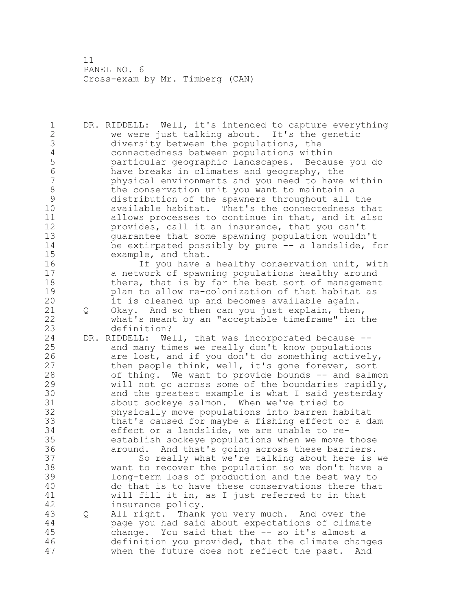DR. RIDDELL: Well, it's intended to capture everything we were just talking about. It's the genetic diversity between the populations, the 4 connectedness between populations within<br>5 particular geographic landscapes. Becau particular geographic landscapes. Because you do have breaks in climates and geography, the physical environments and you need to have within 8 the conservation unit you want to maintain a<br>9 distribution of the spawners throughout all distribution of the spawners throughout all the available habitat. That's the connectedness that allows processes to continue in that, and it also **12** provides, call it an insurance, that you can't<br>13 cuarantee that some spawning population wouldn guarantee that some spawning population wouldn't be extirpated possibly by pure -- a landslide, for example, and that. If you have a healthy conservation unit, with a network of spawning populations healthy around 18 there, that is by far the best sort of management 19 blan to allow re-colonization of that habitat as<br>20 it is cleaned up and becomes available again. it is cleaned up and becomes available again. Q Okay. And so then can you just explain, then, what's meant by an "acceptable timeframe" in the definition? DR. RIDDELL: Well, that was incorporated because -- and many times we really don't know populations 26 are lost, and if you don't do something actively,<br>27 then people think, well, it's gone forever, sort then people think, well, it's gone forever, sort of thing. We want to provide bounds -- and salmon will not go across some of the boundaries rapidly, 30 and the greatest example is what I said yesterday<br>31 about sockeye salmon. When we've tried to 31 about sockeye salmon. When we've tried to<br>32 bhysically move populations into barren hal physically move populations into barren habitat that's caused for maybe a fishing effect or a dam effect or a landslide, we are unable to re- establish sockeye populations when we move those around. And that's going across these barriers. So really what we're talking about here is we want to recover the population so we don't have a long-term loss of production and the best way to do that is to have these conservations there that 41 will fill it in, as I just referred to in that<br>42 insurance policy. insurance policy. Q All right. Thank you very much. And over the page you had said about expectations of climate change. You said that the -- so it's almost a definition you provided, that the climate changes when the future does not reflect the past. And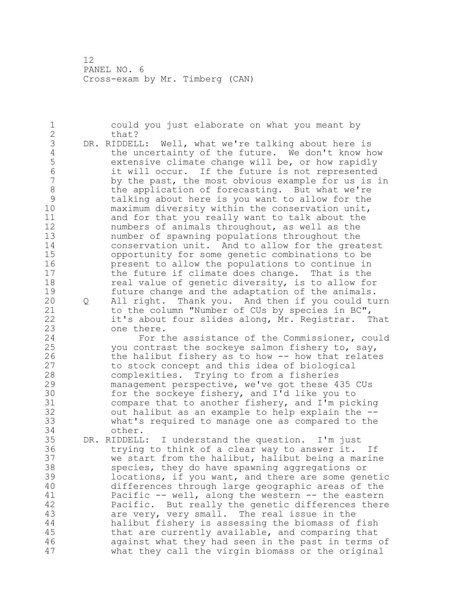could you just elaborate on what you meant by 2 that? 3 DR. RIDDELL: Well, what we're talking about here is<br>4 the uncertainty of the future. We don't know he 4 the uncertainty of the future. We don't know how<br>5 extensive climate change will be, or how rapidly 5 extensive climate change will be, or how rapidly<br>6 it will occur. If the future is not represented it will occur. If the future is not represented by the past, the most obvious example for us is in 8 the application of forecasting. But what we're<br>9 talking about here is you want to allow for the 9 talking about here is you want to allow for the<br>10 maximum diversity within the conservation unit,  $maximum$  diversity within the conservation unit, and for that you really want to talk about the numbers of animals throughout, as well as the number of spawning populations throughout the conservation unit. And to allow for the greatest opportunity for some genetic combinations to be present to allow the populations to continue in the future if climate does change. That is the 18 real value of genetic diversity, is to allow for 19 future change and the adaptation of the animals.<br>20 0 All right. Thank you. And then if you could tu Q All right. Thank you. And then if you could turn to the column "Number of CUs by species in BC", it's about four slides along, Mr. Registrar. That one there. For the assistance of the Commissioner, could you contrast the sockeye salmon fishery to, say, 26 the halibut fishery as to how -- how that relates<br>27 to stock concept and this idea of biological to stock concept and this idea of biological complexities. Trying to from a fisheries management perspective, we've got these 435 CUs 30 for the sockeye fishery, and I'd like you to<br>31 compare that to another fishery, and I'm pic. compare that to another fishery, and I'm picking out halibut as an example to help explain the -- what's required to manage one as compared to the other. DR. RIDDELL: I understand the question. I'm just trying to think of a clear way to answer it. If we start from the halibut, halibut being a marine species, they do have spawning aggregations or locations, if you want, and there are some genetic differences through large geographic areas of the 41 Pacific -- well, along the western -- the eastern<br>42 Pacific. But really the genetic differences there Pacific. But really the genetic differences there are very, very small. The real issue in the halibut fishery is assessing the biomass of fish that are currently available, and comparing that against what they had seen in the past in terms of what they call the virgin biomass or the original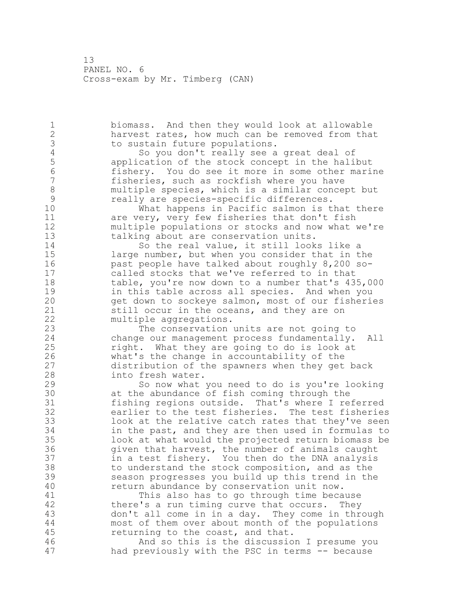biomass. And then they would look at allowable harvest rates, how much can be removed from that 3 to sustain future populations.<br>4 50 you don't really see a 4 So you don't really see a great deal of<br>5 application of the stock concept in the halil application of the stock concept in the halibut fishery. You do see it more in some other marine fisheries, such as rockfish where you have 8 multiple species, which is a similar concept but<br>9 meally are species-specific differences. 9 really are species-specific differences.<br>10 What happens in Pacific salmon is t What happens in Pacific salmon is that there are very, very few fisheries that don't fish 12 multiple populations or stocks and now what we're<br>13 talking about are conservation units. talking about are conservation units. 14 So the real value, it still looks like a large number, but when you consider that in the past people have talked about roughly 8,200 so- called stocks that we've referred to in that table, you're now down to a number that's 435,000 19 in this table across all species. And when you<br>20 opt down to sockeye salmon, most of our fisheri get down to sockeye salmon, most of our fisheries 21 still occur in the oceans, and they are on multiple aggregations. The conservation units are not going to change our management process fundamentally. All right. What they are going to do is look at 26 what's the change in accountability of the<br>27 distribution of the spawners when they get distribution of the spawners when they get back into fresh water. So now what you need to do is you're looking 30 at the abundance of fish coming through the<br>31 fishing regions outside. That's where I re fishing regions outside. That's where I referred earlier to the test fisheries. The test fisheries look at the relative catch rates that they've seen in the past, and they are then used in formulas to look at what would the projected return biomass be given that harvest, the number of animals caught in a test fishery. You then do the DNA analysis to understand the stock composition, and as the season progresses you build up this trend in the return abundance by conservation unit now. 41 This also has to go through time because<br>42 there's a run timing curve that occurs. They there's a run timing curve that occurs. They don't all come in in a day. They come in through most of them over about month of the populations returning to the coast, and that. And so this is the discussion I presume you had previously with the PSC in terms -- because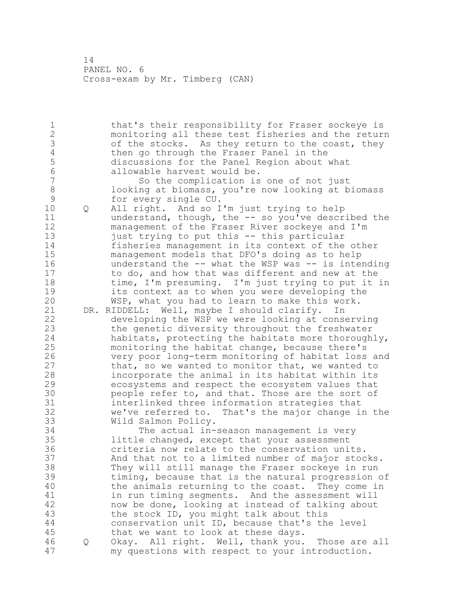that's their responsibility for Fraser sockeye is monitoring all these test fisheries and the return 3 of the stocks. As they return to the coast, they<br>4 then go through the Fraser Panel in the 4 then go through the Fraser Panel in the<br>5 discussions for the Panel Region about discussions for the Panel Region about what 6 allowable harvest would be.<br>7 So the complication is So the complication is one of not just 8 looking at biomass, you're now looking at biomass<br>9 for every single CU. 9 for every single CU.<br>10 0 All right. And so I Q All right. And so I'm just trying to help understand, though, the -- so you've described the management of the Fraser River sockeye and I'm just trying to put this -- this particular fisheries management in its context of the other management models that DFO's doing as to help 16 understand the -- what the WSP was -- is intending to do, and how that was different and new at the time, I'm presuming. I'm just trying to put it in 19 its context as to when you were developing the<br>20 WSP, what you had to learn to make this work. WSP, what you had to learn to make this work. DR. RIDDELL: Well, maybe I should clarify. In developing the WSP we were looking at conserving the genetic diversity throughout the freshwater habitats, protecting the habitats more thoroughly, monitoring the habitat change, because there's 26 very poor long-term monitoring of habitat loss and<br>27 that, so we wanted to monitor that, we wanted to that, so we wanted to monitor that, we wanted to incorporate the animal in its habitat within its ecosystems and respect the ecosystem values that 30 people refer to, and that. Those are the sort of 31 contract interlinked three information strategies that 31 interlinked three information strategies that<br>32 we've referred to. That's the major change i we've referred to. That's the major change in the Wild Salmon Policy. The actual in-season management is very little changed, except that your assessment criteria now relate to the conservation units. And that not to a limited number of major stocks. They will still manage the Fraser sockeye in run timing, because that is the natural progression of the animals returning to the coast. They come in 41 in run timing segments. And the assessment will<br>42 mow be done, looking at instead of talking about now be done, looking at instead of talking about the stock ID, you might talk about this conservation unit ID, because that's the level that we want to look at these days. Q Okay. All right. Well, thank you. Those are all my questions with respect to your introduction.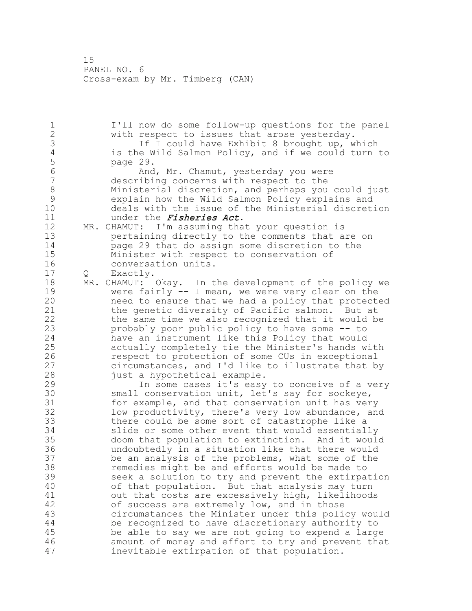I'll now do some follow-up questions for the panel with respect to issues that arose yesterday. 3 If I could have Exhibit 8 brought up, which<br>4 is the Wild Salmon Policy, and if we could turn 4 is the Wild Salmon Policy, and if we could turn to<br>5 page 29. 5 page 29.<br>6 And And, Mr. Chamut, yesterday you were describing concerns with respect to the Ministerial discretion, and perhaps you could just explain how the Wild Salmon Policy explains and deals with the issue of the Ministerial discretion 11 under the *Fisheries Act*. MR. CHAMUT: I'm assuming that your question is pertaining directly to the comments that are on page 29 that do assign some discretion to the Minister with respect to conservation of conversation units. Q Exactly. MR. CHAMUT: Okay. In the development of the policy we 19 were fairly -- I mean, we were very clear on the<br>20 meed to ensure that we had a policy that protect need to ensure that we had a policy that protected the genetic diversity of Pacific salmon. But at the same time we also recognized that it would be probably poor public policy to have some -- to have an instrument like this Policy that would actually completely tie the Minister's hands with 26 respect to protection of some CUs in exceptional<br>27 circumstances, and I'd like to illustrate that b circumstances, and I'd like to illustrate that by just a hypothetical example. In some cases it's easy to conceive of a very 30 small conservation unit, let's say for sockeye,<br>31 for example, and that conservation unit has ver for example, and that conservation unit has very low productivity, there's very low abundance, and there could be some sort of catastrophe like a slide or some other event that would essentially doom that population to extinction. And it would undoubtedly in a situation like that there would be an analysis of the problems, what some of the remedies might be and efforts would be made to seek a solution to try and prevent the extirpation of that population. But that analysis may turn 41 out that costs are excessively high, likelihoods<br>42 of success are extremely low, and in those of success are extremely low, and in those circumstances the Minister under this policy would be recognized to have discretionary authority to be able to say we are not going to expend a large amount of money and effort to try and prevent that inevitable extirpation of that population.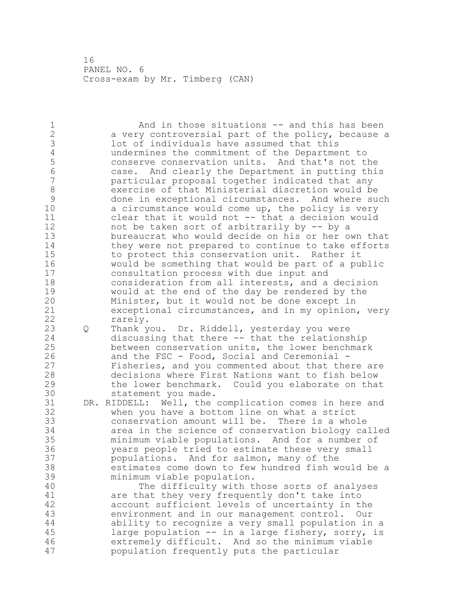And in those situations -- and this has been a very controversial part of the policy, because a lot of individuals have assumed that this 4 undermines the commitment of the Department to<br>5 conserve conservation units. And that's not ti conserve conservation units. And that's not the case. And clearly the Department in putting this particular proposal together indicated that any exercise of that Ministerial discretion would be 9 done in exceptional circumstances. And where such<br>10 a circumstance would come up. the policy is yery a circumstance would come up, the policy is very clear that it would not -- that a decision would 12 mot be taken sort of arbitrarily by -- by a<br>13 bureaucrat who would decide on his or her o bureaucrat who would decide on his or her own that they were not prepared to continue to take efforts to protect this conservation unit. Rather it would be something that would be part of a public consultation process with due input and consideration from all interests, and a decision 19 would at the end of the day be rendered by the<br>20 Minister, but it would not be done except in Minister, but it would not be done except in exceptional circumstances, and in my opinion, very rarely. Q Thank you. Dr. Riddell, yesterday you were discussing that there -- that the relationship between conservation units, the lower benchmark 26 and the FSC - Food, Social and Ceremonial -<br>27 Fisheries, and you commented about that the Fisheries, and you commented about that there are decisions where First Nations want to fish below the lower benchmark. Could you elaborate on that 30 statement you made.<br>31 DR. RIDDELL: Well, the DR. RIDDELL: Well, the complication comes in here and when you have a bottom line on what a strict conservation amount will be. There is a whole area in the science of conservation biology called minimum viable populations. And for a number of years people tried to estimate these very small populations. And for salmon, many of the estimates come down to few hundred fish would be a minimum viable population. The difficulty with those sorts of analyses 41 are that they very frequently don't take into<br>42 account sufficient levels of uncertainty in th account sufficient levels of uncertainty in the environment and in our management control. Our ability to recognize a very small population in a large population -- in a large fishery, sorry, is extremely difficult. And so the minimum viable population frequently puts the particular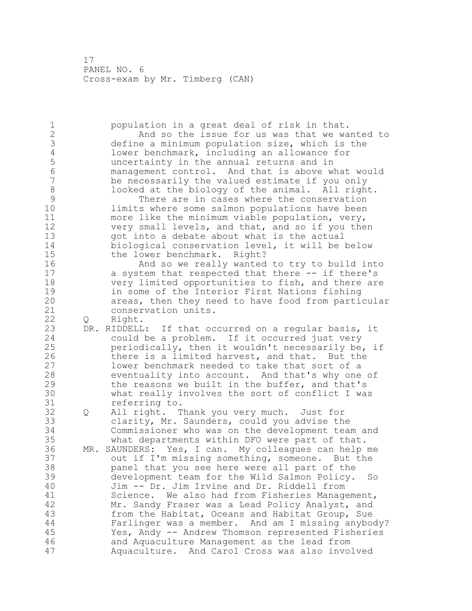population in a great deal of risk in that. And so the issue for us was that we wanted to define a minimum population size, which is the 4 lower benchmark, including an allowance for<br>5 uncertainty in the annual returns and in uncertainty in the annual returns and in management control. And that is above what would be necessarily the valued estimate if you only 8 looked at the biology of the animal. All right.<br>9 There are in cases where the conservation 9 There are in cases where the conservation<br>10 10 Timits where some salmon populations have been limits where some salmon populations have been more like the minimum viable population, very, very small levels, and that, and so if you then got into a debate about what is the actual biological conservation level, it will be below the lower benchmark. Right? And so we really wanted to try to build into a system that respected that there -- if there's very limited opportunities to fish, and there are 19 in some of the Interior First Nations fishing<br>20 areas, then they need to have food from parti areas, then they need to have food from particular conservation units. 22 O Right. DR. RIDDELL: If that occurred on a regular basis, it could be a problem. If it occurred just very periodically, then it wouldn't necessarily be, if 26 there is a limited harvest, and that. But the<br>27 lower benchmark needed to take that sort of a lower benchmark needed to take that sort of a eventuality into account. And that's why one of the reasons we built in the buffer, and that's 30 what really involves the sort of conflict I was<br>31 eferring to. referring to. Q All right. Thank you very much. Just for clarity, Mr. Saunders, could you advise the Commissioner who was on the development team and what departments within DFO were part of that. MR. SAUNDERS: Yes, I can. My colleagues can help me out if I'm missing something, someone. But the panel that you see here were all part of the development team for the Wild Salmon Policy. So Jim -- Dr. Jim Irvine and Dr. Riddell from 41 Science. We also had from Fisheries Management,<br>42 Mr. Sandy Fraser was a Lead Policy Analyst, and Mr. Sandy Fraser was a Lead Policy Analyst, and from the Habitat, Oceans and Habitat Group, Sue Farlinger was a member. And am I missing anybody? Yes, Andy -- Andrew Thomson represented Fisheries and Aquaculture Management as the lead from Aquaculture. And Carol Cross was also involved

- 
- 
- - - - -
		-
- -
- 
- 
-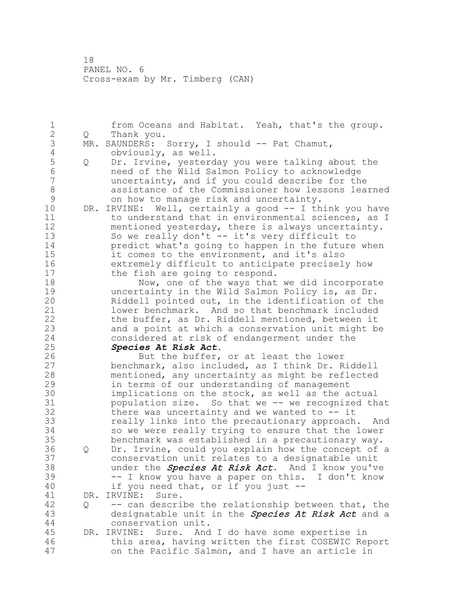1 from Oceans and Habitat. Yeah, that's the group.<br>2 0 Thank you. 2 Q Thank you. 3 MR. SAUNDERS: Sorry, I should -- Pat Chamut,<br>4 obviously, as well. 4 obviously, as well.<br>5 0 Dr. Irvine, yesterd 5 Q Dr. Irvine, yesterday you were talking about the 6 need of the Wild Salmon Policy to acknowledge uncertainty, and if you could describe for the 8 assistance of the Commissioner how lessons learned<br>9 on how to manage risk and uncertainty. 9 on how to manage risk and uncertainty.<br>10 DR. IRVINE: Well, certainly a good -- I th DR. IRVINE: Well, certainly a good -- I think you have 11 to understand that in environmental sciences, as I 12 mentioned yesterday, there is always uncertainty. 13 So we really don't -- it's very difficult to 14 predict what's going to happen in the future when 15 it comes to the environment, and it's also 16 extremely difficult to anticipate precisely how 17 the fish are going to respond. 18 Now, one of the ways that we did incorporate 19 uncertainty in the Wild Salmon Policy is, as Dr.<br>20 Riddell pointed out, in the identification of th Riddell pointed out, in the identification of the 21 lower benchmark. And so that benchmark included 22 the buffer, as Dr. Riddell mentioned, between it 23 and a point at which a conservation unit might be 24 considered at risk of endangerment under the 25 *Species At Risk Act*. 26 But the buffer, or at least the lower<br>27 benchmark, also included, as I think Dr. R benchmark, also included, as I think Dr. Riddell 28 mentioned, any uncertainty as might be reflected 29 in terms of our understanding of management 30 implications on the stock, as well as the actual<br>31 oppulation size. So that we -- we recognized th population size. So that we -- we recognized that 32 there was uncertainty and we wanted to -- it 33 really links into the precautionary approach. And 34 so we were really trying to ensure that the lower 35 benchmark was established in a precautionary way. 36 Q Dr. Irvine, could you explain how the concept of a 37 conservation unit relates to a designatable unit 38 under the *Species At Risk Act*. And I know you've 39 -- I know you have a paper on this. I don't know 40 if you need that, or if you just -- 41 DR. IRVINE: Sure.<br>42 0 -- can descri 42 Q -- can describe the relationship between that, the 43 designatable unit in the **Species At Risk Act** and a 44 conservation unit. 45 DR. IRVINE: Sure. And I do have some expertise in 46 this area, having written the first COSEWIC Report 47 on the Pacific Salmon, and I have an article in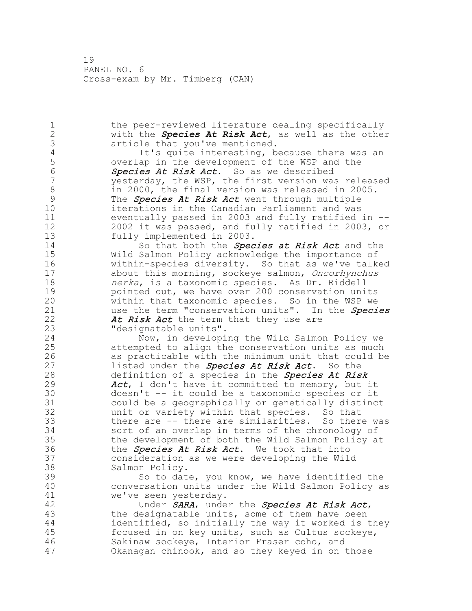1 the peer-reviewed literature dealing specifically 2 with the *Species At Risk Act*, as well as the other 3 article that you've mentioned.<br>4 1t's quite interesting, b 4 It's quite interesting, because there was an<br>5 overlap in the development of the WSP and the 5 overlap in the development of the WSP and the 50 overlap in the development of the WSP and the 50 over 50 as 6 Species At Risk Act. So as we described yesterday, the WSP, the first version was released 8 in 2000, the final version was released in 2005. 9 The *Species At Risk Act* went through multiple<br>10 iterations in the Canadian Parliament and was iterations in the Canadian Parliament and was 11 eventually passed in 2003 and fully ratified in -- 12 2002 it was passed, and fully ratified in 2003, or 13 fully implemented in 2003. 14 So that both the *Species at Risk Act* and the 15 Wild Salmon Policy acknowledge the importance of 16 within-species diversity. So that as we've talked 17 about this morning, sockeye salmon, Oncorhynchus 18 **nerka**, is a taxonomic species. As Dr. Riddell 19 19 pointed out, we have over 200 conservation units<br>20 11 within that taxonomic species. So in the WSP we within that taxonomic species. So in the WSP we 21 use the term "conservation units". In the Species 22 At Risk Act the term that they use are 23 "designatable units". 24 Now, in developing the Wild Salmon Policy we 25 attempted to align the conservation units as much 26 as practicable with the minimum unit that could be<br>27 listed under the **Species At Risk Act.** So the listed under the Species At Risk Act. So the 28 definition of a species in the **Species At Risk** 29 Act, I don't have it committed to memory, but it 30 doesn't -- it could be a taxonomic species or it could be a geographically or genetically distinct 32 unit or variety within that species. So that 33 there are -- there are similarities. So there was 34 sort of an overlap in terms of the chronology of 35 the development of both the Wild Salmon Policy at 36 the *Species At Risk Act*. We took that into 37 consideration as we were developing the Wild 38 Salmon Policy. 39 So to date, you know, we have identified the 40 conversation units under the Wild Salmon Policy as 41 we've seen yesterday. 42 Under SARA, under the Species At Risk Act, 43 the designatable units, some of them have been 44 identified, so initially the way it worked is they 45 focused in on key units, such as Cultus sockeye, 46 Sakinaw sockeye, Interior Fraser coho, and 47 Okanagan chinook, and so they keyed in on those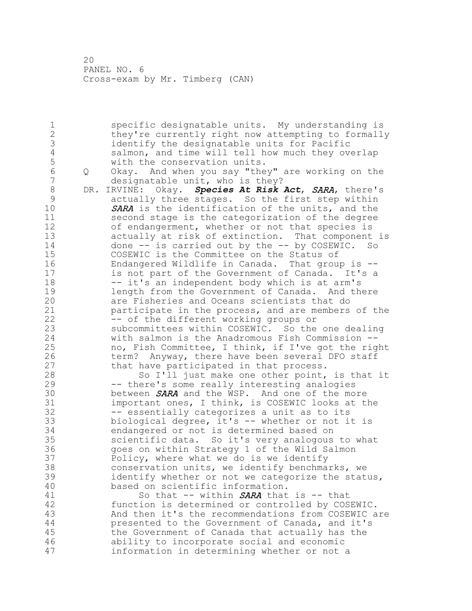specific designatable units. My understanding is they're currently right now attempting to formally 3 identify the designatable units for Pacific<br>4 salmon, and time will tell how much they ov 4 salmon, and time will tell how much they overlap<br>5 with the conservation units. 5 with the conservation units.<br>6 0 Okav. And when you say "the Q Okay. And when you say "they" are working on the designatable unit, who is they? DR. IRVINE: Okay. *Species At Risk Act*, SARA, there's 9 actually three stages. So the first step within<br>10 5ARA is the identification of the units, and the SARA is the identification of the units, and the second stage is the categorization of the degree of endangerment, whether or not that species is actually at risk of extinction. That component is done -- is carried out by the -- by COSEWIC. So COSEWIC is the Committee on the Status of Endangered Wildlife in Canada. That group is -- is not part of the Government of Canada. It's a 18 -- it's an independent body which is at arm's 19 19 Length from the Government of Canada. And there<br>20 3 are Fisheries and Oceans scientists that do are Fisheries and Oceans scientists that do participate in the process, and are members of the 22 -- of the different working groups or subcommittees within COSEWIC. So the one dealing with salmon is the Anadromous Fish Commission -- no, Fish Committee, I think, if I've got the right 26 term? Anyway, there have been several DFO staff<br>27 that have participated in that process. that have participated in that process. So I'll just make one other point, is that it -- there's some really interesting analogies 30 between **SARA** and the WSP. And one of the more<br>31 important ones, I think, is COSEWIC looks at t important ones, I think, is COSEWIC looks at the -- essentially categorizes a unit as to its biological degree, it's -- whether or not it is endangered or not is determined based on scientific data. So it's very analogous to what goes on within Strategy 1 of the Wild Salmon Policy, where what we do is we identify conservation units, we identify benchmarks, we identify whether or not we categorize the status, based on scientific information. 41 So that -- within **SARA** that is -- that<br>42 function is determined or controlled by COS function is determined or controlled by COSEWIC. And then it's the recommendations from COSEWIC are presented to the Government of Canada, and it's the Government of Canada that actually has the ability to incorporate social and economic information in determining whether or not a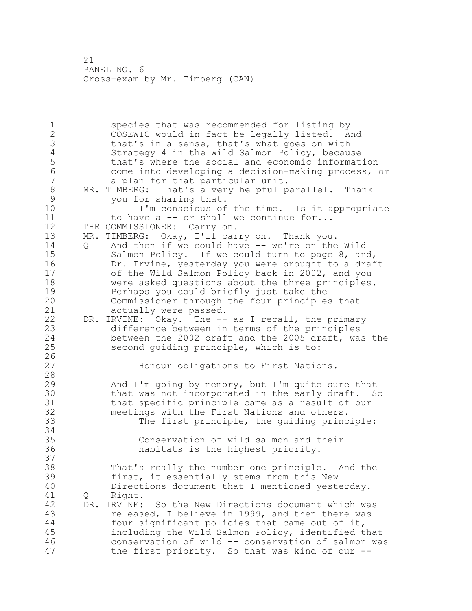species that was recommended for listing by COSEWIC would in fact be legally listed. And 3 that's in a sense, that's what goes on with<br>4 Strategy 4 in the Wild Salmon Policy, becau 4 Strategy 4 in the Wild Salmon Policy, because<br>5 that's where the social and economic informat 5 that's where the social and economic information<br>6 (6 come into developing a decision-making process, come into developing a decision-making process, or a plan for that particular unit. 8 MR. TIMBERG: That's a very helpful parallel. Thank<br>9 vou for sharing that. 9 you for sharing that.<br>10 1'm conscious of I'm conscious of the time. Is it appropriate 11 to have a -- or shall we continue for... 12 THE COMMISSIONER: Carry on. MR. TIMBERG: Okay, I'll carry on. Thank you. Q And then if we could have -- we're on the Wild 15 Salmon Policy. If we could turn to page 8, and, Dr. Irvine, yesterday you were brought to a draft of the Wild Salmon Policy back in 2002, and you were asked questions about the three principles. 19 Perhaps you could briefly just take the<br>20 Commissioner through the four principle: Commissioner through the four principles that actually were passed. DR. IRVINE: Okay. The -- as I recall, the primary difference between in terms of the principles between the 2002 draft and the 2005 draft, was the second guiding principle, which is to:  $\frac{26}{27}$ Honour obligations to First Nations. And I'm going by memory, but I'm quite sure that 30 that was not incorporated in the early draft. So<br>31 that specific principle came as a result of our that specific principle came as a result of our meetings with the First Nations and others. The first principle, the guiding principle: Conservation of wild salmon and their habitats is the highest priority. That's really the number one principle. And the first, it essentially stems from this New Directions document that I mentioned yesterday. Q Right. DR. IRVINE: So the New Directions document which was released, I believe in 1999, and then there was four significant policies that came out of it, including the Wild Salmon Policy, identified that conservation of wild -- conservation of salmon was the first priority. So that was kind of our --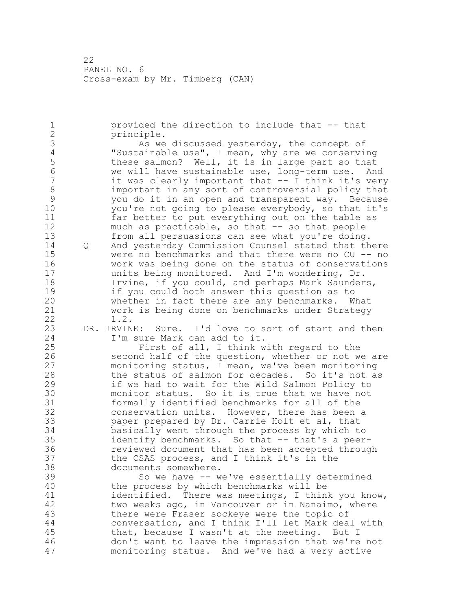1 provided the direction to include that -- that 2 principle. 3 As we discussed yesterday, the concept of 4 Concept Conservired U.S. and Theorem Conservired U.S. and Theorem Conservired U.S. and Theorem Conservired U.S. and Theorem Conservired U.S. and Theorem Conservired U.S. and Th 4 "Sustainable use", I mean, why are we conserving<br>5 these salmon? Well, it is in large part so that 5 these salmon? Well, it is in large part so that<br>6 we will have sustainable use, long-term use. And 6 we will have sustainable use, long-term use. And it was clearly important that  $--$  I think it's very 8 important in any sort of controversial policy that<br>9 vou do it in an open and transparent way. Because 9 you do it in an open and transparent way. Because you're not going to please everybody, so that it's 11 far better to put everything out on the table as 12 much as practicable, so that -- so that people 13 from all persuasions can see what you're doing. 14 Q And yesterday Commission Counsel stated that there 15 were no benchmarks and that there were no CU -- no 16 work was being done on the status of conservations 17 units being monitored. And I'm wondering, Dr. 18 Irvine, if you could, and perhaps Mark Saunders, 19 if you could both answer this question as to<br>20 whether in fact there are any benchmarks. W whether in fact there are any benchmarks. What 21 work is being done on benchmarks under Strategy 22 1.2. 23 DR. IRVINE: Sure. I'd love to sort of start and then<br>24 I'm sure Mark can add to it. I'm sure Mark can add to it. 25 First of all, I think with regard to the 26 second half of the question, whether or not we are<br>27 monitoring status, I mean, we've been monitoring monitoring status, I mean, we've been monitoring 28 the status of salmon for decades. So it's not as 29 if we had to wait for the Wild Salmon Policy to 30 monitor status. So it is true that we have not<br>31 formally identified benchmarks for all of the 31 formally identified benchmarks for all of the<br>32 conservation units. However, there has been conservation units. However, there has been a 33 paper prepared by Dr. Carrie Holt et al, that 34 basically went through the process by which to 35 identify benchmarks. So that -- that's a peer-36 reviewed document that has been accepted through 37 the CSAS process, and I think it's in the 38 documents somewhere. 39 So we have -- we've essentially determined 40 the process by which benchmarks will be 41 identified. There was meetings, I think you know,<br>42 two weeks ago, in Vancouver or in Nanaimo, where two weeks ago, in Vancouver or in Nanaimo, where 43 there were Fraser sockeye were the topic of 44 conversation, and I think I'll let Mark deal with 45 that, because I wasn't at the meeting. But I 46 don't want to leave the impression that we're not 47 monitoring status. And we've had a very active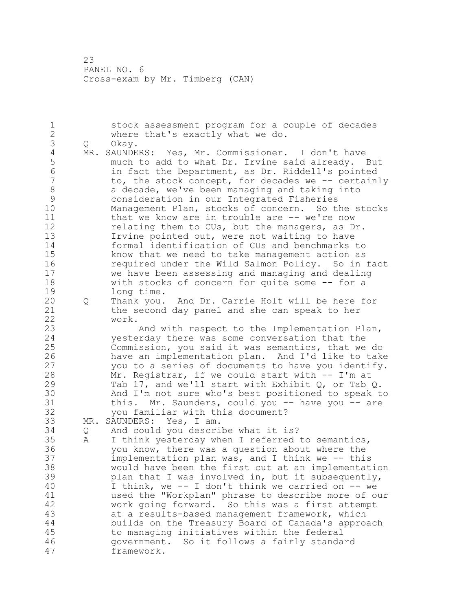stock assessment program for a couple of decades where that's exactly what we do. Q Okay. 4 MR. SAUNDERS: Yes, Mr. Commissioner. I don't have<br>5 much to add to what Dr. Irvine said already. much to add to what Dr. Irvine said already. But in fact the Department, as Dr. Riddell's pointed to, the stock concept, for decades we -- certainly 8 a decade, we've been managing and taking into<br>9 consideration in our Integrated Fisheries 9 consideration in our Integrated Fisheries<br>10 Management Plan, stocks of concern. So t Management Plan, stocks of concern. So the stocks 11 that we know are in trouble are -- we're now relating them to CUs, but the managers, as Dr. Irvine pointed out, were not waiting to have formal identification of CUs and benchmarks to know that we need to take management action as required under the Wild Salmon Policy. So in fact we have been assessing and managing and dealing with stocks of concern for quite some -- for a 19 long time.<br>20 0 Thank you. Q Thank you. And Dr. Carrie Holt will be here for the second day panel and she can speak to her work. And with respect to the Implementation Plan, yesterday there was some conversation that the Commission, you said it was semantics, that we do 26 have an implementation plan. And I'd like to take<br>27 vou to a series of documents to have you identify. you to a series of documents to have you identify. Mr. Registrar, if we could start with -- I'm at Tab 17, and we'll start with Exhibit Q, or Tab Q. 30 And I'm not sure who's best positioned to speak to<br>31 this. Mr. Saunders, could you -- have you -- are this. Mr. Saunders, could you -- have you -- are you familiar with this document? MR. SAUNDERS: Yes, I am. Q And could you describe what it is? A I think yesterday when I referred to semantics, you know, there was a question about where the implementation plan was, and I think we -- this would have been the first cut at an implementation plan that I was involved in, but it subsequently, I think, we -- I don't think we carried on -- we used the "Workplan" phrase to describe more of our work going forward. So this was a first attempt at a results-based management framework, which builds on the Treasury Board of Canada's approach to managing initiatives within the federal government. So it follows a fairly standard framework.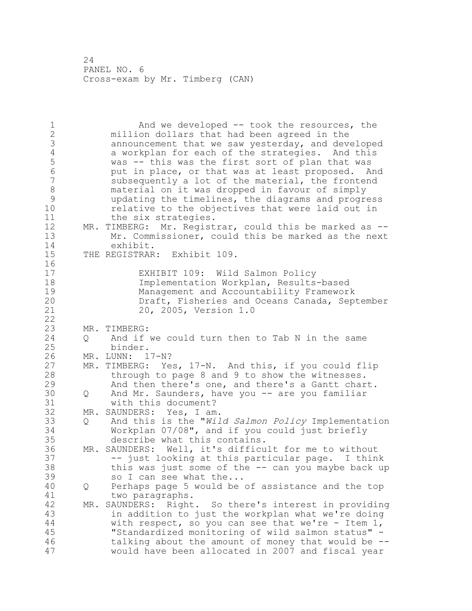And we developed -- took the resources, the million dollars that had been agreed in the announcement that we saw yesterday, and developed 4 a workplan for each of the strategies. And this<br>5 was -- this was the first sort of plan that was 5 was -- this was the first sort of plan that was<br>6 but in place, or that was at least proposed. A put in place, or that was at least proposed. And subsequently a lot of the material, the frontend 8 material on it was dropped in favour of simply<br>9 mundating the timelines, the diagrams and progre updating the timelines, the diagrams and progress relative to the objectives that were laid out in 11 the six strategies. MR. TIMBERG: Mr. Registrar, could this be marked as -- Mr. Commissioner, could this be marked as the next exhibit. THE REGISTRAR: Exhibit 109. EXHIBIT 109: Wild Salmon Policy Implementation Workplan, Results-based 19 Management and Accountability Framework<br>20 Draft, Fisheries and Oceans Canada, Sep Draft, Fisheries and Oceans Canada, September 20, 2005, Version 1.0 MR. TIMBERG: Q And if we could turn then to Tab N in the same binder. 26 MR. LUNN: 17-N?<br>27 MR. TIMBERG: Ye MR. TIMBERG: Yes, 17-N. And this, if you could flip through to page 8 and 9 to show the witnesses. And then there's one, and there's a Gantt chart. 30 Q And Mr. Saunders, have you -- are you familiar<br>31 with this document? with this document? MR. SAUNDERS: Yes, I am. Q And this is the "*Wild* Salmon Policy Implementation Workplan 07/08", and if you could just briefly describe what this contains. MR. SAUNDERS: Well, it's difficult for me to without -- just looking at this particular page. I think this was just some of the -- can you maybe back up 39 so I can see what the... Q Perhaps page 5 would be of assistance and the top 41 two paragraphs.<br>42 MR. SAUNDERS: Right MR. SAUNDERS: Right. So there's interest in providing in addition to just the workplan what we're doing with respect, so you can see that we're - Item 1, "Standardized monitoring of wild salmon status" - talking about the amount of money that would be -- would have been allocated in 2007 and fiscal year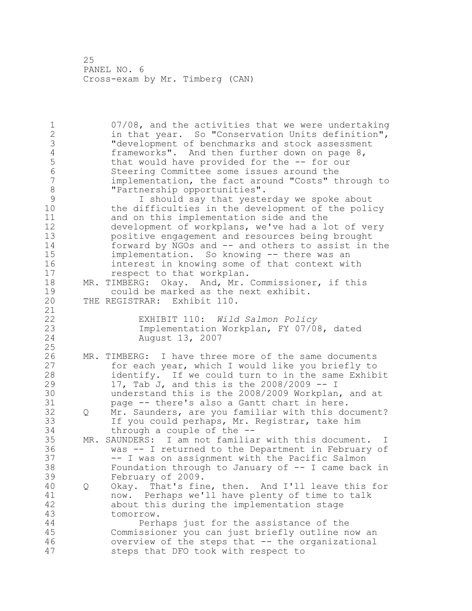07/08, and the activities that we were undertaking in that year. So "Conservation Units definition", 3 The development of benchmarks and stock assessment<br>4 frameworks". And then further down on page 8, 4 frameworks". And then further down on page 8,<br>5 that would have provided for the -- for our 5 that would have provided for the -- for our<br>6 Steering Committee some issues around the Steering Committee some issues around the implementation, the fact around "Costs" through to 8 "Partnership opportunities".<br>9 1 should say that yeste 9 I should say that yesterday we spoke about<br>10 the difficulties in the development of the poli the difficulties in the development of the policy and on this implementation side and the development of workplans, we've had a lot of very positive engagement and resources being brought forward by NGOs and -- and others to assist in the implementation. So knowing -- there was an interest in knowing some of that context with respect to that workplan. MR. TIMBERG: Okay. And, Mr. Commissioner, if this 19 could be marked as the next exhibit.<br>20 THE REGISTRAR: Exhibit 110. THE REGISTRAR: Exhibit 110. EXHIBIT 110: *Wild Salmon Policy*  Implementation Workplan, FY 07/08, dated August 13, 2007 26 MR. TIMBERG: I have three more of the same documents<br>27 for each year, which I would like you briefly to for each year, which I would like you briefly to identify. If we could turn to in the same Exhibit 17, Tab J, and this is the 2008/2009 -- I 30 understand this is the 2008/2009 Workplan, and at<br>31 bage -- there's also a Gantt chart in here. page -- there's also a Gantt chart in here. Q Mr. Saunders, are you familiar with this document? If you could perhaps, Mr. Registrar, take him through a couple of the -- MR. SAUNDERS: I am not familiar with this document. I was -- I returned to the Department in February of -- I was on assignment with the Pacific Salmon Foundation through to January of -- I came back in February of 2009. Q Okay. That's fine, then. And I'll leave this for 41 now. Perhaps we'll have plenty of time to talk<br>42 about this during the implementation stage about this during the implementation stage tomorrow. Perhaps just for the assistance of the Commissioner you can just briefly outline now an overview of the steps that -- the organizational steps that DFO took with respect to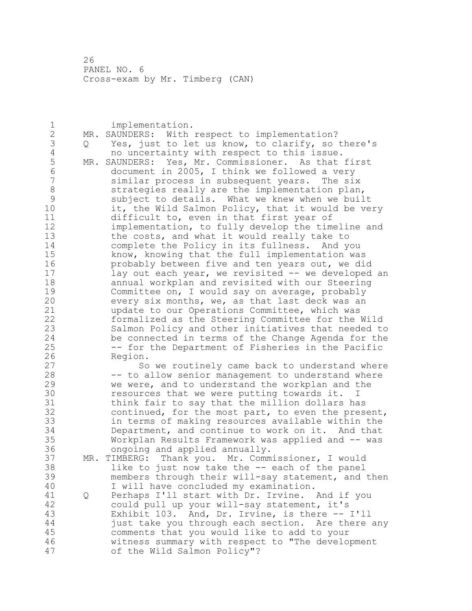| 1                        |     | implementation.                                    |
|--------------------------|-----|----------------------------------------------------|
| $\overline{2}$           | MR. | SAUNDERS: With respect to implementation?          |
| 3                        | Q   | Yes, just to let us know, to clarify, so there's   |
| $\sqrt{4}$               |     | no uncertainty with respect to this issue.         |
| 5                        | MR. | SAUNDERS: Yes, Mr. Commissioner. As that first     |
| $\sqrt{6}$               |     | document in 2005, I think we followed a very       |
| $\overline{\phantom{a}}$ |     | similar process in subsequent years. The six       |
| 8                        |     | strategies really are the implementation plan,     |
| 9                        |     |                                                    |
|                          |     | subject to details. What we knew when we built     |
| 10                       |     | it, the Wild Salmon Policy, that it would be very  |
| 11                       |     | difficult to, even in that first year of           |
| 12                       |     | implementation, to fully develop the timeline and  |
| 13                       |     | the costs, and what it would really take to        |
| 14                       |     | complete the Policy in its fullness. And you       |
| 15                       |     | know, knowing that the full implementation was     |
| 16                       |     | probably between five and ten years out, we did    |
| 17                       |     | lay out each year, we revisited -- we developed an |
| 18                       |     | annual workplan and revisited with our Steering    |
| 19                       |     | Committee on, I would say on average, probably     |
| 20                       |     | every six months, we, as that last deck was an     |
| 21                       |     | update to our Operations Committee, which was      |
| 22                       |     | formalized as the Steering Committee for the Wild  |
| 23                       |     | Salmon Policy and other initiatives that needed to |
| 24                       |     | be connected in terms of the Change Agenda for the |
| 25                       |     | -- for the Department of Fisheries in the Pacific  |
| 26                       |     | Region.                                            |
| 27                       |     | So we routinely came back to understand where      |
| 28                       |     | -- to allow senior management to understand where  |
| 29                       |     | we were, and to understand the workplan and the    |
| 30                       |     | resources that we were putting towards it. I       |
| 31                       |     | think fair to say that the million dollars has     |
| 32                       |     | continued, for the most part, to even the present, |
| 33                       |     | in terms of making resources available within the  |
| 34                       |     | Department, and continue to work on it. And that   |
| 35                       |     | Workplan Results Framework was applied and -- was  |
| 36                       |     | ongoing and applied annually.                      |
| 37                       | MR. | TIMBERG: Thank you. Mr. Commissioner, I would      |
| 38                       |     | like to just now take the -- each of the panel     |
| 39                       |     | members through their will-say statement, and then |
| 40                       |     | I will have concluded my examination.              |
| 41                       | Q   | Perhaps I'll start with Dr. Irvine. And if you     |
| 42                       |     | could pull up your will-say statement, it's        |
| 43                       |     | Exhibit 103. And, Dr. Irvine, is there -- I'll     |
| 44                       |     | just take you through each section. Are there any  |
| 45                       |     | comments that you would like to add to your        |
| 46                       |     | witness summary with respect to "The development   |
| 47                       |     | of the Wild Salmon Policy"?                        |
|                          |     |                                                    |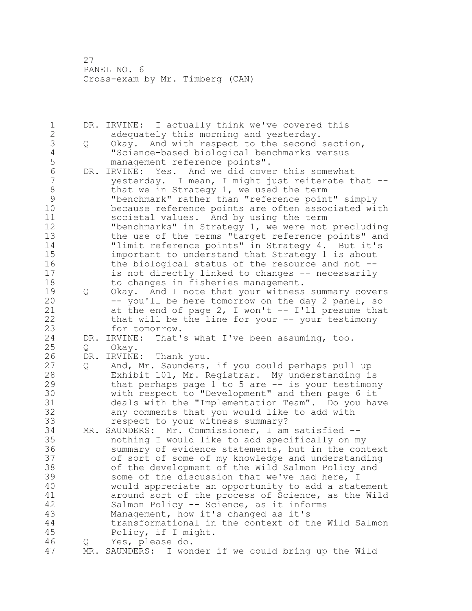DR. IRVINE: I actually think we've covered this adequately this morning and yesterday. Q Okay. And with respect to the second section, 4 "Science-based biological benchmarks versus<br>5 management reference points". 5 management reference points".<br>6 DR. IRVINE: Yes. And we did cove 6 DR. IRVINE: Yes. And we did cover this somewhat<br>7 vesterday. I mean, I might just reiterate the  $y$ esterday. I mean, I might just reiterate that  $-$ -8 that we in Strategy 1, we used the term<br>9 "benchmark" rather than "reference poin "benchmark" rather than "reference point" simply because reference points are often associated with societal values. And by using the term "benchmarks" in Strategy 1, we were not precluding the use of the terms "target reference points" and 14 "limit reference points" in Strategy 4. But it's important to understand that Strategy 1 is about 16 the biological status of the resource and not -- is not directly linked to changes -- necessarily to changes in fisheries management. 19 Q Okay. And I note that your witness summary covers<br>20 -- you'll be here tomorrow on the day 2 panel, so -- you'll be here tomorrow on the day 2 panel, so at the end of page 2, I won't -- I'll presume that that will be the line for your -- your testimony for tomorrow. DR. IRVINE: That's what I've been assuming, too. Q Okay. 26 DR. IRVINE: Thank you.<br>27 0 And, Mr. Saunders, And, Mr. Saunders, if you could perhaps pull up Exhibit 101, Mr. Registrar. My understanding is that perhaps page 1 to 5 are -- is your testimony 30 with respect to "Development" and then page 6 it<br>31 deals with the "Implementation Team". Do you haw deals with the "Implementation Team". Do you have any comments that you would like to add with respect to your witness summary? MR. SAUNDERS: Mr. Commissioner, I am satisfied -- nothing I would like to add specifically on my summary of evidence statements, but in the context of sort of some of my knowledge and understanding of the development of the Wild Salmon Policy and some of the discussion that we've had here, I would appreciate an opportunity to add a statement 41 around sort of the process of Science, as the Wild<br>42 Salmon Policy -- Science, as it informs Salmon Policy -- Science, as it informs Management, how it's changed as it's transformational in the context of the Wild Salmon Policy, if I might. Q Yes, please do. MR. SAUNDERS: I wonder if we could bring up the Wild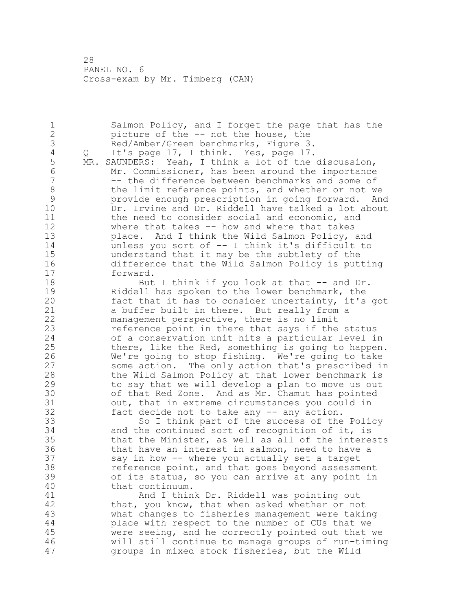2 picture of the -- not the house, the 3 Red/Amber/Green benchmarks, Figure 3.<br>4 0 It's page 17, I think. Yes, page 17. 4 Q It's page 17, I think. Yes, page 17.<br>5 MR. SAUNDERS: Yeah, I think a lot of the MR. SAUNDERS: Yeah, I think a lot of the discussion, 6 Mr. Commissioner, has been around the importance -- the difference between benchmarks and some of 8 the limit reference points, and whether or not we<br>9 provide enough prescription in going forward. An 9 provide enough prescription in going forward. And<br>10 Dr. Irvine and Dr. Riddell have talked a lot about Dr. Irvine and Dr. Riddell have talked a lot about 11 the need to consider social and economic, and 12 where that takes -- how and where that takes 13 place. And I think the Wild Salmon Policy, and 14 unless you sort of -- I think it's difficult to 15 understand that it may be the subtlety of the<br>16 difference that the Wild Salmon Policy is put difference that the Wild Salmon Policy is putting 17 forward.

1 Salmon Policy, and I forget the page that has the

18 But I think if you look at that -- and Dr. 19 Riddell has spoken to the lower benchmark, the<br>20 fact that it has to consider uncertainty, it's fact that it has to consider uncertainty, it's got 21 a buffer built in there. But really from a 22 management perspective, there is no limit 23 reference point in there that says if the status 24 of a conservation unit hits a particular level in 25 there, like the Red, something is going to happen. 26 We're going to stop fishing. We're going to take<br>27 some action. The only action that's prescribed in some action. The only action that's prescribed in 28 the Wild Salmon Policy at that lower benchmark is 29 to say that we will develop a plan to move us out 30 of that Red Zone. And as Mr. Chamut has pointed<br>31 out, that in extreme circumstances you could in 31 out, that in extreme circumstances you could in<br>32 fact decide not to take any -- any action. fact decide not to take any  $-$  any action.

 So I think part of the success of the Policy and the continued sort of recognition of it, is that the Minister, as well as all of the interests that have an interest in salmon, need to have a say in how -- where you actually set a target reference point, and that goes beyond assessment of its status, so you can arrive at any point in that continuum.

41 And I think Dr. Riddell was pointing out<br>42 that, you know, that when asked whether or no that, you know, that when asked whether or not what changes to fisheries management were taking place with respect to the number of CUs that we were seeing, and he correctly pointed out that we will still continue to manage groups of run-timing groups in mixed stock fisheries, but the Wild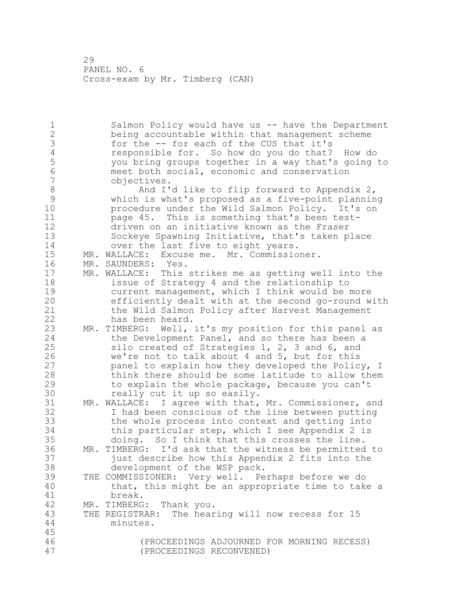Salmon Policy would have us -- have the Department being accountable within that management scheme 3 for the -- for each of the CUS that it's<br>4 responsible for. So how do you do that? 4 responsible for. So how do you do that? How do<br>5 you bring groups together in a way that's going you bring groups together in a way that's going to meet both social, economic and conservation objectives. 8 And I'd like to flip forward to Appendix 2,<br>9 Which is what's proposed as a five-point planning which is what's proposed as a five-point planning procedure under the Wild Salmon Policy. It's on page 45. This is something that's been test- driven on an initiative known as the Fraser Sockeye Spawning Initiative, that's taken place 14 over the last five to eight years. MR. WALLACE: Excuse me. Mr. Commissioner. MR. SAUNDERS: Yes. MR. WALLACE: This strikes me as getting well into the issue of Strategy 4 and the relationship to 19 current management, which I think would be more<br>20 efficiently dealt with at the second go-round w efficiently dealt with at the second go-round with the Wild Salmon Policy after Harvest Management has been heard. MR. TIMBERG: Well, it's my position for this panel as the Development Panel, and so there has been a silo created of Strategies 1, 2, 3 and 6, and 26 we're not to talk about 4 and 5, but for this<br>27 panel to explain how they developed the Polic panel to explain how they developed the Policy, I think there should be some latitude to allow them to explain the whole package, because you can't 30 really cut it up so easily.<br>31 MR. WALLACE: I agree with that, MR. WALLACE: I agree with that, Mr. Commissioner, and I had been conscious of the line between putting the whole process into context and getting into this particular step, which I see Appendix 2 is doing. So I think that this crosses the line. MR. TIMBERG: I'd ask that the witness be permitted to just describe how this Appendix 2 fits into the development of the WSP pack. THE COMMISSIONER: Very well. Perhaps before we do that, this might be an appropriate time to take a 41 break.<br>42 MR. TIMBERG MR. TIMBERG: Thank you. THE REGISTRAR: The hearing will now recess for 15 minutes. (PROCEEDINGS ADJOURNED FOR MORNING RECESS) (PROCEEDINGS RECONVENED)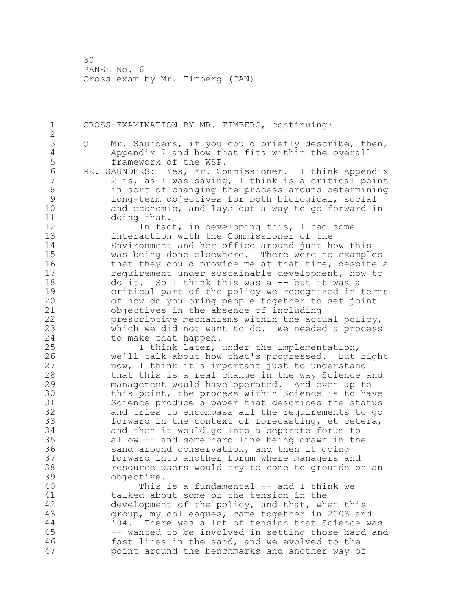30 PANEL No. 6 Cross-exam by Mr. Timberg (CAN)

1 CROSS-EXAMINATION BY MR. TIMBERG, continuing: 2 3 Q Mr. Saunders, if you could briefly describe, then,<br>4 Appendix 2 and how that fits within the overall 4 Appendix 2 and how that fits within the overall 5 framework of the WSP.<br>6 MR. SAUNDERS: Yes, Mr. Co 6 MR. SAUNDERS: Yes, Mr. Commissioner. I think Appendix 2 is, as I was saying, I think is a critical point 8 in sort of changing the process around determining<br>9 1 ong-term objectives for both biological, social 9 long-term objectives for both biological, social<br>10 and economic, and lavs out a way to go forward i and economic, and lays out a way to go forward in 11 doing that. 12 12 In fact, in developing this, I had some 13 interaction with the Commissioner of the 14 Environment and her office around just how this 15 was being done elsewhere. There were no examples 16 that they could provide me at that time, despite a 17 requirement under sustainable development, how to 18 do it. So I think this was a -- but it was a 19 critical part of the policy we recognized in terms<br>20 of how do you bring people together to set joint of how do you bring people together to set joint 21 objectives in the absence of including 22 prescriptive mechanisms within the actual policy, 23 which we did not want to do. We needed a process 24 to make that happen. 25 I think later, under the implementation, 26 we'll talk about how that's progressed. But right<br>27 mow, I think it's important just to understand now, I think it's important just to understand 28 that this is a real change in the way Science and 29 management would have operated. And even up to 30 this point, the process within Science is to have<br>31 Science produce a paper that describes the status 31 Science produce a paper that describes the status<br>32 and tries to encompass all the requirements to go and tries to encompass all the requirements to go 33 forward in the context of forecasting, et cetera, 34 and then it would go into a separate forum to 35 allow -- and some hard line being drawn in the 36 sand around conservation, and then it going 37 forward into another forum where managers and 38 resource users would try to come to grounds on an 39 objective. 40 This is a fundamental -- and I think we 41 talked about some of the tension in the<br>42 development of the policy, and that, wh development of the policy, and that, when this 43 group, my colleagues, came together in 2003 and 44 '04. There was a lot of tension that Science was 45 -- wanted to be involved in setting those hard and 46 fast lines in the sand, and we evolved to the 47 point around the benchmarks and another way of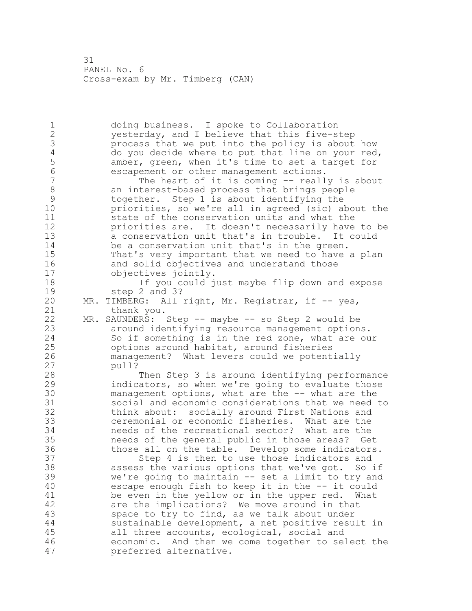PANEL No. 6 Cross-exam by Mr. Timberg (CAN)

 doing business. I spoke to Collaboration yesterday, and I believe that this five-step 3 process that we put into the policy is about how<br>4 do you decide where to put that line on your red 4 do you decide where to put that line on your red,<br>5 amber, green, when it's time to set a target for 5 amber, green, when it's time to set a target for<br>6 escapement or other management actions. escapement or other management actions. The heart of it is coming -- really is about 8 an interest-based process that brings people<br>9 together. Step 1 is about identifying the together. Step 1 is about identifying the priorities, so we're all in agreed (sic) about the state of the conservation units and what the priorities are. It doesn't necessarily have to be a conservation unit that's in trouble. It could be a conservation unit that's in the green. That's very important that we need to have a plan and solid objectives and understand those objectives jointly. If you could just maybe flip down and expose 19 step 2 and 3?<br>20 MR. TIMBERG: All MR. TIMBERG: All right, Mr. Registrar, if -- yes, thank you. MR. SAUNDERS: Step -- maybe -- so Step 2 would be around identifying resource management options. So if something is in the red zone, what are our options around habitat, around fisheries 26 management? What levers could we potentially<br>27 bull? pull? Then Step 3 is around identifying performance indicators, so when we're going to evaluate those 30 management options, what are the -- what are the<br>31 social and economic considerations that we need social and economic considerations that we need to think about: socially around First Nations and ceremonial or economic fisheries. What are the needs of the recreational sector? What are the needs of the general public in those areas? Get those all on the table. Develop some indicators. Step 4 is then to use those indicators and assess the various options that we've got. So if we're going to maintain -- set a limit to try and escape enough fish to keep it in the -- it could 41 be even in the yellow or in the upper red. What<br>42 are the implications? We move around in that are the implications? We move around in that space to try to find, as we talk about under sustainable development, a net positive result in all three accounts, ecological, social and economic. And then we come together to select the preferred alternative.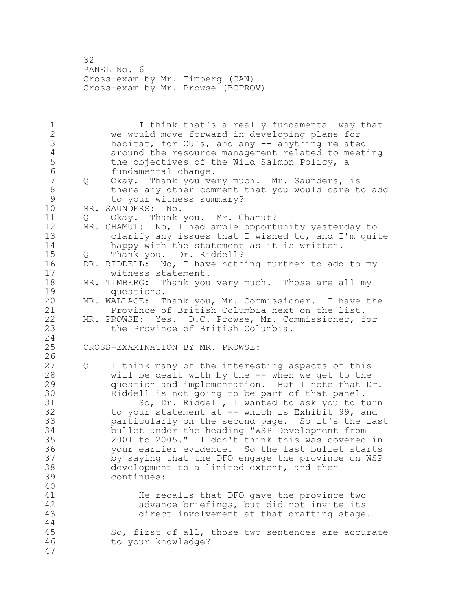PANEL No. 6 Cross-exam by Mr. Timberg (CAN) Cross-exam by Mr. Prowse (BCPROV)

 I think that's a really fundamental way that we would move forward in developing plans for 3 habitat, for CU's, and any -- anything related<br>4 around the resource management related to meet. 4 around the resource management related to meeting<br>5 the objectives of the Wild Salmon Policy, a 5 the objectives of the Wild Salmon Policy, a<br>6 fundamental change. 6 fundamental change.<br>7 0 Okav. Thank you ye Q Okay. Thank you very much. Mr. Saunders, is 8 there any other comment that you would care to add<br>9 to your witness summary? 9 to your witness summary?<br>10 MR. SAUNDERS: No. MR. SAUNDERS: No. Q Okay. Thank you. Mr. Chamut? 12 MR. CHAMUT: No, I had ample opportunity yesterday to clarify any issues that I wished to, and I'm quite 14 happy with the statement as it is written.<br>15 0 Thank you. Dr. Riddell? Q Thank you. Dr. Riddell? DR. RIDDELL: No, I have nothing further to add to my witness statement. MR. TIMBERG: Thank you very much. Those are all my 19 questions.<br>20 MR. WALLACE: T MR. WALLACE: Thank you, Mr. Commissioner. I have the Province of British Columbia next on the list. MR. PROWSE: Yes. D.C. Prowse, Mr. Commissioner, for the Province of British Columbia. CROSS-EXAMINATION BY MR. PROWSE:  $\frac{26}{27}$  Q I think many of the interesting aspects of this will be dealt with by the -- when we get to the question and implementation. But I note that Dr. 30 Riddell is not going to be part of that panel.<br>31 So. Dr. Riddell. I wanted to ask you to t So, Dr. Riddell, I wanted to ask you to turn to your statement at -- which is Exhibit 99, and particularly on the second page. So it's the last bullet under the heading "WSP Development from 2001 to 2005." I don't think this was covered in your earlier evidence. So the last bullet starts by saying that the DFO engage the province on WSP development to a limited extent, and then continues: 41 He recalls that DFO gave the province two<br>42 advance briefings, but did not invite its advance briefings, but did not invite its direct involvement at that drafting stage. So, first of all, those two sentences are accurate to your knowledge?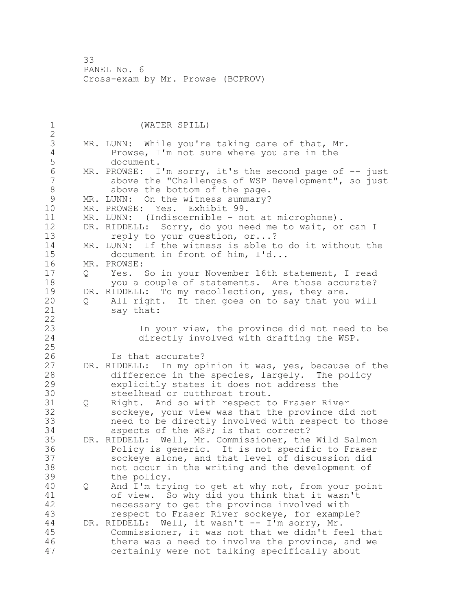33 PANEL No. 6 Cross-exam by Mr. Prowse (BCPROV)

1 (WATER SPILL) 2 3 MR. LUNN: While you're taking care of that, Mr.<br>4 Prowse, I'm not sure where you are in the 4 Prowse, I'm not sure where you are in the 5 document.<br>6 MR. PROWSE: I 6 MR. PROWSE: I'm sorry, it's the second page of -- just<br>7 above the "Challenges of WSP Development", so just above the "Challenges of WSP Development", so just 8 above the bottom of the page.<br>9 MR. LUNN: On the witness summary? 9 MR. LUNN: On the witness summary?<br>10 MR. PROWSE: Yes. Exhibit 99. MR. PROWSE: Yes. Exhibit 99. 11 MR. LUNN: (Indiscernible - not at microphone). 12 DR. RIDDELL: Sorry, do you need me to wait, or can I 13 reply to your question, or...? 14 MR. LUNN: If the witness is able to do it without the<br>15 document in front of him, I'd... 15 document in front of him, I'd...<br>16 MR. PROWSE: MR. PROWSE: 17 Q Yes. So in your November 16th statement, I read 18 you a couple of statements. Are those accurate? 19 DR. RIDDELL: To my recollection, yes, they are.<br>20 0 All right. It then goes on to say that you 20 Q All right. It then goes on to say that you will 21 say that: 22 23 In your view, the province did not need to be 24 directly involved with drafting the WSP. 25 26 Is that accurate?<br>27 DR. RIDDELL: In my op. DR. RIDDELL: In my opinion it was, yes, because of the 28 difference in the species, largely. The policy 29 explicitly states it does not address the 30 steelhead or cutthroat trout.<br>31 0 Right. And so with respect t 31 Q Right. And so with respect to Fraser River<br>32 Sockeve, your view was that the province di sockeye, your view was that the province did not 33 need to be directly involved with respect to those 34 aspects of the WSP; is that correct? 35 DR. RIDDELL: Well, Mr. Commissioner, the Wild Salmon 36 Policy is generic. It is not specific to Fraser 37 sockeye alone, and that level of discussion did 38 not occur in the writing and the development of 39 the policy. 40 Q And I'm trying to get at why not, from your point 41 of view. So why did you think that it wasn't<br>42 mecessary to get the province involved with necessary to get the province involved with 43 respect to Fraser River sockeye, for example? 44 DR. RIDDELL: Well, it wasn't -- I'm sorry, Mr. 45 Commissioner, it was not that we didn't feel that 46 there was a need to involve the province, and we 47 certainly were not talking specifically about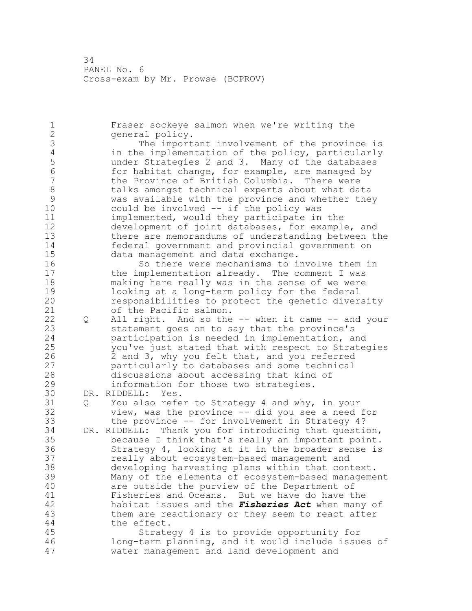PANEL No. 6 Cross-exam by Mr. Prowse (BCPROV)

 Fraser sockeye salmon when we're writing the general policy. 3 The important involvement of the province is<br>4 in the implementation of the policy, particularly 4 in the implementation of the policy, particularly<br>5 under Strategies 2 and 3. Many of the databases under Strategies 2 and 3. Many of the databases 6 for habitat change, for example, are managed by<br>7 the Province of British Columbia. There were the Province of British Columbia. There were 8 talks amongst technical experts about what data<br>9 was available with the province and whether the 9 was available with the province and whether they<br>10 could be involved -- if the policy was could be involved  $-$  if the policy was implemented, would they participate in the development of joint databases, for example, and there are memorandums of understanding between the federal government and provincial government on data management and data exchange. So there were mechanisms to involve them in the implementation already. The comment I was making here really was in the sense of we were 19 looking at a long-term policy for the federal<br>20 mesponsibilities to protect the genetic diver responsibilities to protect the genetic diversity of the Pacific salmon. Q All right. And so the -- when it came -- and your statement goes on to say that the province's participation is needed in implementation, and you've just stated that with respect to Strategies 26 2 and 3, why you felt that, and you referred<br>27 barticularly to databases and some technical particularly to databases and some technical discussions about accessing that kind of information for those two strategies. 30 DR. RIDDELL: Yes.<br>31 0 You also refe Q You also refer to Strategy 4 and why, in your view, was the province -- did you see a need for the province -- for involvement in Strategy 4? DR. RIDDELL: Thank you for introducing that question, because I think that's really an important point. Strategy 4, looking at it in the broader sense is really about ecosystem-based management and developing harvesting plans within that context. Many of the elements of ecosystem-based management are outside the purview of the Department of 41 Fisheries and Oceans. But we have do have the<br>42 habitat issues and the *Fisheries Act* when many habitat issues and the *Fisheries Act* when many of them are reactionary or they seem to react after the effect. Strategy 4 is to provide opportunity for long-term planning, and it would include issues of water management and land development and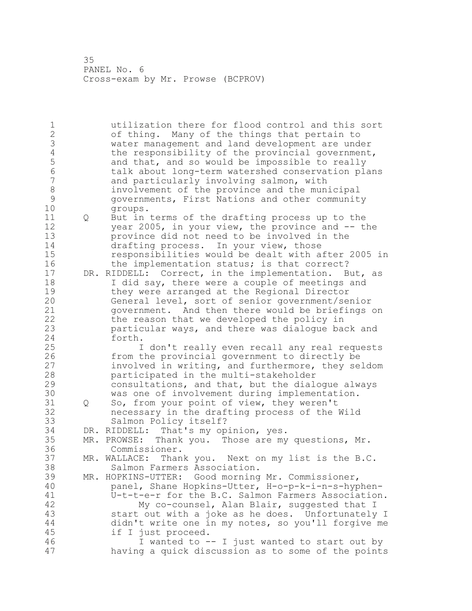PANEL No. 6 Cross-exam by Mr. Prowse (BCPROV)

 utilization there for flood control and this sort of thing. Many of the things that pertain to water management and land development are under 4 the responsibility of the provincial government,<br>5 and that, and so would be impossible to really 5 and that, and so would be impossible to really<br>6 talk about long-term watershed conservation pl talk about long-term watershed conservation plans and particularly involving salmon, with involvement of the province and the municipal governments, First Nations and other community groups. Q But in terms of the drafting process up to the 12 year 2005, in your view, the province and -- the province did not need to be involved in the drafting process. In your view, those responsibilities would be dealt with after 2005 in 16 the implementation status; is that correct? DR. RIDDELL: Correct, in the implementation. But, as I did say, there were a couple of meetings and 19 they were arranged at the Regional Director<br>20 General level, sort of senior government/se General level, sort of senior government/senior government. And then there would be briefings on the reason that we developed the policy in particular ways, and there was dialogue back and forth. I don't really even recall any real requests 26 from the provincial government to directly be<br>27 involved in writing, and furthermore, they se involved in writing, and furthermore, they seldom participated in the multi-stakeholder consultations, and that, but the dialogue always 30 was one of involvement during implementation.<br>31 0 So, from your point of view, they weren't Q So, from your point of view, they weren't necessary in the drafting process of the Wild Salmon Policy itself? DR. RIDDELL: That's my opinion, yes. MR. PROWSE: Thank you. Those are my questions, Mr. Commissioner. MR. WALLACE: Thank you. Next on my list is the B.C. Salmon Farmers Association. MR. HOPKINS-UTTER: Good morning Mr. Commissioner, panel, Shane Hopkins-Utter, H-o-p-k-i-n-s-hyphen- U-t-t-e-r for the B.C. Salmon Farmers Association. My co-counsel, Alan Blair, suggested that I start out with a joke as he does. Unfortunately I didn't write one in my notes, so you'll forgive me if I just proceed. I wanted to -- I just wanted to start out by having a quick discussion as to some of the points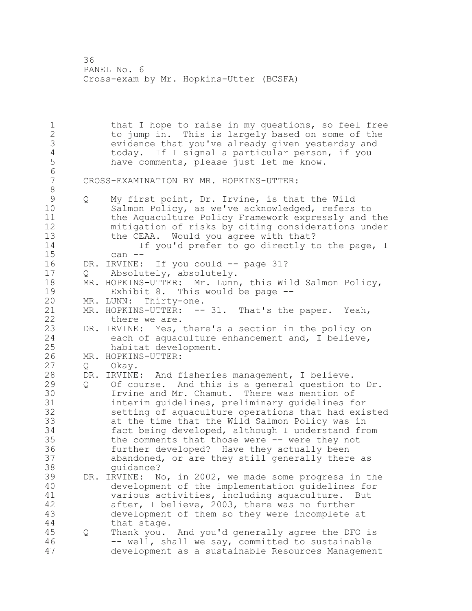1 that I hope to raise in my questions, so feel free<br>2 to jump in. This is largely based on some of the to jump in. This is largely based on some of the 3 evidence that you've already given yesterday and<br>4 today. If I signal a particular person, if you 4 today. If I signal a particular person, if you<br>5 have comments, please just let me know. have comments, please just let me know. 6 7 CROSS-EXAMINATION BY MR. HOPKINS-UTTER: 8 9 Q My first point, Dr. Irvine, is that the Wild<br>10 Salmon Policv, as we've acknowledged, refers Salmon Policy, as we've acknowledged, refers to 11 the Aquaculture Policy Framework expressly and the 12 mitigation of risks by citing considerations under 13 the CEAA. Would you agree with that? 14 If you'd prefer to go directly to the page, I 15 can -- 16 DR. IRVINE: If you could -- page 31? 17 Q Absolutely, absolutely. 18 MR. HOPKINS-UTTER: Mr. Lunn, this Wild Salmon Policy, 19 Exhibit 8. This would be page --<br>20 MR. LUNN: Thirty-one. MR. LUNN: Thirty-one. 21 MR. HOPKINS-UTTER: -- 31. That's the paper. Yeah, 22 there we are. 23 DR. IRVINE: Yes, there's a section in the policy on 24 each of aquaculture enhancement and, I believe, 25 habitat development. 26 MR. HOPKINS-UTTER:<br>27 O Okay. Q Okay. 28 DR. IRVINE: And fisheries management, I believe. 29 Q Of course. And this is a general question to Dr. 30 Irvine and Mr. Chamut. There was mention of<br>31 interim quidelines, preliminary quidelines f interim guidelines, preliminary guidelines for 32 setting of aquaculture operations that had existed 33 at the time that the Wild Salmon Policy was in 34 fact being developed, although I understand from 35 the comments that those were -- were they not 36 further developed? Have they actually been 37 abandoned, or are they still generally there as 38 guidance?<br>39 DR. IRVINE: N 39 DR. IRVINE: No, in 2002, we made some progress in the 40 development of the implementation guidelines for 41 various activities, including aquaculture. But<br>42 after, I believe, 2003, there was no further after, I believe, 2003, there was no further 43 development of them so they were incomplete at 44 that stage. 45 Q Thank you. And you'd generally agree the DFO is 46 -- well, shall we say, committed to sustainable 47 development as a sustainable Resources Management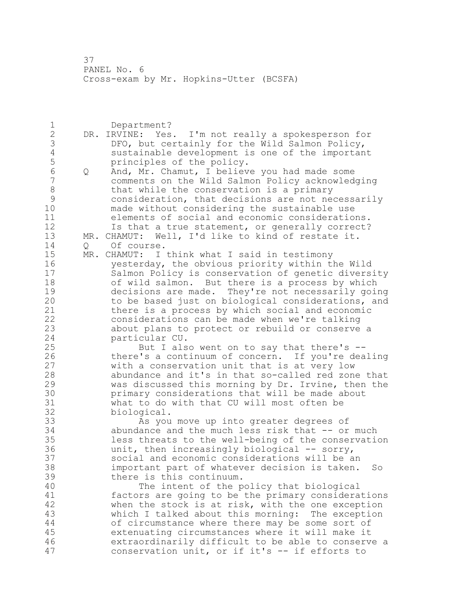Department? DR. IRVINE: Yes. I'm not really a spokesperson for 3 DFO, but certainly for the Wild Salmon Policy,<br>4 sustainable development is one of the importan 4 sustainable development is one of the important<br>5 principles of the policy. 5 principles of the policy.<br>6 0 And. Mr. Chamut. I believ Q And, Mr. Chamut, I believe you had made some comments on the Wild Salmon Policy acknowledging 8 that while the conservation is a primary<br>9 consideration, that decisions are not nee consideration, that decisions are not necessarily made without considering the sustainable use elements of social and economic considerations. Is that a true statement, or generally correct? MR. CHAMUT: Well, I'd like to kind of restate it. Q Of course. MR. CHAMUT: I think what I said in testimony yesterday, the obvious priority within the Wild Salmon Policy is conservation of genetic diversity of wild salmon. But there is a process by which 19 decisions are made. They're not necessarily going<br>20 to be based just on biological considerations, and to be based just on biological considerations, and there is a process by which social and economic considerations can be made when we're talking about plans to protect or rebuild or conserve a particular CU. But I also went on to say that there's -- 26 there's a continuum of concern. If you're dealing<br>27 with a conservation unit that is at very low with a conservation unit that is at very low abundance and it's in that so-called red zone that was discussed this morning by Dr. Irvine, then the 30 primary considerations that will be made about<br>31 what to do with that CU will most often be what to do with that CU will most often be biological. As you move up into greater degrees of abundance and the much less risk that -- or much less threats to the well-being of the conservation unit, then increasingly biological -- sorry, social and economic considerations will be an important part of whatever decision is taken. So there is this continuum. The intent of the policy that biological 41 factors are going to be the primary considerations<br>42 when the stock is at risk, with the one exception when the stock is at risk, with the one exception which I talked about this morning: The exception of circumstance where there may be some sort of extenuating circumstances where it will make it extraordinarily difficult to be able to conserve a conservation unit, or if it's -- if efforts to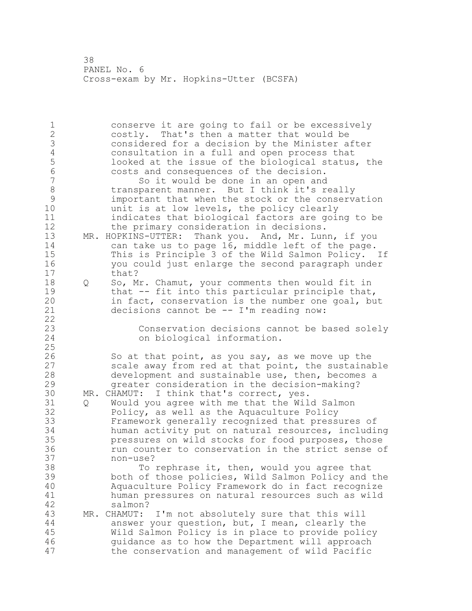conserve it are going to fail or be excessively costly. That's then a matter that would be considered for a decision by the Minister after 4 consultation in a full and open process that<br>5 100ked at the issue of the biological status, 5 looked at the issue of the biological status, the<br>6 costs and consequences of the decision. costs and consequences of the decision. So it would be done in an open and 8 transparent manner. But I think it's really<br>9 important that when the stock or the conserv 9 important that when the stock or the conservation<br>10 unit is at low levels, the policy clearly unit is at low levels, the policy clearly indicates that biological factors are going to be 12 the primary consideration in decisions. 13 MR. HOPKINS-UTTER: Thank you. And, Mr. Lunn, if you can take us to page 16, middle left of the page. This is Principle 3 of the Wild Salmon Policy. If you could just enlarge the second paragraph under that? Q So, Mr. Chamut, your comments then would fit in 19 that -- fit into this particular principle that,<br>20 in fact, conservation is the number one goal, bu in fact, conservation is the number one goal, but decisions cannot be -- I'm reading now: Conservation decisions cannot be based solely on biological information. 26 So at that point, as you say, as we move up the<br>27 scale away from red at that point, the sustainal scale away from red at that point, the sustainable development and sustainable use, then, becomes a greater consideration in the decision-making? 30 MR. CHAMUT: I think that's correct, yes.<br>31 0 Would you agree with me that the Wil Q Would you agree with me that the Wild Salmon Policy, as well as the Aquaculture Policy Framework generally recognized that pressures of human activity put on natural resources, including pressures on wild stocks for food purposes, those run counter to conservation in the strict sense of non-use? To rephrase it, then, would you agree that both of those policies, Wild Salmon Policy and the Aquaculture Policy Framework do in fact recognize human pressures on natural resources such as wild salmon?<br>MR. CHAMUT: MR. CHAMUT: I'm not absolutely sure that this will answer your question, but, I mean, clearly the Wild Salmon Policy is in place to provide policy guidance as to how the Department will approach the conservation and management of wild Pacific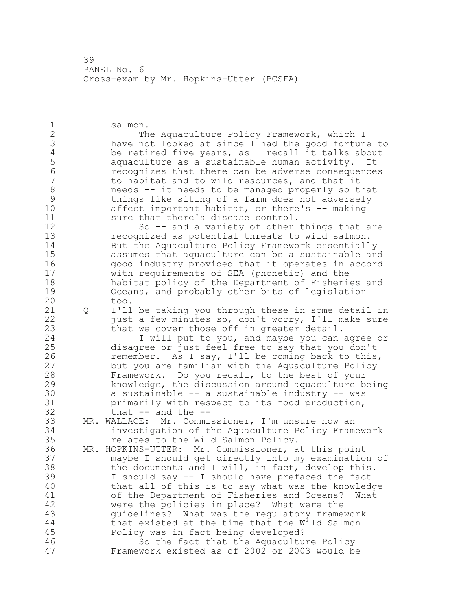salmon. 2 The Aquaculture Policy Framework, which I 3 have not looked at since I had the good fortune to<br>4 be retired five years, as I recall it talks about 4 be retired five years, as I recall it talks about<br>5 aquaculture as a sustainable human activity. It aquaculture as a sustainable human activity. It **6** recognizes that there can be adverse consequences<br>7 to habitat and to wild resources, and that it to habitat and to wild resources, and that it 8 needs -- it needs to be managed properly so that<br>9 things like siting of a farm does not adversely 9 things like siting of a farm does not adversely<br>10 affect important habitat, or there's -- making affect important habitat, or there's  $-$ - making 11 sure that there's disease control. So -- and a variety of other things that are recognized as potential threats to wild salmon. But the Aquaculture Policy Framework essentially assumes that aquaculture can be a sustainable and good industry provided that it operates in accord with requirements of SEA (phonetic) and the habitat policy of the Department of Fisheries and 19 Oceans, and probably other bits of legislation<br>20 too. too. Q I'll be taking you through these in some detail in 22 just a few minutes so, don't worry, I'll make sure that we cover those off in greater detail. I will put to you, and maybe you can agree or disagree or just feel free to say that you don't 26 remember. As I say, I'll be coming back to this,<br>27 but you are familiar with the Aquaculture Policy but you are familiar with the Aquaculture Policy Framework. Do you recall, to the best of your knowledge, the discussion around aquaculture being 30 a sustainable -- a sustainable industry -- was<br>31 brimarily with respect to its food production. primarily with respect to its food production, that  $--$  and the  $--$  MR. WALLACE: Mr. Commissioner, I'm unsure how an investigation of the Aquaculture Policy Framework relates to the Wild Salmon Policy. MR. HOPKINS-UTTER: Mr. Commissioner, at this point maybe I should get directly into my examination of the documents and I will, in fact, develop this. I should say -- I should have prefaced the fact that all of this is to say what was the knowledge of the Department of Fisheries and Oceans? What were the policies in place? What were the guidelines? What was the regulatory framework that existed at the time that the Wild Salmon Policy was in fact being developed? So the fact that the Aquaculture Policy Framework existed as of 2002 or 2003 would be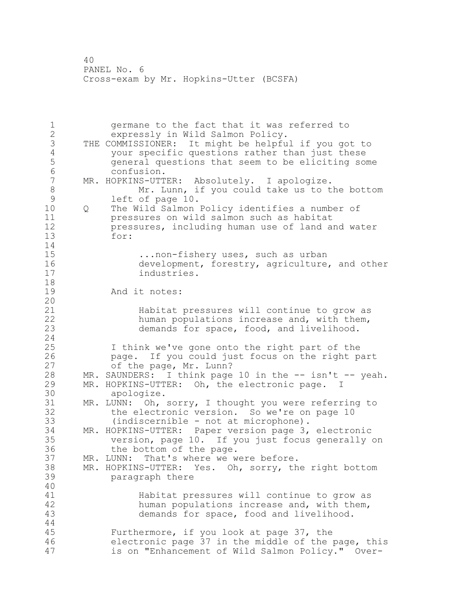1 germane to the fact that it was referred to 2 expressly in Wild Salmon Policy. 3 THE COMMISSIONER: It might be helpful if you got to<br>4 vour specific questions rather than just these 4 your specific questions rather than just these<br>5 general questions that seem to be eliciting som 5 general questions that seem to be eliciting some 6 confusion.<br>7 MR. HOPKINS-UTT MR. HOPKINS-UTTER: Absolutely. I apologize. 8 Mr. Lunn, if you could take us to the bottom<br>9 left of page 10. 9 left of page 10.<br>10 0 The Wild Salmon 10 Q The Wild Salmon Policy identifies a number of 11 pressures on wild salmon such as habitat 12 pressures, including human use of land and water 13 for:  $\frac{14}{15}$ 15 ...non-fishery uses, such as urban<br>16 development, forestry, agriculture, 16 development, forestry, agriculture, and other<br>17 industries. industries. 18 19 And it notes: 20 21 Habitat pressures will continue to grow as 22 human populations increase and, with them, 23 demands for space, food, and livelihood. 24 25 I think we've gone onto the right part of the 26 page. If you could just focus on the right part<br>27 of the page, Mr. Lunn? of the page, Mr. Lunn? 28 MR. SAUNDERS: I think page 10 in the -- isn't -- yeah. 29 MR. HOPKINS-UTTER: Oh, the electronic page. 30 apologize.<br>31 MR. LUNN: Oh, MR. LUNN: Oh, sorry, I thought you were referring to 32 the electronic version. So we're on page 10 33 (indiscernible - not at microphone). 34 MR. HOPKINS-UTTER: Paper version page 3, electronic 35 version, page 10. If you just focus generally on<br>36 the bottom of the page. the bottom of the page. 37 MR. LUNN: That's where we were before. 38 MR. HOPKINS-UTTER: Yes. Oh, sorry, the right bottom 39 paragraph there 40 41 Habitat pressures will continue to grow as<br>42 human populations increase and, with them, human populations increase and, with them, 43 demands for space, food and livelihood. 44 45 Furthermore, if you look at page 37, the 46 electronic page 37 in the middle of the page, this 47 is on "Enhancement of Wild Salmon Policy." Over-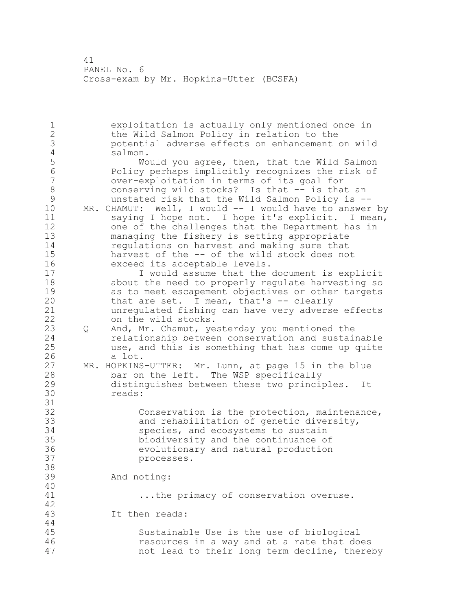exploitation is actually only mentioned once in the Wild Salmon Policy in relation to the potential adverse effects on enhancement on wild 4 salmon.<br>5 Wo 5 Would you agree, then, that the Wild Salmon<br>6 Policy perhaps implicitly recognizes the risk of Policy perhaps implicitly recognizes the risk of over-exploitation in terms of its goal for 8 6 8 6 conserving wild stocks? Is that -- is that an<br>8 6 munstated risk that the Wild Salmon Policy is 9 unstated risk that the Wild Salmon Policy is --<br>10 MR. CHAMUT: Well, I would -- I would have to answer MR. CHAMUT: Well, I would -- I would have to answer by saying I hope not. I hope it's explicit. I mean, one of the challenges that the Department has in managing the fishery is setting appropriate regulations on harvest and making sure that harvest of the -- of the wild stock does not exceed its acceptable levels. I would assume that the document is explicit about the need to properly regulate harvesting so 19 as to meet escapement objectives or other targets<br>20 that are set. I mean, that's -- clearly that are set. I mean, that's  $-$  clearly unregulated fishing can have very adverse effects on the wild stocks. Q And, Mr. Chamut, yesterday you mentioned the relationship between conservation and sustainable use, and this is something that has come up quite 26 a lot.<br>27 MR. HOPKINS MR. HOPKINS-UTTER: Mr. Lunn, at page 15 in the blue bar on the left. The WSP specifically distinguishes between these two principles. It reads: 31<br>32 Conservation is the protection, maintenance, and rehabilitation of genetic diversity, species, and ecosystems to sustain biodiversity and the continuance of evolutionary and natural production processes. And noting: ...the primacy of conservation overuse. It then reads: Sustainable Use is the use of biological resources in a way and at a rate that does not lead to their long term decline, thereby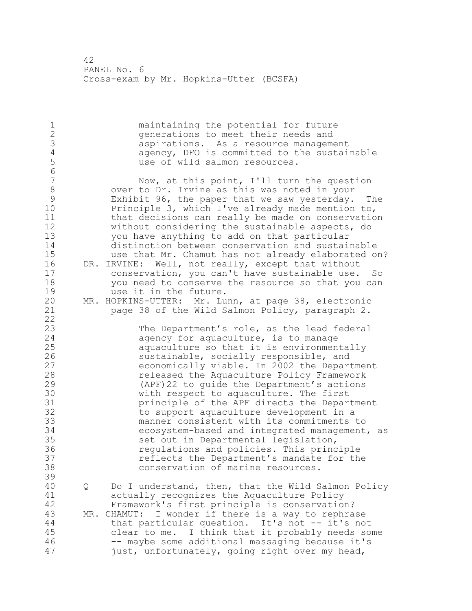1 maintaining the potential for future<br>2 cenerations to meet their needs and generations to meet their needs and 3 aspirations. As a resource management<br>4 agency, DFO is committed to the sustai 4 agency, DFO is committed to the sustainable<br>5 and use of wild salmon resources. use of wild salmon resources. 6 Now, at this point, I'll turn the question 8 over to Dr. Irvine as this was noted in your<br>9 Exhibit 96, the paper that we saw vesterdav. 9 Exhibit 96, the paper that we saw yesterday. The<br>10 Principle 3, which I've already made mention to, Principle 3, which I've already made mention to, 11 that decisions can really be made on conservation 12 without considering the sustainable aspects, do 13 you have anything to add on that particular 14 distinction between conservation and sustainable 15 use that Mr. Chamut has not already elaborated on? 16 DR. IRVINE: Well, not really, except that without 17 conservation, you can't have sustainable use. So 18 you need to conserve the resource so that you can 19 use it in the future.<br>20 MR. HOPKINS-UTTER: Mr. Lu MR. HOPKINS-UTTER: Mr. Lunn, at page 38, electronic 21 page 38 of the Wild Salmon Policy, paragraph 2. 22 23 The Department's role, as the lead federal 24 agency for aquaculture, is to manage 25 aquaculture so that it is environmentally 26 sustainable, socially responsible, and<br>27 seconomically viable. In 2002 the Depart 27 economically viable. In 2002 the Department<br>28 released the Aquaculture Policy Framework released the Aquaculture Policy Framework 29 (APF)22 to guide the Department's actions 30 with respect to aquaculture. The first<br>31 brinciple of the APF directs the Depar 31 **principle of the APF directs the Department**<br>32 to support aquaculture development in a to support aquaculture development in a 33 manner consistent with its commitments to 34 ecosystem-based and integrated management, as 35 set out in Departmental legislation, 36 regulations and policies. This principle 37 reflects the Department's mandate for the 38 conservation of marine resources. 39 40 Q Do I understand, then, that the Wild Salmon Policy 41 actually recognizes the Aquaculture Policy<br>42 Framework's first principle is conservatio Framework's first principle is conservation? 43 MR. CHAMUT: I wonder if there is a way to rephrase 44 that particular question. It's not -- it's not 45 clear to me. I think that it probably needs some 46 -- maybe some additional massaging because it's 47 just, unfortunately, going right over my head,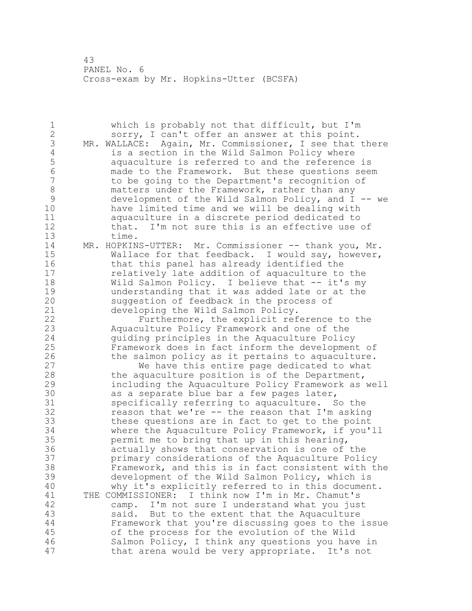| $\mathbf 1$<br>$\overline{2}$<br>3<br>$\sqrt{4}$<br>5<br>6<br>$\overline{7}$<br>$\,8\,$<br>9<br>10<br>11<br>12 | which is probably not that difficult, but I'm<br>sorry, I can't offer an answer at this point.<br>MR. WALLACE: Again, Mr. Commissioner, I see that there<br>is a section in the Wild Salmon Policy where<br>aquaculture is referred to and the reference is<br>made to the Framework. But these questions seem<br>to be going to the Department's recognition of<br>matters under the Framework, rather than any<br>development of the Wild Salmon Policy, and $I$ -- we<br>have limited time and we will be dealing with<br>aquaculture in a discrete period dedicated to<br>that. I'm not sure this is an effective use of |
|----------------------------------------------------------------------------------------------------------------|------------------------------------------------------------------------------------------------------------------------------------------------------------------------------------------------------------------------------------------------------------------------------------------------------------------------------------------------------------------------------------------------------------------------------------------------------------------------------------------------------------------------------------------------------------------------------------------------------------------------------|
| 13<br>14<br>15<br>16<br>17<br>18<br>19<br>20                                                                   | time.<br>MR. HOPKINS-UTTER: Mr. Commissioner -- thank you, Mr.<br>Wallace for that feedback. I would say, however,<br>that this panel has already identified the<br>relatively late addition of aquaculture to the<br>Wild Salmon Policy. I believe that -- it's my<br>understanding that it was added late or at the<br>suggestion of feedback in the process of                                                                                                                                                                                                                                                            |
| 21<br>22<br>23<br>24<br>25<br>26<br>27<br>28<br>29                                                             | developing the Wild Salmon Policy.<br>Furthermore, the explicit reference to the<br>Aquaculture Policy Framework and one of the<br>quiding principles in the Aquaculture Policy<br>Framework does in fact inform the development of<br>the salmon policy as it pertains to aquaculture.<br>We have this entire page dedicated to what<br>the aquaculture position is of the Department,                                                                                                                                                                                                                                      |
| 30<br>31<br>32<br>33<br>34<br>35<br>36<br>37                                                                   | including the Aquaculture Policy Framework as well<br>as a separate blue bar a few pages later,<br>specifically referring to aquaculture. So the<br>reason that we're -- the reason that I'm asking<br>these questions are in fact to get to the point<br>where the Aquaculture Policy Framework, if you'll<br>permit me to bring that up in this hearing,<br>actually shows that conservation is one of the<br>primary considerations of the Aquaculture Policy                                                                                                                                                             |
| 38<br>39<br>40<br>41<br>42<br>43<br>44<br>45<br>46<br>47                                                       | Framework, and this is in fact consistent with the<br>development of the Wild Salmon Policy, which is<br>why it's explicitly referred to in this document.<br>THE COMMISSIONER: I think now I'm in Mr. Chamut's<br>camp. I'm not sure I understand what you just<br>said. But to the extent that the Aquaculture<br>Framework that you're discussing goes to the issue<br>of the process for the evolution of the Wild<br>Salmon Policy, I think any questions you have in<br>that arena would be very appropriate. It's not                                                                                                 |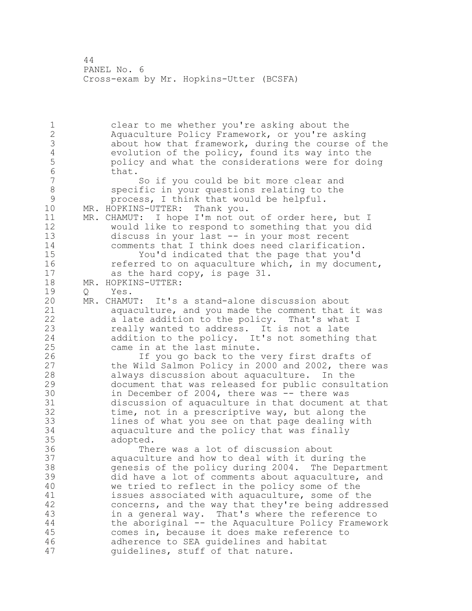1 clear to me whether you're asking about the 2 Aquaculture Policy Framework, or you're asking 3 about how that framework, during the course of the<br>4 evolution of the policy, found its way into the 4 evolution of the policy, found its way into the<br>5 bolicy and what the considerations were for doir 5 policy and what the considerations were for doing  $\begin{array}{ccc} 6 & & \text{that.} \\ 7 & & \end{array}$ So if you could be bit more clear and 8 specific in your questions relating to the<br>9 servicess. I think that would be helpful. 9 process, I think that would be helpful.<br>10 MR. HOPKINS-UTTER: Thank you. MR. HOPKINS-UTTER: Thank you. 11 MR. CHAMUT: I hope I'm not out of order here, but I 12 would like to respond to something that you did<br>13 discuss in your last -- in your most recent discuss in your last -- in your most recent 14 comments that I think does need clarification. 15 You'd indicated that the page that you'd 16 referred to on aquaculture which, in my document, 17 as the hard copy, is page 31. 18 MR. HOPKINS-UTTER: 19 Q Yes.<br>20 MR. CHAMU MR. CHAMUT: It's a stand-alone discussion about 21 aquaculture, and you made the comment that it was 22 a late addition to the policy. That's what I 23 really wanted to address. It is not a late 24 addition to the policy. It's not something that 25 came in at the last minute. 26 If you go back to the very first drafts of<br>27 the Wild Salmon Policy in 2000 and 2002, there the Wild Salmon Policy in 2000 and 2002, there was 28 always discussion about aquaculture. In the 29 document that was released for public consultation 30 in December of 2004, there was -- there was<br>31 discussion of aguaculture in that document discussion of aquaculture in that document at that 32 time, not in a prescriptive way, but along the 33 lines of what you see on that page dealing with 34 aquaculture and the policy that was finally 35 adopted. 36 There was a lot of discussion about 37 aquaculture and how to deal with it during the 38 genesis of the policy during 2004. The Department 39 did have a lot of comments about aquaculture, and 40 we tried to reflect in the policy some of the 41 issues associated with aquaculture, some of the<br>42 concerns, and the way that they're being addres. concerns, and the way that they're being addressed 43 in a general way. That's where the reference to 44 the aboriginal -- the Aquaculture Policy Framework 45 comes in, because it does make reference to 46 adherence to SEA guidelines and habitat 47 guidelines, stuff of that nature.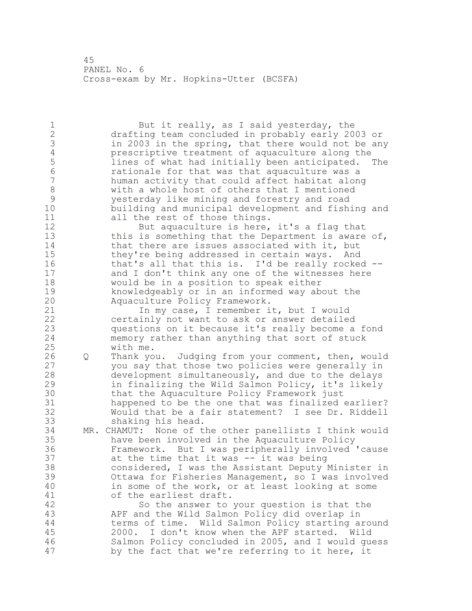1 But it really, as I said yesterday, the 2 drafting team concluded in probably early 2003 or 3 in 2003 in the spring, that there would not be any<br>4 prescriptive treatment of aquaculture along the 4 prescriptive treatment of aquaculture along the<br>5 lines of what had initially been anticipated. 5 lines of what had initially been anticipated. The<br>6 rationale for that was that aguaculture was a 6 rationale for that was that aquaculture was a human activity that could affect habitat along 8 with a whole host of others that I mentioned<br>9 westerday like mining and forestry and road 9 yesterday like mining and forestry and road building and municipal development and fishing and 11 all the rest of those things. 12 But aquaculture is here, it's a flag that<br>13 this is something that the Department is aware this is something that the Department is aware of, 14 that there are issues associated with it, but 15 they're being addressed in certain ways. And<br>16 that's all that this is. I'd be really rocked that's all that this is. I'd be really rocked  $-$ -17 and I don't think any one of the witnesses here 18 would be in a position to speak either 19 knowledgeably or in an informed way about the<br>20 Aquaculture Policy Framework. Aquaculture Policy Framework. 21 In my case, I remember it, but I would 22 certainly not want to ask or answer detailed 23 questions on it because it's really become a fond 24 memory rather than anything that sort of stuck 25 with me. 26 Q Thank you. Judging from your comment, then, would<br>27 you say that those two policies were generally in you say that those two policies were generally in 28 development simultaneously, and due to the delays 29 in finalizing the Wild Salmon Policy, it's likely 30 that the Aquaculture Policy Framework just<br>31 happened to be the one that was finalized 31 happened to be the one that was finalized earlier?<br>32 Would that be a fair statement? I see Dr. Riddell Would that be a fair statement? I see Dr. Riddell 33 shaking his head. 34 MR. CHAMUT: None of the other panellists I think would 35 have been involved in the Aquaculture Policy 36 Framework. But I was peripherally involved 'cause 37 at the time that it was -- it was being 38 considered, I was the Assistant Deputy Minister in 39 Ottawa for Fisheries Management, so I was involved 40 in some of the work, or at least looking at some 41 of the earliest draft.<br>42 So the answer to So the answer to your question is that the 43 APF and the Wild Salmon Policy did overlap in 44 terms of time. Wild Salmon Policy starting around 45 2000. I don't know when the APF started. Wild 46 Salmon Policy concluded in 2005, and I would guess 47 by the fact that we're referring to it here, it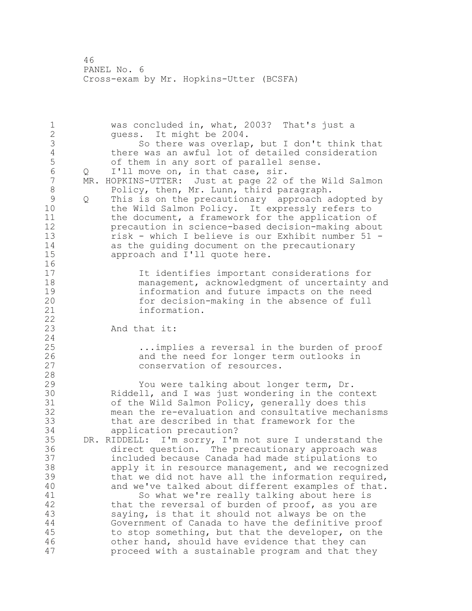1 was concluded in, what, 2003? That's just a 2 guess. It might be 2004. 3 So there was overlap, but I don't think that<br>4 there was an awful lot of detailed consideration 4 there was an awful lot of detailed consideration<br>5 of them in any sort of parallel sense. 5 of them in any sort of parallel sense.<br>6 0 I'll move on, in that case, sir. 6 Q I'll move on, in that case, sir.<br>7 MR. HOPKINS-UTTER: Just at page 22 o MR. HOPKINS-UTTER: Just at page 22 of the Wild Salmon 8 Policy, then, Mr. Lunn, third paragraph.<br>9 0 This is on the precautionary approach a 9 Q This is on the precautionary approach adopted by<br>10 the Wild Salmon Policy. It expressly refers to the Wild Salmon Policy. It expressly refers to 11 the document, a framework for the application of 12 precaution in science-based decision-making about 13 risk - which I believe is our Exhibit number 51 - 14 as the guiding document on the precautionary<br>15 approach and I'll quote here. approach and I'll quote here.  $\begin{array}{c} 16 \\ 17 \end{array}$ It identifies important considerations for 18 management, acknowledgment of uncertainty and 19 information and future impacts on the need for decision-making in the absence of full 21 information. 22 23 And that it: 24 25 ...implies a reversal in the burden of proof 26 and the need for longer term outlooks in<br>27 conservation of resources. conservation of resources. 28 29 You were talking about longer term, Dr. 30 Riddell, and I was just wondering in the context 31 of the Wild Salmon Policy, generally does this<br>32 mean the re-evaluation and consultative mechan mean the re-evaluation and consultative mechanisms 33 that are described in that framework for the 34 application precaution? 35 DR. RIDDELL: I'm sorry, I'm not sure I understand the 36 direct question. The precautionary approach was 37 included because Canada had made stipulations to 38 apply it in resource management, and we recognized 39 that we did not have all the information required, 40 and we've talked about different examples of that. 41 So what we're really talking about here is<br>42 that the reversal of burden of proof, as you ar that the reversal of burden of proof, as you are 43 saying, is that it should not always be on the 44 Government of Canada to have the definitive proof 45 to stop something, but that the developer, on the 46 other hand, should have evidence that they can 47 proceed with a sustainable program and that they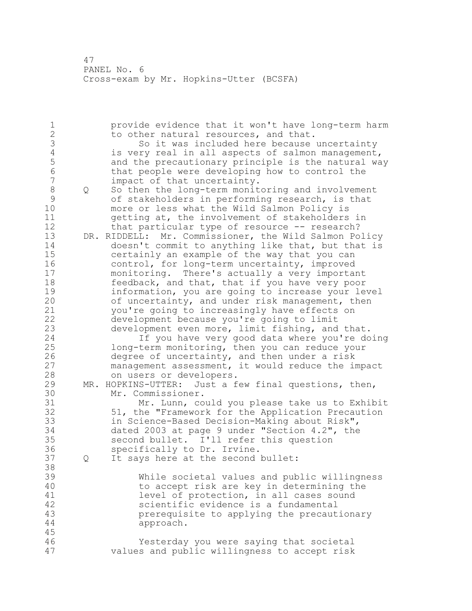1 provide evidence that it won't have long-term harm 2 to other natural resources, and that. 3 So it was included here because uncertainty<br>4 is very real in all aspects of salmon management 4 is very real in all aspects of salmon management,<br>5 and the precautionary principle is the natural wa 5 and the precautionary principle is the natural way<br>6 that people were developing how to control the 6 that people were developing how to control the<br>7 impact of that uncertainty. impact of that uncertainty. 8 Q So then the long-term monitoring and involvement<br>9 of stakeholders in performing research, is that 9 of stakeholders in performing research, is that<br>10 more or less what the Wild Salmon Policy is more or less what the Wild Salmon Policy is 11 getting at, the involvement of stakeholders in 12 that particular type of resource -- research? 13 DR. RIDDELL: Mr. Commissioner, the Wild Salmon Policy 14 doesn't commit to anything like that, but that is 15 certainly an example of the way that you can 16 control, for long-term uncertainty, improved 17 monitoring. There's actually a very important 18 feedback, and that, that if you have very poor 19 information, you are going to increase your level<br>20 of uncertainty, and under risk management, then of uncertainty, and under risk management, then 21 you're going to increasingly have effects on 22 development because you're going to limit 23 development even more, limit fishing, and that. 24 If you have very good data where you're doing 25 long-term monitoring, then you can reduce your 26 degree of uncertainty, and then under a risk<br>27 management assessment, it would reduce the in management assessment, it would reduce the impact 28 on users or developers. 29 MR. HOPKINS-UTTER: Just a few final questions, then, 30 Mr. Commissioner.<br>31 Mr. Lunn, co Mr. Lunn, could you please take us to Exhibit 32 51, the "Framework for the Application Precaution 33 in Science-Based Decision-Making about Risk", 34 dated 2003 at page 9 under "Section 4.2", the 35 second bullet. I'll refer this question 36 specifically to Dr. Irvine. 37 Q It says here at the second bullet: 38 39 While societal values and public willingness 40 to accept risk are key in determining the 41 level of protection, in all cases sound<br>42 scientific evidence is a fundamental scientific evidence is a fundamental 43 prerequisite to applying the precautionary 44 approach. 45 46 Yesterday you were saying that societal 47 values and public willingness to accept risk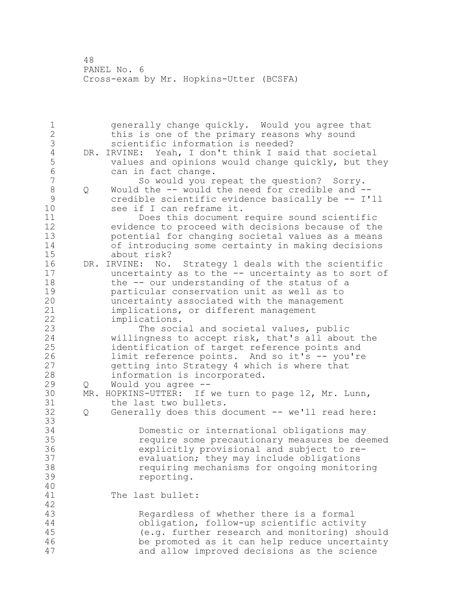| $1\,$          |          | generally change quickly. Would you agree that          |
|----------------|----------|---------------------------------------------------------|
| $\overline{2}$ |          | this is one of the primary reasons why sound            |
| 3              |          | scientific information is needed?                       |
| $\sqrt{4}$     |          | DR. IRVINE: Yeah, I don't think I said that societal    |
| 5              |          | values and opinions would change quickly, but they      |
| $\sqrt{6}$     |          | can in fact change.                                     |
| $\overline{7}$ |          | So would you repeat the question? Sorry.                |
| $\,8\,$        | Q        | Would the -- would the need for credible and --         |
| $\mathcal{G}$  |          | credible scientific evidence basically be -- I'll       |
| 10             |          | see if I can reframe it.                                |
| 11             |          | Does this document require sound scientific             |
| 12             |          | evidence to proceed with decisions because of the       |
| 13             |          | potential for changing societal values as a means       |
| 14             |          | of introducing some certainty in making decisions       |
| 15             |          | about risk?                                             |
| 16             |          | DR. IRVINE: No.<br>Strategy 1 deals with the scientific |
| 17             |          | uncertainty as to the -- uncertainty as to sort of      |
| 18             |          | the -- our understanding of the status of a             |
| 19             |          | particular conservation unit as well as to              |
| 20             |          | uncertainty associated with the management              |
| 21             |          | implications, or different management                   |
| 22             |          | implications.                                           |
| 23             |          | The social and societal values, public                  |
| 24             |          | willingness to accept risk, that's all about the        |
| 25             |          | identification of target reference points and           |
| 26             |          | limit reference points. And so it's -- you're           |
| 27             |          | getting into Strategy 4 which is where that             |
| 28             |          |                                                         |
| 29             |          | information is incorporated.                            |
| 30             | Q<br>MR. | Would you agree --                                      |
| 31             |          | HOPKINS-UTTER: If we turn to page 12, Mr. Lunn,         |
| 32             |          | the last two bullets.                                   |
|                | Q        | Generally does this document -- we'll read here:        |
| 33             |          |                                                         |
| 34             |          | Domestic or international obligations may               |
| 35             |          | require some precautionary measures be deemed           |
| 36             |          | explicitly provisional and subject to re-               |
| 37             |          | evaluation; they may include obligations                |
| 38             |          | requiring mechanisms for ongoing monitoring             |
| 39             |          | reporting.                                              |
| 40             |          |                                                         |
| 41             |          | The last bullet:                                        |
| 42             |          |                                                         |
| 43             |          | Regardless of whether there is a formal                 |
| 44             |          | obligation, follow-up scientific activity               |
| 45             |          | (e.g. further research and monitoring) should           |
| 46             |          | be promoted as it can help reduce uncertainty           |
| 47             |          | and allow improved decisions as the science             |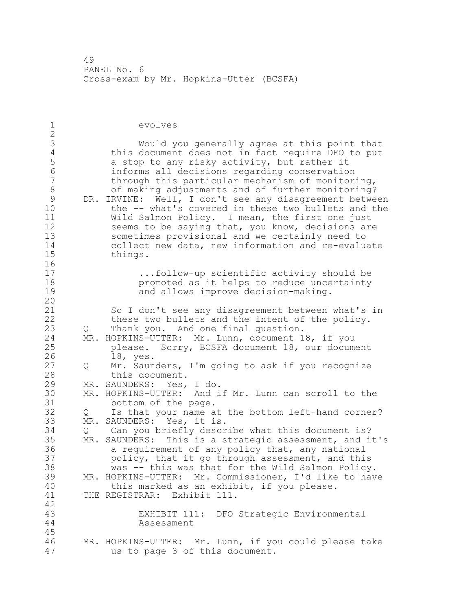evolves 3 Would you generally agree at this point that<br>4 this document does not in fact require DFO to put 4 this document does not in fact require DFO to put<br>5 a stop to any risky activity, but rather it 5 a stop to any risky activity, but rather it<br>6 informs all decisions regarding conservation informs all decisions regarding conservation through this particular mechanism of monitoring, of making adjustments and of further monitoring? 9 DR. IRVINE:  $\overline{W}$ ell, I don't see any disagreement between<br>10 the -- what's covered in these two bullets and the the -- what's covered in these two bullets and the Wild Salmon Policy. I mean, the first one just seems to be saying that, you know, decisions are sometimes provisional and we certainly need to collect new data, new information and re-evaluate things.  $\begin{array}{c} 16 \\ 17 \end{array}$ ...follow-up scientific activity should be promoted as it helps to reduce uncertainty and allows improve decision-making. So I don't see any disagreement between what's in these two bullets and the intent of the policy. Q Thank you. And one final question. MR. HOPKINS-UTTER: Mr. Lunn, document 18, if you please. Sorry, BCSFA document 18, our document 26 18, yes.<br>27 0 Mr. Saun Q Mr. Saunders, I'm going to ask if you recognize this document. MR. SAUNDERS: Yes, I do. 30 MR. HOPKINS-UTTER: And if Mr. Lunn can scroll to the<br>31 bottom of the page. 31 bottom of the page.<br>32 Q Is that your name a Q Is that your name at the bottom left-hand corner? MR. SAUNDERS: Yes, it is. Q Can you briefly describe what this document is? MR. SAUNDERS: This is a strategic assessment, and it's a requirement of any policy that, any national 37 policy, that it go through assessment, and this<br>38 was -- this was that for the Wild Salmon Policy was -- this was that for the Wild Salmon Policy. MR. HOPKINS-UTTER: Mr. Commissioner, I'd like to have this marked as an exhibit, if you please. THE REGISTRAR: Exhibit 111. EXHIBIT 111: DFO Strategic Environmental Assessment MR. HOPKINS-UTTER: Mr. Lunn, if you could please take us to page 3 of this document.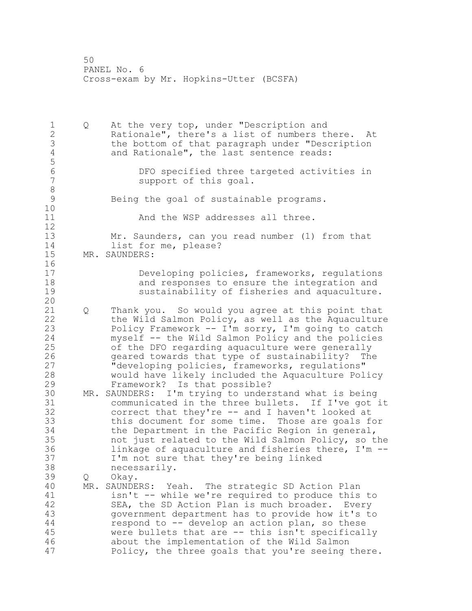1 Q At the very top, under "Description and Rationale", there's a list of numbers there. At 3 the bottom of that paragraph under "Description<br>4 and Rationale", the last sentence reads: and Rationale", the last sentence reads: DFO specified three targeted activities in support of this goal. 8<br>9 Being the goal of sustainable programs. And the WSP addresses all three. Mr. Saunders, can you read number (1) from that 14 list for me, please? MR. SAUNDERS: Developing policies, frameworks, regulations and responses to ensure the integration and sustainability of fisheries and aquaculture. Q Thank you. So would you agree at this point that the Wild Salmon Policy, as well as the Aquaculture Policy Framework -- I'm sorry, I'm going to catch myself -- the Wild Salmon Policy and the policies of the DFO regarding aquaculture were generally geared towards that type of sustainability? The "developing policies, frameworks, regulations" would have likely included the Aquaculture Policy Framework? Is that possible? MR. SAUNDERS: I'm trying to understand what is being communicated in the three bullets. If I've got it correct that they're -- and I haven't looked at this document for some time. Those are goals for the Department in the Pacific Region in general, not just related to the Wild Salmon Policy, so the linkage of aquaculture and fisheries there, I'm -- I'm not sure that they're being linked necessarily. Q Okay. MR. SAUNDERS: Yeah. The strategic SD Action Plan 41 isn't -- while we're required to produce this to<br>42 SEA, the SD Action Plan is much broader. Every SEA, the SD Action Plan is much broader. Every government department has to provide how it's to respond to -- develop an action plan, so these were bullets that are -- this isn't specifically about the implementation of the Wild Salmon Policy, the three goals that you're seeing there.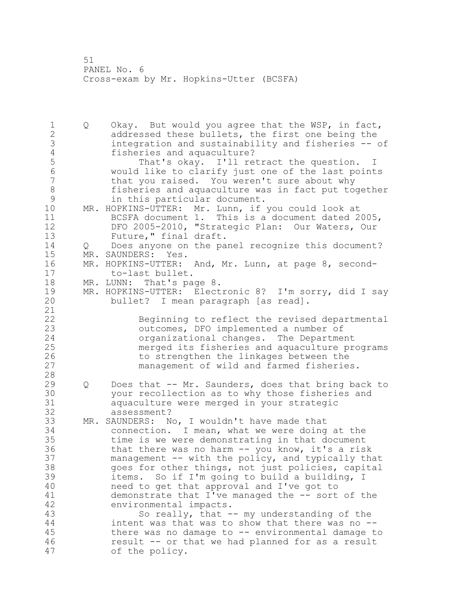Q Okay. But would you agree that the WSP, in fact, addressed these bullets, the first one being the integration and sustainability and fisheries -- of 4 fisheries and aquaculture?<br>5 That's okay. I'll re 5 That's okay. I'll retract the question. I<br>6 Would like to clarify just one of the last point would like to clarify just one of the last points that you raised. You weren't sure about why 8 fisheries and aquaculture was in fact put together<br>9 in this particular document. 9 in this particular document.<br>10 MR. HOPKINS-UTTER: Mr. Lunn, if MR. HOPKINS-UTTER: Mr. Lunn, if you could look at BCSFA document 1. This is a document dated 2005, DFO 2005-2010, "Strategic Plan: Our Waters, Our 13 Future," final draft. Q Does anyone on the panel recognize this document? MR. SAUNDERS: Yes. MR. HOPKINS-UTTER: And, Mr. Lunn, at page 8, second- to-last bullet. MR. LUNN: That's page 8. 19 MR. HOPKINS-UTTER: Electronic 8? I'm sorry, did I say<br>20 bullet? I mean paragraph [as read]. bullet? I mean paragraph [as read]. Beginning to reflect the revised departmental outcomes, DFO implemented a number of organizational changes. The Department merged its fisheries and aquaculture programs 26 to strengthen the linkages between the<br>27 management of wild and farmed fisherie management of wild and farmed fisheries. Q Does that -- Mr. Saunders, does that bring back to 30 your recollection as to why those fisheries and<br>31 aguaculture were merged in your strategic aquaculture were merged in your strategic assessment? MR. SAUNDERS: No, I wouldn't have made that connection. I mean, what we were doing at the time is we were demonstrating in that document that there was no harm -- you know, it's a risk management -- with the policy, and typically that goes for other things, not just policies, capital items. So if I'm going to build a building, I need to get that approval and I've got to 41 demonstrate that I've managed the -- sort of the<br>42 environmental impacts. environmental impacts. So really, that -- my understanding of the intent was that was to show that there was no -- there was no damage to -- environmental damage to result -- or that we had planned for as a result of the policy.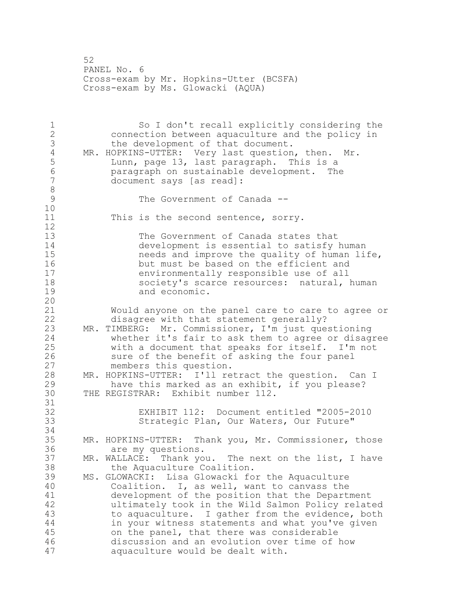52 PANEL No. 6 Cross-exam by Mr. Hopkins-Utter (BCSFA) Cross-exam by Ms. Glowacki (AQUA)

1 So I don't recall explicitly considering the<br>2 connection between aguaculture and the policy in connection between aquaculture and the policy in 3 the development of that document.<br>4 MR. HOPKINS-UTTER: Very last question 4 MR. HOPKINS-UTTER: Very last question, then. Mr.<br>5 Lunn, page 13, last paragraph. This is a 5 Lunn, page 13, last paragraph. This is a<br>6 Separagraph on sustainable development. The 6 paragraph on sustainable development. The document says [as read]: 8 The Government of Canada --10 11 This is the second sentence, sorry.  $\begin{array}{c} 12 \\ 13 \end{array}$ The Government of Canada states that 14 development is essential to satisfy human<br>15 meeds and improve the quality of human li needs and improve the quality of human life, 16 but must be based on the efficient and 17 environmentally responsible use of all 18 society's scarce resources: natural, human 19 and economic. 20 21 Would anyone on the panel care to care to agree or 22 disagree with that statement generally? 23 MR. TIMBERG: Mr. Commissioner, I'm just questioning 24 whether it's fair to ask them to agree or disagree 25 with a document that speaks for itself. I'm not 26 sure of the benefit of asking the four panel<br>27 members this question. members this question. 28 MR. HOPKINS-UTTER: I'll retract the question. Can I 29 have this marked as an exhibit, if you please? 30 THE REGISTRAR: Exhibit number 112. 31<br>32 EXHIBIT 112: Document entitled "2005-2010 33 Strategic Plan, Our Waters, Our Future" 34 35 MR. HOPKINS-UTTER: Thank you, Mr. Commissioner, those 36 are my questions. 37 MR. WALLACE: Thank you. The next on the list, I have 38 the Aquaculture Coalition. 39 MS. GLOWACKI: Lisa Glowacki for the Aquaculture 40 Coalition. I, as well, want to canvass the 41 development of the position that the Department<br>42 development of the Wild Salmon Policy relat ultimately took in the Wild Salmon Policy related 43 to aquaculture. I gather from the evidence, both 44 in your witness statements and what you've given 45 on the panel, that there was considerable 46 discussion and an evolution over time of how 47 aquaculture would be dealt with.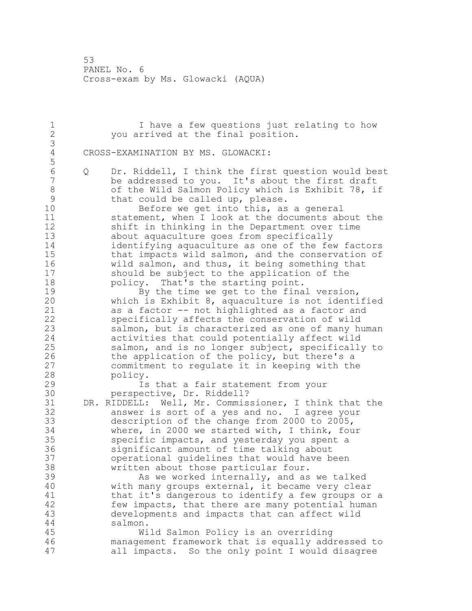1 1 I have a few questions just relating to how<br>2 3 Vou arrived at the final position. you arrived at the final position. CROSS-EXAMINATION BY MS. GLOWACKI: Q Dr. Riddell, I think the first question would best be addressed to you. It's about the first draft 8 of the Wild Salmon Policy which is Exhibit 78, if<br>9 that could be called up, please. 9 that could be called up, please.<br>10 Before we get into this, as Before we get into this, as a general statement, when I look at the documents about the shift in thinking in the Department over time about aquaculture goes from specifically identifying aquaculture as one of the few factors that impacts wild salmon, and the conservation of wild salmon, and thus, it being something that should be subject to the application of the **policy.** That's the starting point. 19 By the time we get to the final version,<br>20 which is Exhibit 8, aquaculture is not identi which is Exhibit , aquaculture is not identified as a factor -- not highlighted as a factor and specifically affects the conservation of wild salmon, but is characterized as one of many human activities that could potentially affect wild salmon, and is no longer subject, specifically to 26 the application of the policy, but there's a<br>27 commitment to regulate it in keeping with the 27 commitment to regulate it in keeping with the<br>28 policy. policy. Is that a fair statement from your 30 perspective, Dr. Riddell?<br>31 DR. RIDDELL: Well, Mr. Commis DR. RIDDELL: Well, Mr. Commissioner, I think that the answer is sort of a yes and no. I agree your description of the change from 2000 to 2005, where, in 2000 we started with, I think, four specific impacts, and yesterday you spent a significant amount of time talking about operational guidelines that would have been written about those particular four. 39 As we worked internally, and as we talked with many groups external, it became very clear 41 that it's dangerous to identify a few groups or a<br>42 few impacts, that there are many potential human few impacts, that there are many potential human developments and impacts that can affect wild salmon. Wild Salmon Policy is an overriding management framework that is equally addressed to all impacts. So the only point I would disagree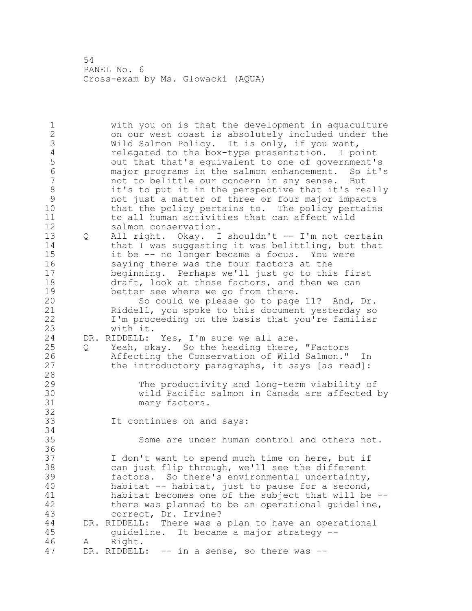with you on is that the development in aquaculture on our west coast is absolutely included under the 3 Wild Salmon Policy. It is only, if you want,<br>4 celegated to the box-type presentation. I po 4 relegated to the box-type presentation. I point<br>5 out that that's equivalent to one of government' out that that's equivalent to one of government's major programs in the salmon enhancement. So it's not to belittle our concern in any sense. But 8 it's to put it in the perspective that it's really<br>9 ont just a matter of three or four major impacts not just a matter of three or four major impacts that the policy pertains to. The policy pertains to all human activities that can affect wild salmon conservation. Q All right. Okay. I shouldn't -- I'm not certain 14 that I was suggesting it was belittling, but that it be -- no longer became a focus. You were saying there was the four factors at the beginning. Perhaps we'll just go to this first draft, look at those factors, and then we can 19 better see where we go from there.<br>20 So could we please go to page So could we please go to page 11? And, Dr. Riddell, you spoke to this document yesterday so I'm proceeding on the basis that you're familiar with it. DR. RIDDELL: Yes, I'm sure we all are. Q Yeah, okay. So the heading there, "Factors 26 Affecting the Conservation of Wild Salmon." In<br>27 the introductory paragraphs, it says [as read]: the introductory paragraphs, it says [as read]: The productivity and long-term viability of wild Pacific salmon in Canada are affected by many factors. It continues on and says: Some are under human control and others not. I don't want to spend much time on here, but if can just flip through, we'll see the different factors. So there's environmental uncertainty, habitat -- habitat, just to pause for a second, 41 habitat becomes one of the subject that will be --<br>42 there was planned to be an operational quideline, there was planned to be an operational guideline, correct, Dr. Irvine? DR. RIDDELL: There was a plan to have an operational guideline. It became a major strategy -- A Right. 47 DR. RIDDELL: -- in a sense, so there was --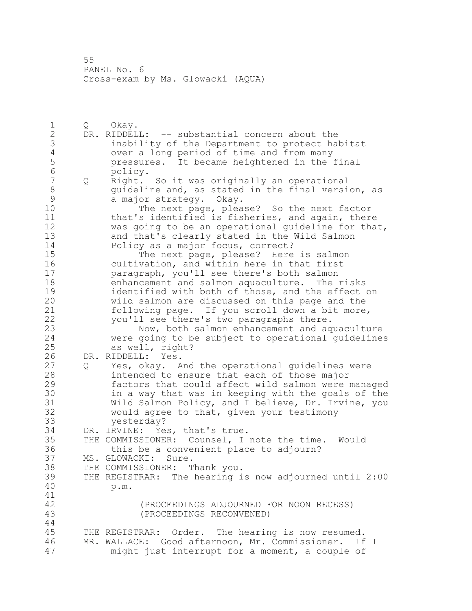Q Okay. DR. RIDDELL: -- substantial concern about the inability of the Department to protect habitat 4 over a long period of time and from many<br>5 pressures. It became heightened in the 5 pressures. It became heightened in the final<br>6 policy. 6 policy.<br>7 0 Right. Q Right. So it was originally an operational 8 guideline and, as stated in the final version, as<br>9 a major strategy. Okay. 9 a major strategy. Okay.<br>10 The next page, plea The next page, please? So the next factor that's identified is fisheries, and again, there was going to be an operational guideline for that, and that's clearly stated in the Wild Salmon 14 Policy as a major focus, correct?<br>15 The next page, please? Here 15 The next page, please? Here is salmon<br>16 cultivation, and within here in that first cultivation, and within here in that first paragraph, you'll see there's both salmon enhancement and salmon aquaculture. The risks 19 identified with both of those, and the effect on<br>20 wild salmon are discussed on this page and the wild salmon are discussed on this page and the following page. If you scroll down a bit more, you'll see there's two paragraphs there. Now, both salmon enhancement and aquaculture were going to be subject to operational guidelines as well, right? 26 DR. RIDDELL: Yes.<br>27 0 Yes, okay. A Q Yes, okay. And the operational guidelines were intended to ensure that each of those major factors that could affect wild salmon were managed 30 in a way that was in keeping with the goals of the<br>31 Wild Salmon Policy, and I believe, Dr. Irvine, you Wild Salmon Policy, and I believe, Dr. Irvine, you would agree to that, given your testimony yesterday? DR. IRVINE: Yes, that's true. THE COMMISSIONER: Counsel, I note the time. Would this be a convenient place to adjourn? MS. GLOWACKI: Sure. THE COMMISSIONER: Thank you. THE REGISTRAR: The hearing is now adjourned until 2:00 p.m. (PROCEEDINGS ADJOURNED FOR NOON RECESS) (PROCEEDINGS RECONVENED) THE REGISTRAR: Order. The hearing is now resumed. MR. WALLACE: Good afternoon, Mr. Commissioner. If I might just interrupt for a moment, a couple of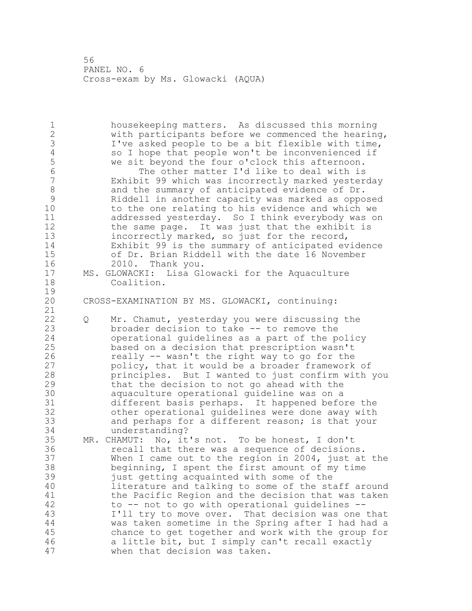housekeeping matters. As discussed this morning with participants before we commenced the hearing, 3 I've asked people to be a bit flexible with time,<br>4 so I hope that people won't be inconvenienced if 4 so I hope that people won't be inconvenienced if<br>5 we sit beyond the four o'clock this afternoon. 5 we sit beyond the four o'clock this afternoon.<br>6 The other matter I'd like to deal with is The other matter I'd like to deal with is Exhibit 99 which was incorrectly marked yesterday 8 and the summary of anticipated evidence of Dr.<br>9 Riddell in another capacity was marked as oppo Riddell in another capacity was marked as opposed to the one relating to his evidence and which we addressed yesterday. So I think everybody was on the same page. It was just that the exhibit is incorrectly marked, so just for the record, Exhibit 99 is the summary of anticipated evidence 15 of Dr. Brian Riddell with the date 16 November<br>16 2010. Thank you. 2010. Thank you. MS. GLOWACKI: Lisa Glowacki for the Aquaculture Coalition.  $\frac{19}{20}$ CROSS-EXAMINATION BY MS. GLOWACKI, continuing: Q Mr. Chamut, yesterday you were discussing the broader decision to take -- to remove the operational guidelines as a part of the policy based on a decision that prescription wasn't 26 really -- wasn't the right way to go for the<br>27 policy, that it would be a broader framework policy, that it would be a broader framework of principles. But I wanted to just confirm with you that the decision to not go ahead with the aquaculture operational guideline was on a different basis perhaps. It happened before the other operational quidelines were done away with and perhaps for a different reason; is that your understanding? MR. CHAMUT: No, it's not. To be honest, I don't recall that there was a sequence of decisions. When I came out to the region in 2004, just at the beginning, I spent the first amount of my time just getting acquainted with some of the literature and talking to some of the staff around 41 the Pacific Region and the decision that was taken<br>42 to  $-$  not to go with operational quidelines  $$  $to$  -- not to go with operational guidelines -- I'll try to move over. That decision was one that was taken sometime in the Spring after I had had a chance to get together and work with the group for a little bit, but I simply can't recall exactly when that decision was taken.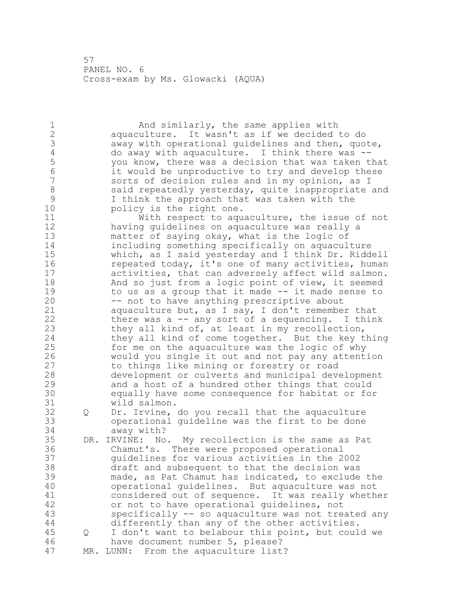1 And similarly, the same applies with aquaculture. It wasn't as if we decided to do 3 away with operational guidelines and then, quote,<br>4 do away with aquaculture. I think there was --4 do away with aquaculture. I think there was --<br>5 you know, there was a decision that was taken t you know, there was a decision that was taken that 6 it would be unproductive to try and develop these<br>7 sorts of decision rules and in my opinion, as I sorts of decision rules and in my opinion, as I 8 said repeatedly yesterday, quite inappropriate and<br>9 1 think the approach that was taken with the 9 I think the approach that was taken with the<br>10 bolicy is the right one. policy is the right one. With respect to aquaculture, the issue of not having guidelines on aquaculture was really a matter of saying okay, what is the logic of including something specifically on aquaculture which, as I said yesterday and I think Dr. Riddell repeated today, it's one of many activities, human activities, that can adversely affect wild salmon. And so just from a logic point of view, it seemed 19 to us as a group that it made -- it made sense to<br>20 -- not to have anything prescriptive about -- not to have anything prescriptive about aquaculture but, as I say, I don't remember that there was a -- any sort of a sequencing. I think 23 they all kind of, at least in my recollection, they all kind of come together. But the key thing for me on the aquaculture was the logic of why 26 would you single it out and not pay any attention<br>27 to things like mining or forestry or road to things like mining or forestry or road development or culverts and municipal development and a host of a hundred other things that could equally have some consequence for habitat or for wild salmon. Q Dr. Irvine, do you recall that the aquaculture operational guideline was the first to be done away with? DR. IRVINE: No. My recollection is the same as Pat Chamut's. There were proposed operational guidelines for various activities in the 2002 draft and subsequent to that the decision was made, as Pat Chamut has indicated, to exclude the operational guidelines. But aquaculture was not 41 considered out of sequence. It was really whether<br>42 or not to have operational quidelines, not or not to have operational quidelines, not specifically -- so aquaculture was not treated any differently than any of the other activities. Q I don't want to belabour this point, but could we have document number 5, please? MR. LUNN: From the aquaculture list?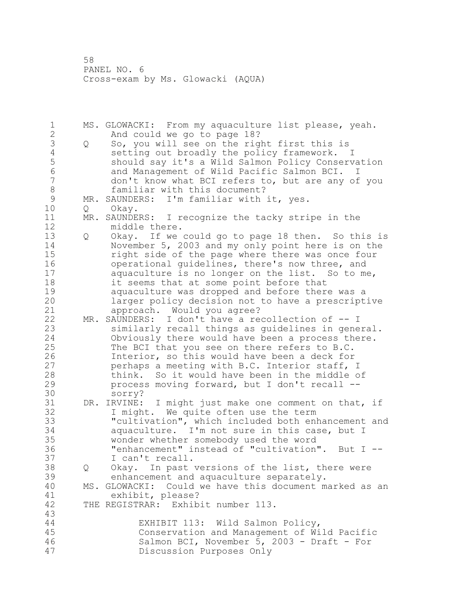MS. GLOWACKI: From my aquaculture list please, yeah. And could we go to page 18? 3 Q So, you will see on the right first this is<br>4 setting out broadly the policy framework. 4 setting out broadly the policy framework. I<br>5 should say it's a Wild Salmon Policy Conserv should say it's a Wild Salmon Policy Conservation and Management of Wild Pacific Salmon BCI. I don't know what BCI refers to, but are any of you 8 familiar with this document?<br>9 MR. SAUNDERS: I'm familiar with 9 MR. SAUNDERS: I'm familiar with it, yes.<br>10 0 Okav. 0 Okay. MR. SAUNDERS: I recognize the tacky stripe in the middle there. Q Okay. If we could go to page 18 then. So this is November 5, 2003 and my only point here is on the right side of the page where there was once four operational guidelines, there's now three, and aquaculture is no longer on the list. So to me, it seems that at some point before that 19 aquaculture was dropped and before there was a<br>20 1arger policy decision not to have a prescript larger policy decision not to have a prescriptive approach. Would you agree? MR. SAUNDERS: I don't have a recollection of -- I similarly recall things as guidelines in general. Obviously there would have been a process there. The BCI that you see on there refers to B.C. 26 1nterior, so this would have been a deck for<br>27 berhaps a meeting with B.C. Interior staff, perhaps a meeting with B.C. Interior staff, I think. So it would have been in the middle of process moving forward, but I don't recall -- 30 sorry?<br>31 DR. IRVINE: DR. IRVINE: I might just make one comment on that, if I might. We quite often use the term "cultivation", which included both enhancement and aquaculture. I'm not sure in this case, but I wonder whether somebody used the word "enhancement" instead of "cultivation". But I -- I can't recall. Q Okay. In past versions of the list, there were enhancement and aquaculture separately. MS. GLOWACKI: Could we have this document marked as an 41 exhibit, please?<br>42 THE REGISTRAR: Exhib. THE REGISTRAR: Exhibit number 113. EXHIBIT 113: Wild Salmon Policy, Conservation and Management of Wild Pacific Salmon BCI, November 5, 2003 - Draft - For Discussion Purposes Only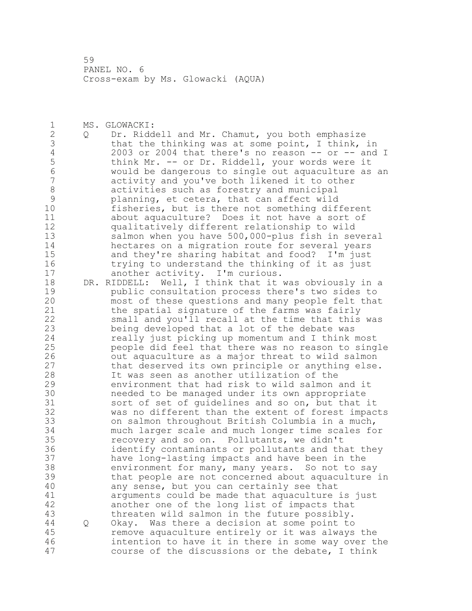MS. GLOWACKI: Q Dr. Riddell and Mr. Chamut, you both emphasize 3 that the thinking was at some point, I think, in<br>4 2003 or 2004 that there's no reason -- or -- and 4 2003 or 2004 that there's no reason -- or -- and I<br>5 think Mr. -- or Dr. Riddell, your words were it 5 think Mr. -- or Dr. Riddell, your words were it<br>6 would be dangerous to single out aguaculture as would be dangerous to single out aquaculture as an activity and you've both likened it to other 8 activities such as forestry and municipal<br>9 blanning, et cetera, that can affect wild 9 planning, et cetera, that can affect wild<br>10 fisheries, but is there not something dif fisheries, but is there not something different about aquaculture? Does it not have a sort of qualitatively different relationship to wild salmon when you have 500,000-plus fish in several hectares on a migration route for several years 15 and they're sharing habitat and food? I'm just<br>16 trying to understand the thinking of it as just trying to understand the thinking of it as just another activity. I'm curious. DR. RIDDELL: Well, I think that it was obviously in a 19 public consultation process there's two sides to<br>20 most of these questions and many people felt that most of these questions and many people felt that the spatial signature of the farms was fairly small and you'll recall at the time that this was being developed that a lot of the debate was really just picking up momentum and I think most people did feel that there was no reason to single 26 out aquaculture as a major threat to wild salmon<br>27 that deserved its own principle or anything else that deserved its own principle or anything else. It was seen as another utilization of the environment that had risk to wild salmon and it 30 10 11 needed to be managed under its own appropriate<br>31 50rt of set of quidelines and so on, but that 31 sort of set of guidelines and so on, but that it<br>32 was no different than the extent of forest impac was no different than the extent of forest impacts on salmon throughout British Columbia in a much, much larger scale and much longer time scales for recovery and so on. Pollutants, we didn't identify contaminants or pollutants and that they have long-lasting impacts and have been in the environment for many, many years. So not to say that people are not concerned about aquaculture in any sense, but you can certainly see that 41 arguments could be made that aquaculture is just<br>42 another one of the long list of impacts that another one of the long list of impacts that threaten wild salmon in the future possibly. Q Okay. Was there a decision at some point to remove aquaculture entirely or it was always the intention to have it in there in some way over the course of the discussions or the debate, I think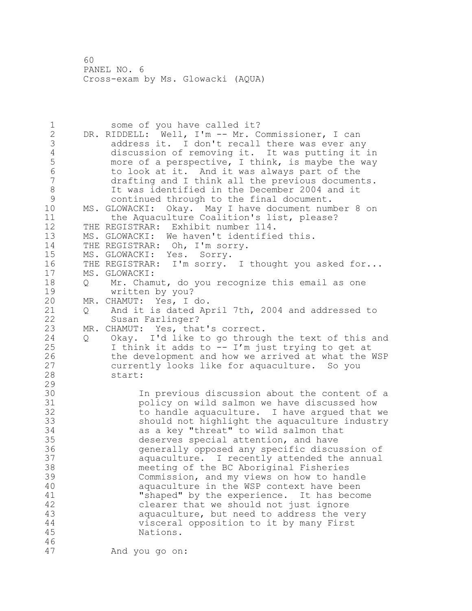1 some of you have called it? 2 DR. RIDDELL: Well, I'm -- Mr. Commissioner, I can 3 3 address it. I don't recall there was ever any<br>4 discussion of removing it. It was putting it: 4 discussion of removing it. It was putting it in<br>5 more of a perspective, I think, is maybe the way more of a perspective, I think, is maybe the way 6 to look at it. And it was always part of the drafting and I think all the previous documents. 8 It was identified in the December 2004 and it<br>9 continued through to the final document. 9 continued through to the final document.<br>10 MS. GLOWACKI: Okav. Mav I have document num MS. GLOWACKI: Okay. May I have document number 8 on 11 the Aquaculture Coalition's list, please? 12 THE REGISTRAR: Exhibit number 114. 13 MS. GLOWACKI: We haven't identified this. 14 THE REGISTRAR: Oh, I'm sorry. 15 MS. GLOWACKI: Yes. Sorry. 16 THE REGISTRAR: I'm sorry. I thought you asked for... 17 MS. GLOWACKI: 18 Q Mr. Chamut, do you recognize this email as one 19 written by you?<br>20 MR. CHAMUT: Yes, I MR. CHAMUT: Yes, I do. 21 Q And it is dated April 7th, 2004 and addressed to 22 Susan Farlinger? 23 MR. CHAMUT: Yes, that's correct. 24 Q Okay. I'd like to go through the text of this and 25 I think it adds to  $-$  I'm just trying to get at 26 the development and how we arrived at what the WSP<br>27 currently looks like for aquaculture. So you currently looks like for aquaculture. So you 28 start: 29 30 10 In previous discussion about the content of a<br>31 31 bolicy on wild salmon we have discussed how 31 bolicy on wild salmon we have discussed how<br>32 bo handle aquaculture. I have arqued that to handle aquaculture. I have arqued that we 33 should not highlight the aquaculture industry 34 as a key "threat" to wild salmon that 35 deserves special attention, and have 36 generally opposed any specific discussion of 37 aquaculture. I recently attended the annual 38 meeting of the BC Aboriginal Fisheries 39 Commission, and my views on how to handle 40 aquaculture in the WSP context have been 41 "shaped" by the experience. It has become<br>42 clearer that we should not just ignore clearer that we should not just ignore 43 aquaculture, but need to address the very 44 visceral opposition to it by many First 45 Nations. 46 47 And you go on: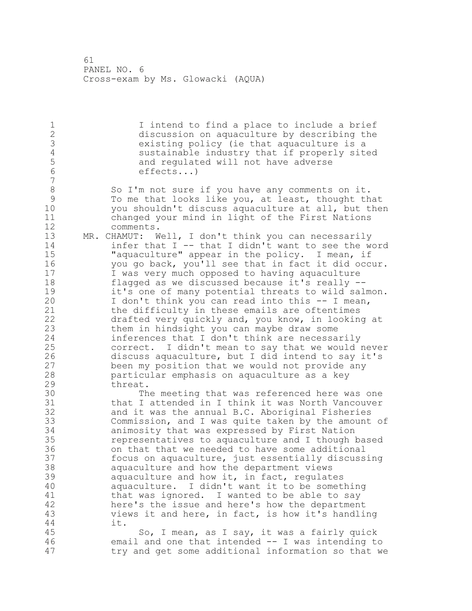I intend to find a place to include a brief discussion on aquaculture by describing the existing policy (ie that aquaculture is a 4 sustainable industry that if properly sited<br>5 and requlated will not have adverse 5 and regulated will not have adverse<br>6 effects...) effects...) 8 So I'm not sure if you have any comments on it.<br>9 To me that looks like you, at least, thought the 9 To me that looks like you, at least, thought that<br>10 vou shouldn't discuss aguaculture at all, but the you shouldn't discuss aquaculture at all, but then changed your mind in light of the First Nations comments. MR. CHAMUT: Well, I don't think you can necessarily infer that I -- that I didn't want to see the word "aquaculture" appear in the policy. I mean, if you go back, you'll see that in fact it did occur. I was very much opposed to having aquaculture flagged as we discussed because it's really -- 19 it's one of many potential threats to wild salmon.<br>20 I don't think you can read into this -- I mean, I don't think you can read into this -- I mean, the difficulty in these emails are oftentimes drafted very quickly and, you know, in looking at them in hindsight you can maybe draw some inferences that I don't think are necessarily correct. I didn't mean to say that we would never 26 discuss aquaculture, but I did intend to say it's<br>27 been my position that we would not provide any been my position that we would not provide any particular emphasis on aquaculture as a key threat. 30 The meeting that was referenced here was one<br>31 that I attended in I think it was North Vancouver that I attended in I think it was North Vancouver and it was the annual B.C. Aboriginal Fisheries Commission, and I was quite taken by the amount of animosity that was expressed by First Nation representatives to aquaculture and I though based on that that we needed to have some additional focus on aquaculture, just essentially discussing aquaculture and how the department views aquaculture and how it, in fact, regulates aquaculture. I didn't want it to be something 41 that was ignored. I wanted to be able to say<br>42 here's the issue and here's how the departmen here's the issue and here's how the department views it and here, in fact, is how it's handling it. So, I mean, as I say, it was a fairly quick

 email and one that intended -- I was intending to try and get some additional information so that we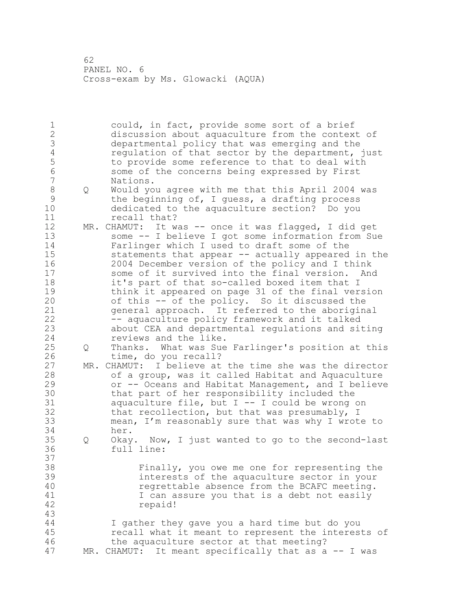could, in fact, provide some sort of a brief discussion about aquaculture from the context of 3 departmental policy that was emerging and the<br>4 requlation of that sector by the department, 4 regulation of that sector by the department, just<br>5 to provide some reference to that to deal with 5 to provide some reference to that to deal with<br>6 some of the concerns being expressed by First some of the concerns being expressed by First Nations. 8 Q Would you agree with me that this April 2004 was<br>9 the beginning of, I quess, a drafting process the beginning of, I guess, a drafting process dedicated to the aquaculture section? Do you recall that? MR. CHAMUT: It was -- once it was flagged, I did get some -- I believe I got some information from Sue Farlinger which I used to draft some of the statements that appear -- actually appeared in the 2004 December version of the policy and I think some of it survived into the final version. And it's part of that so-called boxed item that I 19 think it appeared on page 31 of the final version<br>20 of this -- of the policy. So it discussed the of this -- of the policy. So it discussed the general approach. It referred to the aboriginal -- aquaculture policy framework and it talked about CEA and departmental regulations and siting reviews and the like. Q Thanks. What was Sue Farlinger's position at this 26 time, do you recall?<br>27 MR. CHAMUT: I believe at MR. CHAMUT: I believe at the time she was the director of a group, was it called Habitat and Aquaculture or -- Oceans and Habitat Management, and I believe 30 that part of her responsibility included the<br>31 aquaculture file, but I -- I could be wrong aquaculture file, but  $I$  -- I could be wrong on that recollection, but that was presumably, I mean, I'm reasonably sure that was why I wrote to her. Q Okay. Now, I just wanted to go to the second-last full line: Finally, you owe me one for representing the interests of the aquaculture sector in your regrettable absence from the BCAFC meeting. 41 1 I can assure you that is a debt not easily<br>42 repaid! I gather they gave you a hard time but do you recall what it meant to represent the interests of the aquaculture sector at that meeting? MR. CHAMUT: It meant specifically that as a -- I was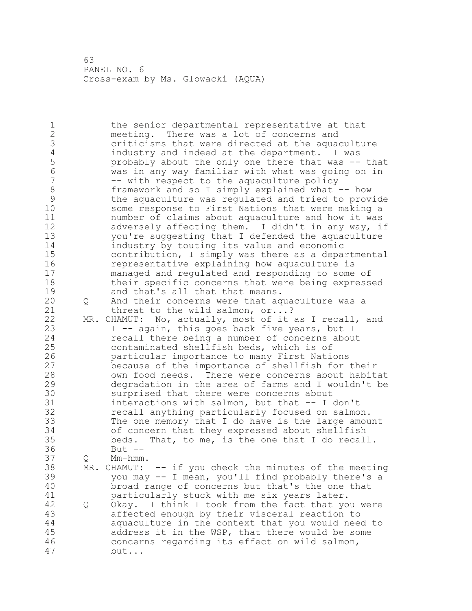the senior departmental representative at that meeting. There was a lot of concerns and 3 criticisms that were directed at the aquaculture<br>4 industry and indeed at the department. I was 4 industry and indeed at the department. I was<br>5 by probably about the only one there that was -- probably about the only one there that was -- that was in any way familiar with what was going on in -- with respect to the aquaculture policy 8 framework and so I simply explained what -- how<br>9 the aquaculture was requlated and tried to prov. the aquaculture was regulated and tried to provide some response to First Nations that were making a number of claims about aquaculture and how it was adversely affecting them. I didn't in any way, if you're suggesting that I defended the aquaculture industry by touting its value and economic contribution, I simply was there as a departmental representative explaining how aquaculture is managed and regulated and responding to some of their specific concerns that were being expressed 19 and that's all that that means.<br>20 0 And their concerns were that ag Q And their concerns were that aquaculture was a 21 threat to the wild salmon, or...? MR. CHAMUT: No, actually, most of it as I recall, and 23 I -- again, this goes back five years, but I recall there being a number of concerns about contaminated shellfish beds, which is of **particular importance to many First Nations**<br>27 because of the importance of shellfish for because of the importance of shellfish for their own food needs. There were concerns about habitat degradation in the area of farms and I wouldn't be 30 surprised that there were concerns about<br>31 interactions with salmon, but that -- I interactions with salmon, but that  $--$  I don't recall anything particularly focused on salmon. The one memory that I do have is the large amount of concern that they expressed about shellfish beds. That, to me, is the one that I do recall. But -- Q Mm-hmm. MR. CHAMUT: -- if you check the minutes of the meeting you may -- I mean, you'll find probably there's a broad range of concerns but that's the one that 41 particularly stuck with me six years later.<br>42 Q Okay. I think I took from the fact that yo Q Okay. I think I took from the fact that you were affected enough by their visceral reaction to aquaculture in the context that you would need to address it in the WSP, that there would be some concerns regarding its effect on wild salmon, but...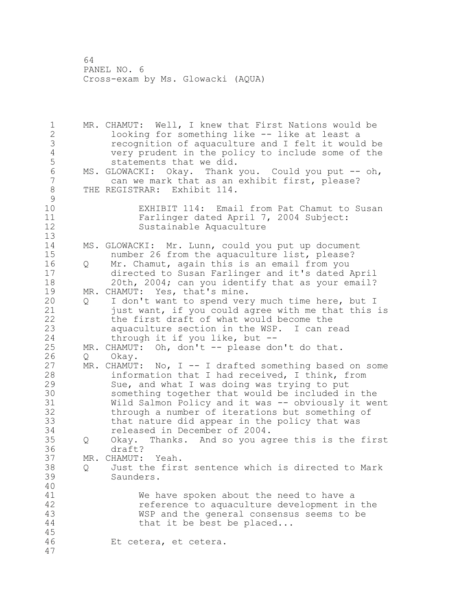MR. CHAMUT: Well, I knew that First Nations would be looking for something like -- like at least a recognition of aquaculture and I felt it would be very prudent in the policy to include some of the statements that we did. 6 MS. GLOWACKI: Okay. Thank you. Could you put -- oh,<br>7 can we mark that as an exhibit first, please? can we mark that as an exhibit first, please? THE REGISTRAR: Exhibit 114.  $\begin{smallmatrix} 9 \\ 10 \end{smallmatrix}$ EXHIBIT 114: Email from Pat Chamut to Susan Farlinger dated April 7, 2004 Subject: Sustainable Aquaculture MS. GLOWACKI: Mr. Lunn, could you put up document number 26 from the aquaculture list, please? Q Mr. Chamut, again this is an email from you directed to Susan Farlinger and it's dated April 20th, 2004; can you identify that as your email? 19 MR. CHAMUT: Yes, that's mine.<br>20 0 I don't want to spend ver Q I don't want to spend very much time here, but I just want, if you could agree with me that this is the first draft of what would become the aquaculture section in the WSP. I can read through it if you like, but -- MR. CHAMUT: Oh, don't -- please don't do that. 26 Q Okay.<br>27 MR. CHAMUT  $MR.$  CHAMUT: No, I -- I drafted something based on some information that I had received, I think, from Sue, and what I was doing was trying to put 30 something together that would be included in the<br>31 Wild Salmon Policy and it was -- obviously it we Wild Salmon Policy and it was -- obviously it went through a number of iterations but something of that nature did appear in the policy that was released in December of 2004. Q Okay. Thanks. And so you agree this is the first draft? MR. CHAMUT: Yeah. Q Just the first sentence which is directed to Mark Saunders. 41 We have spoken about the need to have a<br>42 Teference to aguaculture development in reference to aquaculture development in the WSP and the general consensus seems to be 44 that it be best be placed... Et cetera, et cetera.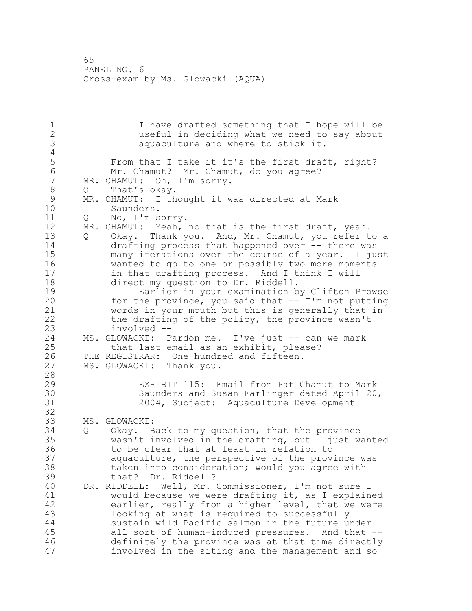I have drafted something that I hope will be useful in deciding what we need to say about aquaculture and where to stick it. 4<br>5 5 From that I take it it's the first draft, right?<br>6 Mr. Chamut? Mr. Chamut, do vou agree? 6 Mr. Chamut? Mr. Chamut, do you agree?<br>7 MR. CHAMUT: Oh, I'm sorry. MR. CHAMUT: Oh, I'm sorry. 8 Q That's okay.<br>9 MR. CHAMUT: I th 9 MR. CHAMUT: I thought it was directed at Mark<br>10 Saunders. Saunders. Q No, I'm sorry. MR. CHAMUT: Yeah, no that is the first draft, yeah. Q Okay. Thank you. And, Mr. Chamut, you refer to a drafting process that happened over -- there was many iterations over the course of a year. I just wanted to go to one or possibly two more moments in that drafting process. And I think I will 18 direct my question to Dr. Riddell. 19 Earlier in your examination by Clifton Prowse<br>20 for the province, you said that -- I'm not putting for the province, you said that  $-- I'm$  not putting words in your mouth but this is generally that in the drafting of the policy, the province wasn't involved -- 24 MS. GLOWACKI: Pardon me. I've just -- can we mark that last email as an exhibit, please? 26 THE REGISTRAR: One hundred and fifteen.<br>27 MS. GLOWACKI: Thank you. MS. GLOWACKI: Thank you. EXHIBIT 115: Email from Pat Chamut to Mark 30 Saunders and Susan Farlinger dated April 20,<br>31 31 2004, Subject: Aquaculture Development 2004, Subject: Aquaculture Development MS. GLOWACKI: Q Okay. Back to my question, that the province wasn't involved in the drafting, but I just wanted to be clear that at least in relation to aquaculture, the perspective of the province was taken into consideration; would you agree with that? Dr. Riddell? DR. RIDDELL: Well, Mr. Commissioner, I'm not sure I 41 would because we were drafting it, as I explained<br>42 earlier, really from a higher level, that we were earlier, really from a higher level, that we were looking at what is required to successfully sustain wild Pacific salmon in the future under all sort of human-induced pressures. And that -- definitely the province was at that time directly involved in the siting and the management and so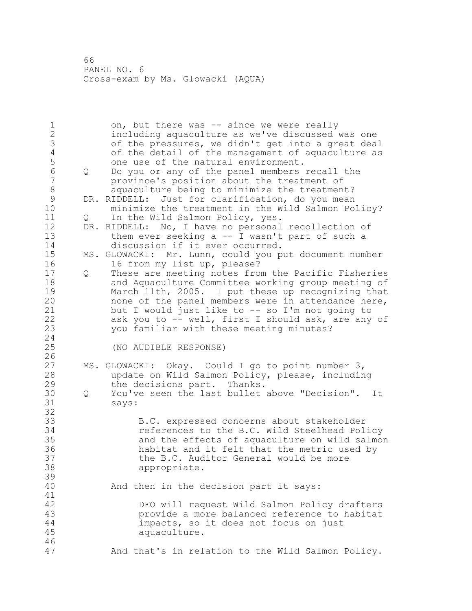1 on, but there was -- since we were really including aquaculture as we've discussed was one of the pressures, we didn't get into a great deal 4 of the detail of the management of aquaculture as<br>5 one use of the natural environment. 5 one use of the natural environment.<br>6 0 Do you or any of the panel members Q Do you or any of the panel members recall the province's position about the treatment of 8 aquaculture being to minimize the treatment?<br>9 DR. RIDDELL: Just for clarification, do you mean 9 DR. RIDDELL: Just for clarification, do you mean<br>10 minimize the treatment in the Wild Salmon Po. minimize the treatment in the Wild Salmon Policy? 11 Q In the Wild Salmon Policy, yes. DR. RIDDELL: No, I have no personal recollection of them ever seeking a -- I wasn't part of such a discussion if it ever occurred. MS. GLOWACKI: Mr. Lunn, could you put document number 16 from my list up, please? Q These are meeting notes from the Pacific Fisheries and Aquaculture Committee working group meeting of 19 March 11th, 2005. I put these up recognizing that<br>20 mone of the panel members were in attendance here, none of the panel members were in attendance here, but I would just like to -- so I'm not going to ask you to -- well, first I should ask, are any of you familiar with these meeting minutes? (NO AUDIBLE RESPONSE)  $\frac{26}{27}$ MS. GLOWACKI: Okay. Could I go to point number 3, update on Wild Salmon Policy, please, including the decisions part. Thanks. Q You've seen the last bullet above "Decision". It says: B.C. expressed concerns about stakeholder references to the B.C. Wild Steelhead Policy and the effects of aquaculture on wild salmon habitat and it felt that the metric used by 37 the B.C. Auditor General would be more<br>38 appropriate. appropriate. And then in the decision part it says: 41<br>42 DFO will request Wild Salmon Policy drafters provide a more balanced reference to habitat impacts, so it does not focus on just aquaculture. And that's in relation to the Wild Salmon Policy.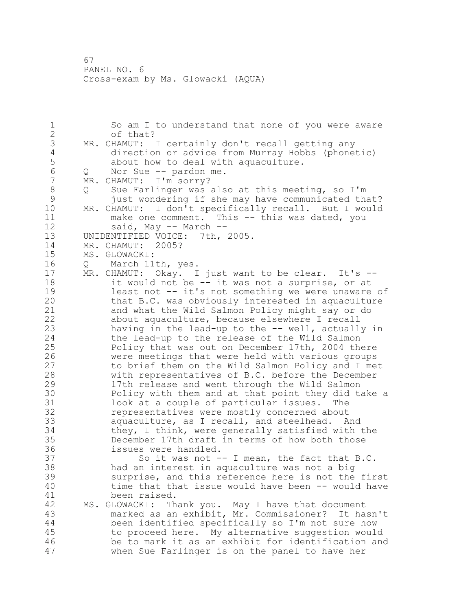1 So am I to understand that none of you were aware of that? 3 MR. CHAMUT: I certainly don't recall getting any<br>4 direction or advice from Murray Hobbs (phone 4 direction or advice from Murray Hobbs (phonetic)<br>5 about how to deal with aquaculture. 5 about how to deal with aquaculture.<br>6 0 Nor Sue -- pardon me. 6 Q Nor Sue -- pardon me.<br>7 MR. CHAMUT: I'm sorrv? MR. CHAMUT: I'm sorry? Q Sue Farlinger was also at this meeting, so I'm 9 just wondering if she may have communicated that?<br>10 MR. CHAMUT: I don't specifically recall. But I would MR. CHAMUT: I don't specifically recall. But I would make one comment. This -- this was dated, you said, May -- March -- UNIDENTIFIED VOICE: 7th, 2005. MR. CHAMUT: 2005? MS. GLOWACKI: Q March 11th, yes. MR. CHAMUT: Okay. I just want to be clear. It's -- it would not be -- it was not a surprise, or at 19 least not -- it's not something we were unaware of<br>20 that B.C. was obviously interested in aquaculture that B.C. was obviously interested in aquaculture and what the Wild Salmon Policy might say or do about aquaculture, because elsewhere I recall having in the lead-up to the -- well, actually in the lead-up to the release of the Wild Salmon Policy that was out on December 17th, 2004 there 26 were meetings that were held with various groups<br>27 to brief them on the Wild Salmon Policy and I me to brief them on the Wild Salmon Policy and I met with representatives of B.C. before the December 17th release and went through the Wild Salmon 30 Policy with them and at that point they did take a<br>31 100k at a couple of particular issues. The look at a couple of particular issues. The representatives were mostly concerned about aquaculture, as I recall, and steelhead. And they, I think, were generally satisfied with the December 17th draft in terms of how both those issues were handled. So it was not -- I mean, the fact that B.C. had an interest in aquaculture was not a big surprise, and this reference here is not the first time that that issue would have been -- would have 41 been raised.<br>42 MS. GLOWACKI: Th MS. GLOWACKI: Thank you. May I have that document marked as an exhibit, Mr. Commissioner? It hasn't been identified specifically so I'm not sure how to proceed here. My alternative suggestion would be to mark it as an exhibit for identification and when Sue Farlinger is on the panel to have her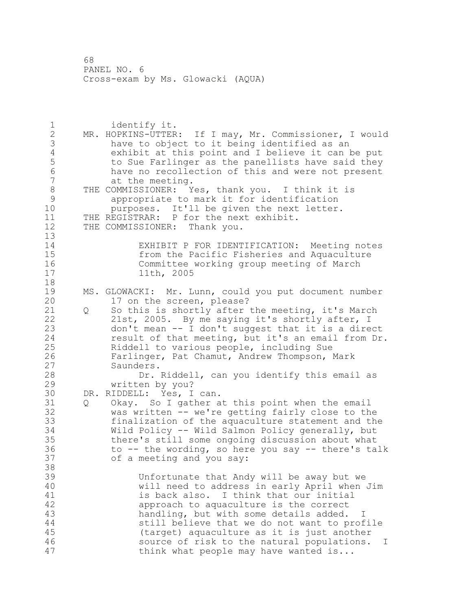1 identify it.<br>2 MR. HOPKINS-UTTER: MR. HOPKINS-UTTER: If I may, Mr. Commissioner, I would 3 have to object to it being identified as an<br>4 exhibit at this point and I believe it can k 4 exhibit at this point and I believe it can be put<br>5 to Sue Farlinger as the panellists have said they to Sue Farlinger as the panellists have said they have no recollection of this and were not present at the meeting. 8 THE COMMISSIONER: Yes, thank you. I think it is<br>9 appropriate to mark it for identification appropriate to mark it for identification purposes. It'll be given the next letter. THE REGISTRAR: P for the next exhibit. THE COMMISSIONER: Thank you. EXHIBIT P FOR IDENTIFICATION: Meeting notes 15 from the Pacific Fisheries and Aquaculture<br>16 fommittee working group meeting of March Committee working group meeting of March 11th, 2005 19 MS. GLOWACKI: Mr. Lunn, could you put document number<br>20 17 on the screen, please? 17 on the screen, please? Q So this is shortly after the meeting, it's March 21st, 2005. By me saying it's shortly after, I don't mean -- I don't suggest that it is a direct result of that meeting, but it's an email from Dr. Riddell to various people, including Sue Farlinger, Pat Chamut, Andrew Thompson, Mark Saunders. Dr. Riddell, can you identify this email as written by you? 30 DR. RIDDELL: Yes, I can.<br>31 0 Okav. So I gather a Q Okay. So I gather at this point when the email was written -- we're getting fairly close to the finalization of the aquaculture statement and the Wild Policy -- Wild Salmon Policy generally, but there's still some ongoing discussion about what to -- the wording, so here you say -- there's talk of a meeting and you say: Unfortunate that Andy will be away but we will need to address in early April when Jim 41 is back also. I think that our initial<br>42 approach to aquaculture is the correct approach to aquaculture is the correct handling, but with some details added. I still believe that we do not want to profile (target) aquaculture as it is just another source of risk to the natural populations. I 47 think what people may have wanted is...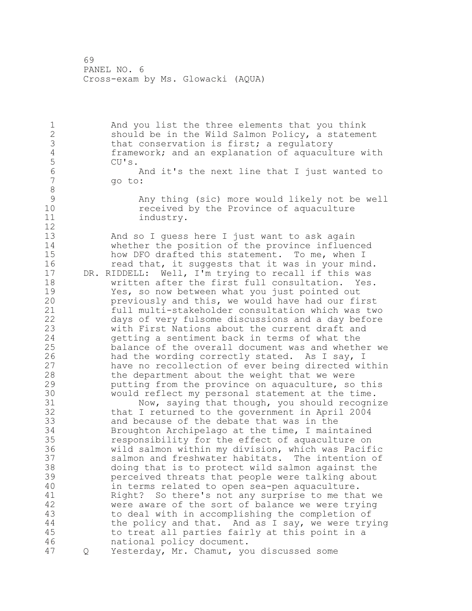And you list the three elements that you think should be in the Wild Salmon Policy, a statement 3 that conservation is first; a regulatory<br>4 framework; and an explanation of aquacul framework; and an explanation of aquaculture with CU's.<br>6 And it's the next line that I just wanted to go to: Any thing (sic) more would likely not be well received by the Province of aquaculture 11 industry. And so I guess here I just want to ask again whether the position of the province influenced 15 how DFO drafted this statement. To me, when I 16 read that, it suggests that it was in your mind. DR. RIDDELL: Well, I'm trying to recall if this was written after the first full consultation. Yes. 19 Yes, so now between what you just pointed out<br>20 previously and this, we would have had our fi previously and this, we would have had our first full multi-stakeholder consultation which was two days of very fulsome discussions and a day before with First Nations about the current draft and getting a sentiment back in terms of what the balance of the overall document was and whether we 26 had the wording correctly stated. As I say, I<br>27 have no recollection of ever being directed wi have no recollection of ever being directed within the department about the weight that we were putting from the province on aquaculture, so this 30 would reflect my personal statement at the time.<br>31 Wow, saving that though, you should recogni 31 Now, saying that though, you should recognize<br>32 that I returned to the government in April 2004 that I returned to the government in April 2004 and because of the debate that was in the Broughton Archipelago at the time, I maintained responsibility for the effect of aquaculture on wild salmon within my division, which was Pacific salmon and freshwater habitats. The intention of doing that is to protect wild salmon against the perceived threats that people were talking about in terms related to open sea-pen aquaculture. 41 Right? So there's not any surprise to me that we<br>42 were aware of the sort of balance we were trying were aware of the sort of balance we were trying to deal with in accomplishing the completion of 44 the policy and that. And as I say, we were trying to treat all parties fairly at this point in a national policy document. Q Yesterday, Mr. Chamut, you discussed some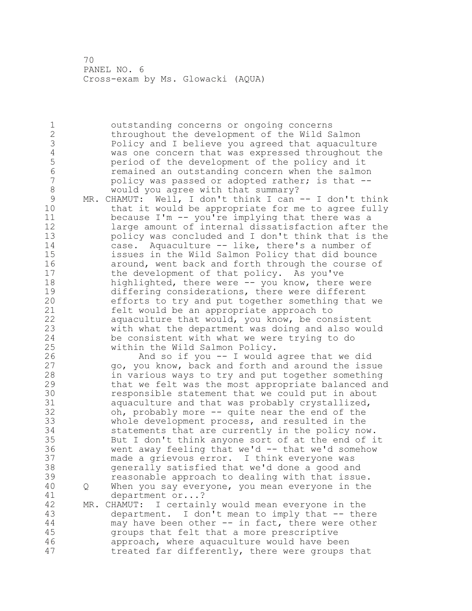outstanding concerns or ongoing concerns throughout the development of the Wild Salmon 3 Policy and I believe you agreed that aquaculture<br>4 was one concern that was expressed throughout the 4 was one concern that was expressed throughout the<br>5 period of the development of the policy and it 5 period of the development of the policy and it<br>6 memained an outstanding concern when the salmo 6 6 remained an outstanding concern when the salmon<br>7 bolicy was passed or adopted rather: is that -policy was passed or adopted rather; is that --8 would you agree with that summary? 9 MR. CHAMUT: Well, I don't think I can -- I don't think<br>10 that it would be appropriate for me to agree fully that it would be appropriate for me to agree fully because I'm -- you're implying that there was a large amount of internal dissatisfaction after the policy was concluded and I don't think that is the case. Aquaculture -- like, there's a number of issues in the Wild Salmon Policy that did bounce around, went back and forth through the course of the development of that policy. As you've highlighted, there were -- you know, there were 19 differing considerations, there were different<br>20 efforts to try and put together something that efforts to try and put together something that we felt would be an appropriate approach to aquaculture that would, you know, be consistent with what the department was doing and also would be consistent with what we were trying to do within the Wild Salmon Policy. 26 And so if you -- I would agree that we did<br>27 app, you know, back and forth and around the iss go, you know, back and forth and around the issue in various ways to try and put together something that we felt was the most appropriate balanced and 30 responsible statement that we could put in about<br>31 aguaculture and that was probably crystallized. aquaculture and that was probably crystallized, oh, probably more -- quite near the end of the whole development process, and resulted in the statements that are currently in the policy now. But I don't think anyone sort of at the end of it went away feeling that we'd -- that we'd somehow made a grievous error. I think everyone was generally satisfied that we'd done a good and reasonable approach to dealing with that issue. Q When you say everyone, you mean everyone in the 41 department or...?<br>42 MR. CHAMUT: I certain MR. CHAMUT: I certainly would mean everyone in the department. I don't mean to imply that -- there may have been other -- in fact, there were other groups that felt that a more prescriptive approach, where aquaculture would have been treated far differently, there were groups that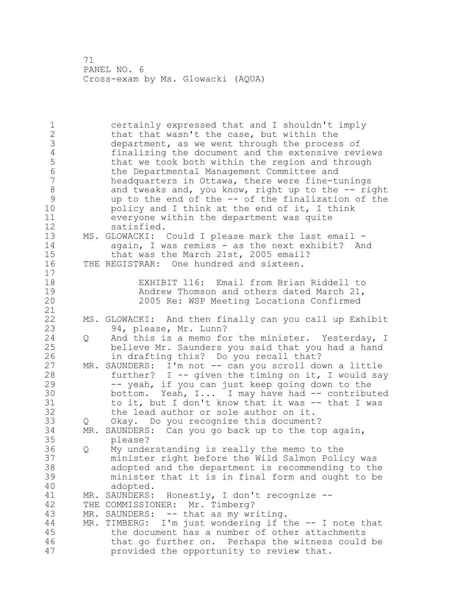1 certainly expressed that and I shouldn't imply 2 that that wasn't the case, but within the 3 department, as we went through the process of<br>4 finalizing the document and the extensive rev. 4 finalizing the document and the extensive reviews<br>5 that we took both within the region and through 5 that we took both within the region and through<br>6 the Departmental Management Committee and 6 the Departmental Management Committee and headquarters in Ottawa, there were fine-tunings 8 and tweaks and, you know, right up to the -- right<br>9 and to the end of the -- of the finalization of the 9 up to the end of the -- of the finalization of the<br>10 bolicy and I think at the end of it, I think policy and I think at the end of it, I think 11 everyone within the department was quite 12 satisfied. 13 MS. GLOWACKI: Could I please mark the last email - 14 again, I was remiss - as the next exhibit? And 15 that was the March 21st, 2005 email? 16 THE REGISTRAR: One hundred and sixteen. 17 18 EXHIBIT 116: Email from Brian Riddell to 19 **Andrew Thomson and others dated March 21,**<br>20 2005 Re: WSP Meeting Locations Confirmed 20 2005 Re: WSP Meeting Locations Confirmed 21 22 MS. GLOWACKI: And then finally can you call up Exhibit 23 94, please, Mr. Lunn?<br>24 0 And this is a memo fo Q And this is a memo for the minister. Yesterday, I 25 believe Mr. Saunders you said that you had a hand 26 in drafting this? Do you recall that?<br>27 MR. SAUNDERS: I'm not -- can you scroll do MR. SAUNDERS: I'm not -- can you scroll down a little 28 further? I -- given the timing on it, I would say 29 -- yeah, if you can just keep going down to the 30 bottom. Yeah, I... I may have had -- contributed<br>31 boit, but I don't know that it was -- that I was to it, but I don't know that it was -- that I was 32 the lead author or sole author on it. 33 Q Okay. Do you recognize this document? 34 MR. SAUNDERS: Can you go back up to the top again, 35 please? 36 Q My understanding is really the memo to the 37 minister right before the Wild Salmon Policy was 38 adopted and the department is recommending to the 39 minister that it is in final form and ought to be 40 adopted. 41 MR. SAUNDERS: Honestly, I don't recognize --<br>42 THE COMMISSIONER: Mr. Timberg? THE COMMISSIONER: Mr. Timberg? 43 MR. SAUNDERS: -- that as my writing. 44 MR. TIMBERG: I'm just wondering if the -- I note that 45 the document has a number of other attachments 46 that go further on. Perhaps the witness could be 47 provided the opportunity to review that.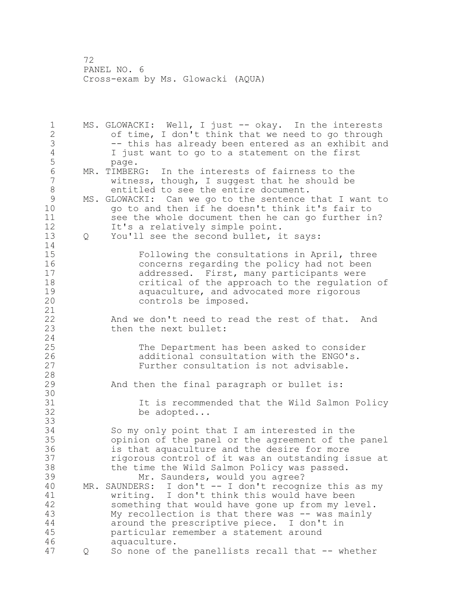1 MS. GLOWACKI: Well, I just -- okay. In the interests of time, I don't think that we need to go through -- this has already been entered as an exhibit and 4 I just want to go to a statement on the first<br>5 page. page. 6 MR. TIMBERG: In the interests of fairness to the<br>7 witness, though, I suggest that he should be witness, though, I suggest that he should be 8 entitled to see the entire document. 9 MS. GLOWACKI: Can we go to the sentence that I want to<br>10 do to and then if he doesn't think it's fair to go to and then if he doesn't think it's fair to see the whole document then he can go further in? It's a relatively simple point. Q You'll see the second bullet, it says: Following the consultations in April, three concerns regarding the policy had not been addressed. First, many participants were critical of the approach to the regulation of 19 aquaculture, and advocated more rigorous<br>20 controls be imposed. controls be imposed. And we don't need to read the rest of that. And 23 then the next bullet: The Department has been asked to consider 26 additional consultation with the ENGO's.<br>27 Further consultation is not advisable. Further consultation is not advisable. And then the final paragraph or bullet is: 30<br>31 31 1 It is recommended that the Wild Salmon Policy<br>32 be adopted... be adopted... So my only point that I am interested in the opinion of the panel or the agreement of the panel is that aquaculture and the desire for more rigorous control of it was an outstanding issue at the time the Wild Salmon Policy was passed. Mr. Saunders, would you agree? MR. SAUNDERS: I don't -- I don't recognize this as my writing. I don't think this would have been something that would have gone up from my level. 43 My recollection is that there was -- was mainly around the prescriptive piece. I don't in particular remember a statement around aquaculture. Q So none of the panellists recall that -- whether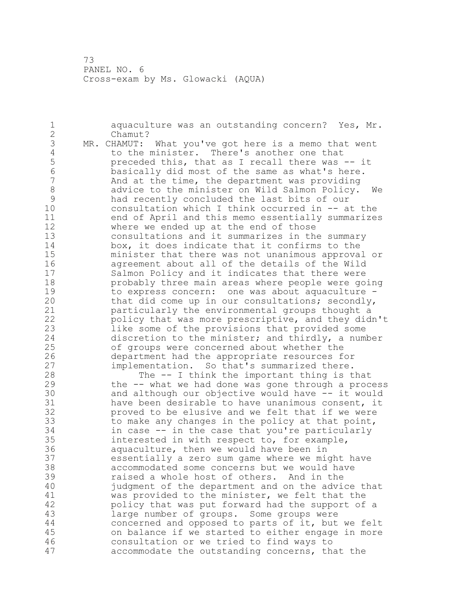1 aquaculture was an outstanding concern? Yes, Mr. 2 Chamut? 3 MR. CHAMUT: What you've got here is a memo that went<br>4 to the minister. There's another one that 4 to the minister. There's another one that<br>5 preceded this, that as I recall there was 5 preceded this, that as I recall there was -- it<br>6 basically did most of the same as what's here. 6 basically did most of the same as what's here. And at the time, the department was providing 8 advice to the minister on Wild Salmon Policy. We<br>9 had recently concluded the last bits of our 9 had recently concluded the last bits of our<br>10 consultation which I think occurred in -- a consultation which I think occurred in  $-$  at the 11 end of April and this memo essentially summarizes 12 where we ended up at the end of those 13 consultations and it summarizes in the summary 14 box, it does indicate that it confirms to the 15 minister that there was not unanimous approval or<br>16 agreement about all of the details of the Wild agreement about all of the details of the Wild 17 Salmon Policy and it indicates that there were 18 probably three main areas where people were going 19 to express concern: one was about aquaculture -<br>20 that did come up in our consultations; secondly, that did come up in our consultations; secondly, 21 particularly the environmental groups thought a 22 policy that was more prescriptive, and they didn't 23 like some of the provisions that provided some 24 discretion to the minister; and thirdly, a number 25 of groups were concerned about whether the 26 department had the appropriate resources for<br>27 implementation. So that's summarized there. implementation. So that's summarized there. 28 The -- I think the important thing is that 29 the -- what we had done was gone through a process 30 and although our objective would have -- it would<br>31 have been desirable to have unanimous consent, it 31 have been desirable to have unanimous consent, it<br>32 broved to be elusive and we felt that if we were proved to be elusive and we felt that if we were 33 to make any changes in the policy at that point, 34 in case -- in the case that you're particularly 35 interested in with respect to, for example, 36 aquaculture, then we would have been in 37 essentially a zero sum game where we might have 38 accommodated some concerns but we would have 39 raised a whole host of others. And in the 40 judgment of the department and on the advice that 41 was provided to the minister, we felt that the<br>42 bolicy that was put forward had the support of policy that was put forward had the support of a 43 large number of groups. Some groups were 44 concerned and opposed to parts of it, but we felt 45 on balance if we started to either engage in more 46 consultation or we tried to find ways to 47 accommodate the outstanding concerns, that the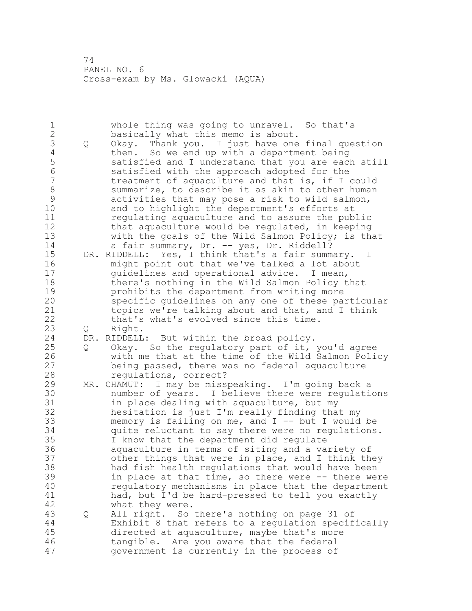1 whole thing was going to unravel. So that's<br>2 basically what this memo is about. basically what this memo is about. Q Okay. Thank you. I just have one final question 4 then. So we end up with a department being<br>5 satisfied and I understand that you are eacl 5 satisfied and I understand that you are each still<br>6 satisfied with the approach adopted for the satisfied with the approach adopted for the treatment of aquaculture and that is, if I could 8 summarize, to describe it as akin to other human<br>9 activities that may pose a risk to wild salmon, 9 activities that may pose a risk to wild salmon,<br>10 and to highlight the department's efforts at and to highlight the department's efforts at regulating aquaculture and to assure the public that aquaculture would be regulated, in keeping with the goals of the Wild Salmon Policy; is that 14 a fair summary, Dr. -- yes, Dr. Riddell? DR. RIDDELL: Yes, I think that's a fair summary. I might point out that we've talked a lot about guidelines and operational advice. I mean, there's nothing in the Wild Salmon Policy that **prohibits the department from writing more**<br>20 **probisional specific quidelines on any one of these pa** specific guidelines on any one of these particular topics we're talking about and that, and I think that's what's evolved since this time. Q Right. DR. RIDDELL: But within the broad policy. Q Okay. So the regulatory part of it, you'd agree 26 with me that at the time of the Wild Salmon Policy<br>27 being passed, there was no federal aquaculture being passed, there was no federal aquaculture regulations, correct? MR. CHAMUT: I may be misspeaking. I'm going back a 30 mumber of years. I believe there were regulations<br>31 in place dealing with aguaculture, but my in place dealing with aquaculture, but my hesitation is just I'm really finding that my memory is failing on me, and I -- but I would be quite reluctant to say there were no regulations. I know that the department did regulate aquaculture in terms of siting and a variety of other things that were in place, and I think they had fish health regulations that would have been in place at that time, so there were -- there were regulatory mechanisms in place that the department 41 had, but I'd be hard-pressed to tell you exactly<br>42 what they were. what they were. Q All right. So there's nothing on page 31 of Exhibit 8 that refers to a regulation specifically directed at aquaculture, maybe that's more tangible. Are you aware that the federal government is currently in the process of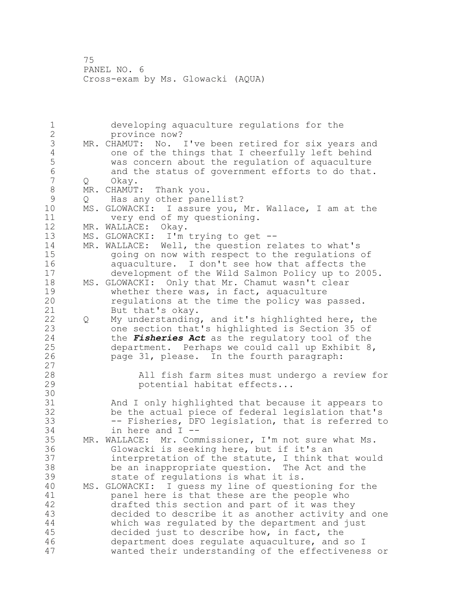developing aquaculture regulations for the province now? 3 MR. CHAMUT: No. I've been retired for six years and<br>4 one of the things that I cheerfully left behind 4 one of the things that I cheerfully left behind<br>5 was concern about the requlation of aquaculture was concern about the regulation of aquaculture and the status of government efforts to do that. Q Okay. 8 MR. CHAMUT: Thank you.<br>9 0 Has any other pane 9 Q Has any other panellist?<br>10 MS. GLOWACKI: I assure you. MS. GLOWACKI: I assure you, Mr. Wallace, I am at the very end of my questioning. MR. WALLACE: Okay. MS. GLOWACKI: I'm trying to get -- MR. WALLACE: Well, the question relates to what's 15 going on now with respect to the regulations of<br>16 aquaculture. I don't see how that affects the aquaculture. I don't see how that affects the development of the Wild Salmon Policy up to 2005. MS. GLOWACKI: Only that Mr. Chamut wasn't clear 19 whether there was, in fact, aquaculture<br>20 mequlations at the time the policy was regulations at the time the policy was passed. 21 But that's okay. Q My understanding, and it's highlighted here, the one section that's highlighted is Section 35 of the *Fisheries Act* as the regulatory tool of the department. Perhaps we could call up Exhibit 8, page 31, please. In the fourth paragraph: All fish farm sites must undergo a review for potential habitat effects... 30<br>31 And I only highlighted that because it appears to be the actual piece of federal legislation that's -- Fisheries, DFO legislation, that is referred to in here and I -- MR. WALLACE: Mr. Commissioner, I'm not sure what Ms. Glowacki is seeking here, but if it's an interpretation of the statute, I think that would be an inappropriate question. The Act and the state of regulations is what it is. MS. GLOWACKI: I guess my line of questioning for the **panel here is that these are the people who**<br>42 **drafted this section and part of it was the** drafted this section and part of it was they decided to describe it as another activity and one which was regulated by the department and just decided just to describe how, in fact, the department does regulate aquaculture, and so I wanted their understanding of the effectiveness or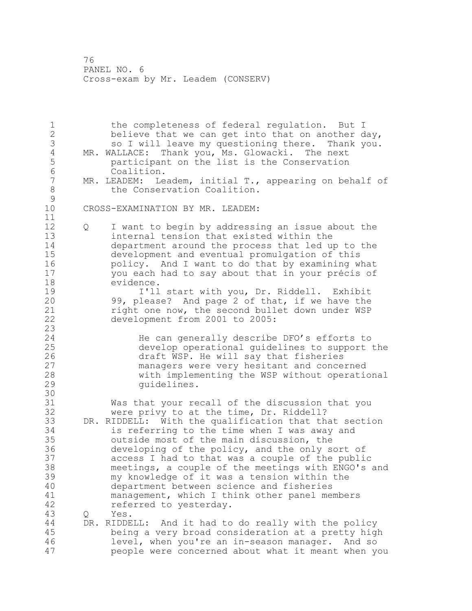the completeness of federal regulation. But I believe that we can get into that on another day, 3 so I will leave my questioning there. Thank you.<br>4 MR. WALLACE: Thank you, Ms. Glowacki. The next 4 MR. WALLACE: Thank you, Ms. Glowacki. The next<br>5 participant on the list is the Conservation 5 participant on the list is the Conservation<br>6 Coalition. 6 Coalition.<br>7 MR. LEADEM: Le MR. LEADEM: Leadem, initial T., appearing on behalf of 8 the Conservation Coalition.  $\begin{array}{c} 9 \\ 10 \end{array}$ CROSS-EXAMINATION BY MR. LEADEM: Q I want to begin by addressing an issue about the internal tension that existed within the department around the process that led up to the development and eventual promulgation of this policy. And I want to do that by examining what you each had to say about that in your précis of evidence. 19 11 I'll start with you, Dr. Riddell. Exhibit<br>20 39, please? And page 2 of that, if we have the 99, please? And page 2 of that, if we have the right one now, the second bullet down under WSP development from 2001 to 2005: He can generally describe DFO's efforts to develop operational guidelines to support the 26 draft WSP. He will say that fisheries<br>27 managers were very hesitant and conce managers were very hesitant and concerned with implementing the WSP without operational 29 quidelines. 30<br>31 Was that your recall of the discussion that you were privy to at the time, Dr. Riddell? DR. RIDDELL: With the qualification that that section is referring to the time when I was away and outside most of the main discussion, the developing of the policy, and the only sort of access I had to that was a couple of the public meetings, a couple of the meetings with ENGO's and my knowledge of it was a tension within the department between science and fisheries 41 management, which I think other panel members<br>42 feferred to vesterday. referred to yesterday. Q Yes. DR. RIDDELL: And it had to do really with the policy being a very broad consideration at a pretty high level, when you're an in-season manager. And so people were concerned about what it meant when you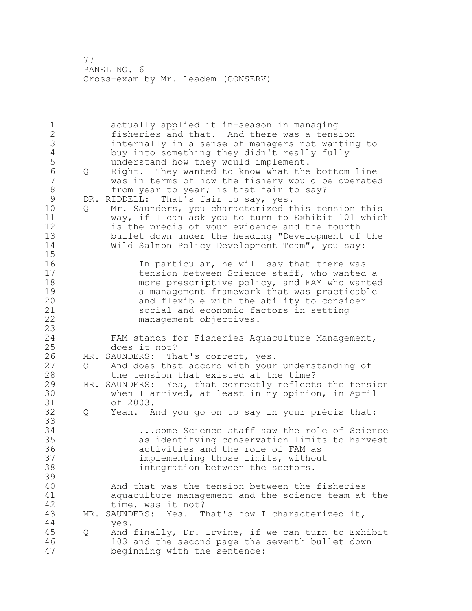1 actually applied it in-season in managing 2 fisheries and that. And there was a tension 3 internally in a sense of managers not wanting to 4 buy into something they didn't really fully<br>5 understand how they would implement. 5 understand how they would implement.<br>6 0 Right. They wanted to know what the 6 Q Right. They wanted to know what the bottom line was in terms of how the fishery would be operated 8 from year to year; is that fair to say?<br>9 DR. RIDDELL: That's fair to sav, ves. 9 DR. RIDDELL: That's fair to say, yes.<br>10 0 Mr. Saunders, vou characterized t Q Mr. Saunders, you characterized this tension this 11 way, if I can ask you to turn to Exhibit 101 which 12 is the précis of your evidence and the fourth 13 bullet down under the heading "Development of the 14 Wild Salmon Policy Development Team", you say:  $\frac{15}{16}$ 16 16 In particular, he will say that there was<br>17 tension between Science staff, who wanted tension between Science staff, who wanted a 18 **more prescriptive policy, and FAM who wanted** 19 19 a management framework that was practicable<br>20 30 and flexible with the ability to consider and flexible with the ability to consider 21 social and economic factors in setting 22 management objectives. 23 24 FAM stands for Fisheries Aquaculture Management, 25 does it not? 26 MR. SAUNDERS: That's correct, yes.<br>27 0 And does that accord with your And does that accord with your understanding of 28 the tension that existed at the time? 29 MR. SAUNDERS: Yes, that correctly reflects the tension 30 when I arrived, at least in my opinion, in April<br>31 of 2003. 31 of 2003.<br>32 0 Yeah. A 32 Q Yeah. And you go on to say in your précis that: 33 34 ...some Science staff saw the role of Science 35 as identifying conservation limits to harvest 36 activities and the role of FAM as 37 implementing those limits, without<br>38 integration between the sectors. integration between the sectors. 39 40 And that was the tension between the fisheries 41 aquaculture management and the science team at the 42 time, was it not? 43 MR. SAUNDERS: Yes. That's how I characterized it, 44 yes. 45 Q And finally, Dr. Irvine, if we can turn to Exhibit 46 103 and the second page the seventh bullet down 47 beginning with the sentence: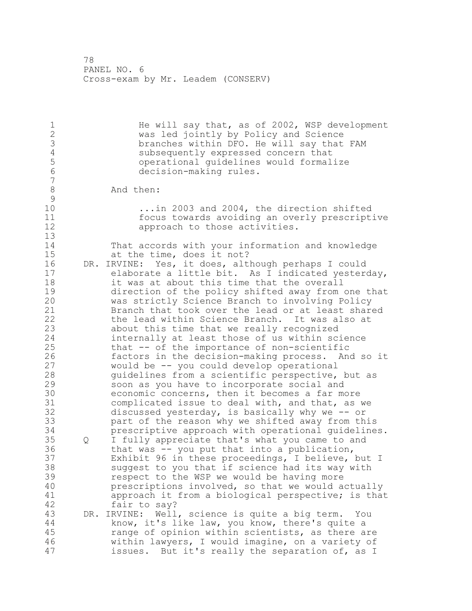1 1 He will say that, as of 2002, WSP development<br>2 was led jointly by Policy and Science 2 was led jointly by Policy and Science<br>3 branches within DFO. He will say that 3 branches within DFO. He will say that FAM<br>4 subsequently expressed concern that 4 subsequently expressed concern that<br>5 operational quidelines would formal operational guidelines would formalize decision-making rules. 8 And then:  $\begin{array}{c} 9 \\ 10 \end{array}$ ...in 2003 and 2004, the direction shifted focus towards avoiding an overly prescriptive **approach** to those activities. That accords with your information and knowledge at the time, does it not? DR. IRVINE: Yes, it does, although perhaps I could elaborate a little bit. As I indicated yesterday, it was at about this time that the overall 19 direction of the policy shifted away from one that<br>20 was strictly Science Branch to involving Policy was strictly Science Branch to involving Policy Branch that took over the lead or at least shared the lead within Science Branch. It was also at about this time that we really recognized internally at least those of us within science that -- of the importance of non-scientific 26 factors in the decision-making process. And so it<br>27 would be -- you could develop operational would be -- you could develop operational guidelines from a scientific perspective, but as soon as you have to incorporate social and 30 economic concerns, then it becomes a far more<br>31 complicated issue to deal with, and that, as complicated issue to deal with, and that, as we discussed yesterday, is basically why we -- or part of the reason why we shifted away from this prescriptive approach with operational guidelines. Q I fully appreciate that's what you came to and that was -- you put that into a publication, Exhibit 96 in these proceedings, I believe, but I suggest to you that if science had its way with respect to the WSP we would be having more prescriptions involved, so that we would actually 41 approach it from a biological perspective; is that 42 fair to say? DR. IRVINE: Well, science is quite a big term. You know, it's like law, you know, there's quite a range of opinion within scientists, as there are within lawyers, I would imagine, on a variety of issues. But it's really the separation of, as I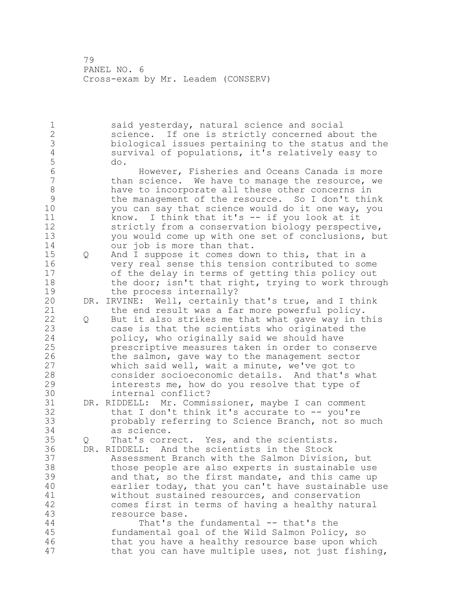said yesterday, natural science and social science. If one is strictly concerned about the 3 biological issues pertaining to the status and the<br>4 survival of populations, it's relatively easy to survival of populations, it's relatively easy to do. However, Fisheries and Oceans Canada is more than science. We have to manage the resource, we 8 have to incorporate all these other concerns in<br>9 have management of the resource. So I don't thip 9 the management of the resource. So I don't think<br>10 vou can say that science would do it one way, you you can say that science would do it one way, you know. I think that it's -- if you look at it strictly from a conservation biology perspective, you would come up with one set of conclusions, but 14 our job is more than that. Q And I suppose it comes down to this, that in a very real sense this tension contributed to some of the delay in terms of getting this policy out 18 the door; isn't that right, trying to work through 19 the process internally?<br>20 DR. IRVINE: Well, certainly DR. IRVINE: Well, certainly that's true, and I think the end result was a far more powerful policy. Q But it also strikes me that what gave way in this case is that the scientists who originated the policy, who originally said we should have prescriptive measures taken in order to conserve 26 the salmon, gave way to the management sector<br>27 which said well, wait a minute, we've got to which said well, wait a minute, we've got to consider socioeconomic details. And that's what interests me, how do you resolve that type of 30 internal conflict?<br>31 DR. RIDDELL: Mr. Commi DR. RIDDELL: Mr. Commissioner, maybe I can comment that I don't think it's accurate to -- you're probably referring to Science Branch, not so much as science. Q That's correct. Yes, and the scientists. DR. RIDDELL: And the scientists in the Stock Assessment Branch with the Salmon Division, but those people are also experts in sustainable use and that, so the first mandate, and this came up earlier today, that you can't have sustainable use 41 without sustained resources, and conservation<br>42 comes first in terms of having a healthy natu comes first in terms of having a healthy natural resource base. That's the fundamental -- that's the fundamental goal of the Wild Salmon Policy, so that you have a healthy resource base upon which that you can have multiple uses, not just fishing,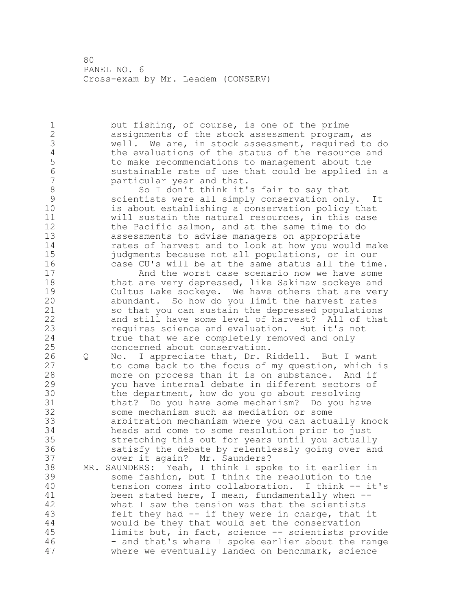but fishing, of course, is one of the prime assignments of the stock assessment program, as 3 well. We are, in stock assessment, required to do<br>4 the evaluations of the status of the resource and 4 the evaluations of the status of the resource and<br>5 to make recommendations to management about the to make recommendations to management about the sustainable rate of use that could be applied in a particular year and that. 8 So I don't think it's fair to say that<br>8 Scientists were all simply conservation onl scientists were all simply conservation only. It is about establishing a conservation policy that will sustain the natural resources, in this case the Pacific salmon, and at the same time to do assessments to advise managers on appropriate rates of harvest and to look at how you would make 15 iudgments because not all populations, or in our<br>16 case CU's will be at the same status all the tim case CU's will be at the same status all the time. And the worst case scenario now we have some 18 that are very depressed, like Sakinaw sockeye and 19 Cultus Lake sockeye. We have others that are very<br>20 abundant. So how do you limit the harvest rates abundant. So how do you limit the harvest rates so that you can sustain the depressed populations and still have some level of harvest? All of that requires science and evaluation. But it's not true that we are completely removed and only concerned about conservation. 26 Q No. I appreciate that, Dr. Riddell. But I want<br>27 to come back to the focus of my question, which to come back to the focus of my question, which is more on process than it is on substance. And if you have internal debate in different sectors of 30 the department, how do you go about resolving<br>31 that? Do you have some mechanism? Do you ha that? Do you have some mechanism? Do you have some mechanism such as mediation or some arbitration mechanism where you can actually knock heads and come to some resolution prior to just stretching this out for years until you actually satisfy the debate by relentlessly going over and over it again? Mr. Saunders? MR. SAUNDERS: Yeah, I think I spoke to it earlier in some fashion, but I think the resolution to the tension comes into collaboration. I think -- it's 41 been stated here, I mean, fundamentally when --<br>42 what I saw the tension was that the scientists what I saw the tension was that the scientists felt they had -- if they were in charge, that it would be they that would set the conservation limits but, in fact, science -- scientists provide 46 - and that's where I spoke earlier about the range where we eventually landed on benchmark, science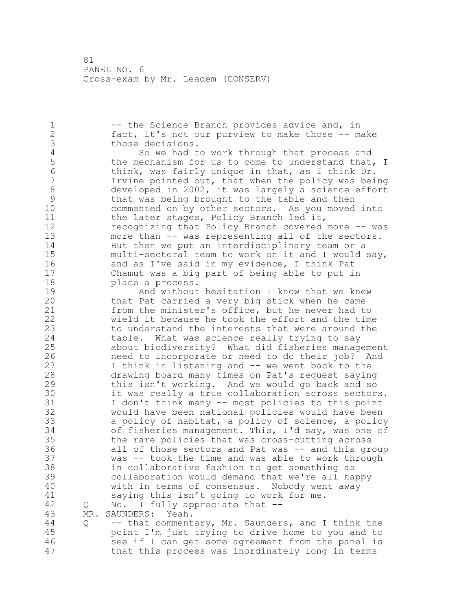1 -- the Science Branch provides advice and, in fact, it's not our purview to make those -- make 3 those decisions.<br>4 So we had t 4 So we had to work through that process and<br>5 the mechanism for us to come to understand that, 5 the mechanism for us to come to understand that, I<br>6 think, was fairly unique in that, as I think Dr. 6 think, was fairly unique in that, as I think Dr.<br>7 Tryine pointed out, that when the policy was bei Irvine pointed out, that when the policy was being 8 developed in 2002, it was largely a science effort<br>9 that was being brought to the table and then 9 that was being brought to the table and then<br>10 commented on by other sectors. As you moved commented on by other sectors. As you moved into 11 the later stages, Policy Branch led it, recognizing that Policy Branch covered more -- was more than -- was representing all of the sectors. But then we put an interdisciplinary team or a multi-sectoral team to work on it and I would say, and as I've said in my evidence, I think Pat Chamut was a big part of being able to put in **place a process.** 19 And without hesitation I know that we knew<br>20 that Pat carried a very big stick when he came that Pat carried a very big stick when he came from the minister's office, but he never had to wield it because he took the effort and the time to understand the interests that were around the table. What was science really trying to say about biodiversity? What did fisheries management 26 need to incorporate or need to do their job? And<br>27 I think in listening and -- we went back to the I think in listening and -- we went back to the drawing board many times on Pat's request saying this isn't working. And we would go back and so 30 it was really a true collaboration across sectors.<br>31 I don't think many -- most policies to this point I don't think many -- most policies to this point would have been national policies would have been a policy of habitat, a policy of science, a policy of fisheries management. This, I'd say, was one of the rare policies that was cross-cutting across all of those sectors and Pat was -- and this group was -- took the time and was able to work through in collaborative fashion to get something as collaboration would demand that we're all happy with in terms of consensus. Nobody went away 41 saying this isn't going to work for me.<br>42 O No. I fully appreciate that -- Q No. I fully appreciate that -- MR. SAUNDERS: Yeah. Q -- that commentary, Mr. Saunders, and I think the point I'm just trying to drive home to you and to see if I can get some agreement from the panel is

that this process was inordinately long in terms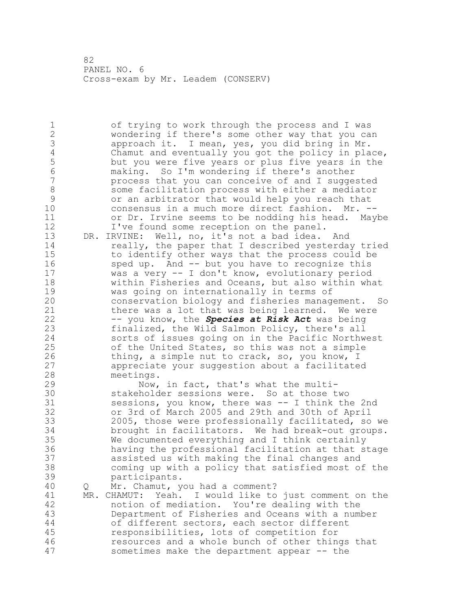of trying to work through the process and I was wondering if there's some other way that you can 3 approach it. I mean, yes, you did bring in Mr.<br>4 Chamut and eventually you got the policy in pla 4 Chamut and eventually you got the policy in place,<br>5 but you were five years or plus five years in the 5 but you were five years or plus five years in the<br>6 making. So I'm wondering if there's another making. So I'm wondering if there's another process that you can conceive of and I suggested 8 some facilitation process with either a mediator<br>9 or an arbitrator that would help you reach that 9 or an arbitrator that would help you reach that<br>10 onsensus in a much more direct fashion. Mr. consensus in a much more direct fashion. Mr. -- or Dr. Irvine seems to be nodding his head. Maybe 12 I've found some reception on the panel. DR. IRVINE: Well, no, it's not a bad idea. And really, the paper that I described yesterday tried to identify other ways that the process could be sped up. And -- but you have to recognize this was a very -- I don't know, evolutionary period within Fisheries and Oceans, but also within what 19 was going on internationally in terms of<br>20 conservation biology and fisheries manage conservation biology and fisheries management. So there was a lot that was being learned. We were -- you know, the *Species at Risk Act* was being finalized, the Wild Salmon Policy, there's all sorts of issues going on in the Pacific Northwest of the United States, so this was not a simple 26 thing, a simple nut to crack, so, you know, I<br>27 appreciate your suggestion about a facilitate appreciate your suggestion about a facilitated meetings. Now, in fact, that's what the multi-30 stakeholder sessions were. So at those two<br>31 sessions, you know, there was -- I think the sessions, you know, there was  $--$  I think the 2nd or 3rd of March 2005 and 29th and 30th of April 2005, those were professionally facilitated, so we brought in facilitators. We had break-out groups. We documented everything and I think certainly having the professional facilitation at that stage assisted us with making the final changes and coming up with a policy that satisfied most of the participants. Q Mr. Chamut, you had a comment? 41 MR. CHAMUT: Yeah. I would like to just comment on the 42 notion of mediation. You're dealing with the Department of Fisheries and Oceans with a number of different sectors, each sector different responsibilities, lots of competition for resources and a whole bunch of other things that sometimes make the department appear -- the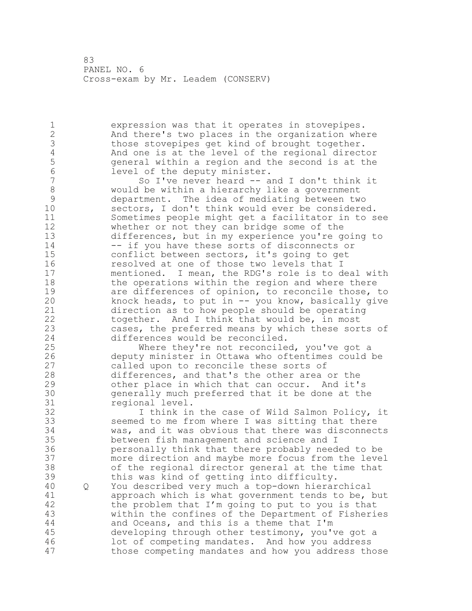expression was that it operates in stovepipes. And there's two places in the organization where 3 those stovepipes get kind of brought together.<br>4 and one is at the level of the regional direct 4 And one is at the level of the regional director<br>5 General within a region and the second is at the general within a region and the second is at the 6 level of the deputy minister.<br>7 So I've never heard -- a So I've never heard  $--$  and I don't think it 8 would be within a hierarchy like a government<br>9 department. The idea of mediating between tw 9 department. The idea of mediating between two<br>10 sectors, I don't think would ever be considere sectors, I don't think would ever be considered. Sometimes people might get a facilitator in to see whether or not they can bridge some of the differences, but in my experience you're going to 14 -- if you have these sorts of disconnects or conflict between sectors, it's going to get resolved at one of those two levels that I mentioned. I mean, the RDG's role is to deal with 18 the operations within the region and where there 19 are differences of opinion, to reconcile those, to<br>20 hnock heads, to put in -- you know, basically give knock heads, to put in  $--$  you know, basically give direction as to how people should be operating together. And I think that would be, in most cases, the preferred means by which these sorts of differences would be reconciled. Where they're not reconciled, you've got a 26 deputy minister in Ottawa who oftentimes could be<br>27 called upon to reconcile these sorts of called upon to reconcile these sorts of differences, and that's the other area or the other place in which that can occur. And it's generally much preferred that it be done at the 31 regional level.<br>32 I think in I think in the case of Wild Salmon Policy, it seemed to me from where I was sitting that there was, and it was obvious that there was disconnects between fish management and science and I personally think that there probably needed to be more direction and maybe more focus from the level of the regional director general at the time that this was kind of getting into difficulty. Q You described very much a top-down hierarchical 41 approach which is what government tends to be, but<br>42 the problem that I'm going to put to you is that the problem that I'm going to put to you is that within the confines of the Department of Fisheries and Oceans, and this is a theme that I'm developing through other testimony, you've got a lot of competing mandates. And how you address those competing mandates and how you address those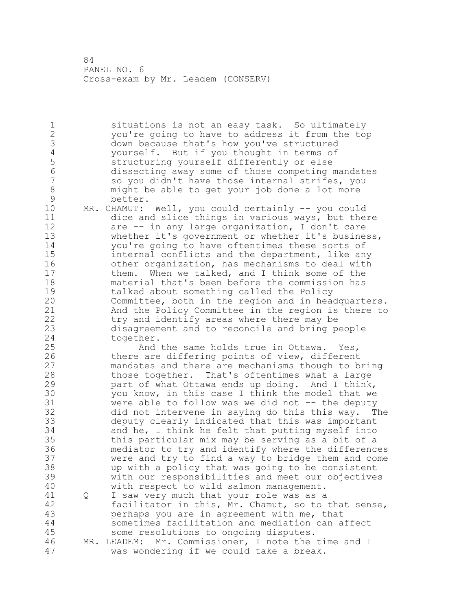situations is not an easy task. So ultimately you're going to have to address it from the top 3 down because that's how you've structured<br>4 vourself. But if you thought in terms of 4 yourself. But if you thought in terms of<br>5 structuring yourself differently or else structuring yourself differently or else dissecting away some of those competing mandates so you didn't have those internal strifes, you might be able to get your job done a lot more 9 better.<br>10 MR. CHAMUT: MR. CHAMUT: Well, you could certainly -- you could dice and slice things in various ways, but there are -- in any large organization, I don't care whether it's government or whether it's business, you're going to have oftentimes these sorts of 15 internal conflicts and the department, like any<br>16 other organization, has mechanisms to deal with other organization, has mechanisms to deal with them. When we talked, and I think some of the material that's been before the commission has 19 talked about something called the Policy<br>20 Committee, both in the region and in head Committee, both in the region and in headquarters. And the Policy Committee in the region is there to try and identify areas where there may be disagreement and to reconcile and bring people together. And the same holds true in Ottawa. Yes, 26 there are differing points of view, different<br>27 mandates and there are mechanisms though to b mandates and there are mechanisms though to bring those together. That's oftentimes what a large part of what Ottawa ends up doing. And I think, 30 you know, in this case I think the model that we<br>31 were able to follow was we did not -- the deputy 31 were able to follow was we did not -- the deputy<br>32 did not intervene in saving do this this wav. T did not intervene in saying do this this way. The deputy clearly indicated that this was important and he, I think he felt that putting myself into this particular mix may be serving as a bit of a mediator to try and identify where the differences were and try to find a way to bridge them and come up with a policy that was going to be consistent with our responsibilities and meet our objectives with respect to wild salmon management. 41 Q I saw very much that your role was as a<br>42 facilitator in this, Mr. Chamut, so to facilitator in this, Mr. Chamut, so to that sense, perhaps you are in agreement with me, that sometimes facilitation and mediation can affect some resolutions to ongoing disputes. MR. LEADEM: Mr. Commissioner, I note the time and I was wondering if we could take a break.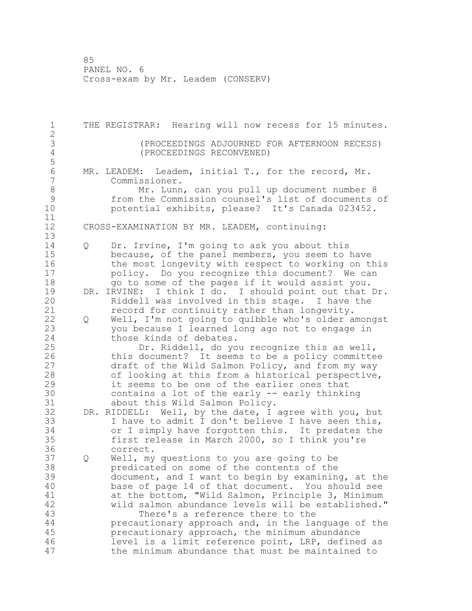THE REGISTRAR: Hearing will now recess for 15 minutes. (PROCEEDINGS ADJOURNED FOR AFTERNOON RECESS) (PROCEEDINGS RECONVENED) 6 MR. LEADEM: Leadem, initial T., for the record, Mr.<br>7 Commissioner. Commissioner. 8 Mr. Lunn, can you pull up document number 8<br>9 from the Commission counsel's list of documents 9 from the Commission counsel's list of documents of<br>10 botential exhibits, please? It's Canada 023452. potential exhibits, please? It's Canada 023452. CROSS-EXAMINATION BY MR. LEADEM, continuing: Q Dr. Irvine, I'm going to ask you about this because, of the panel members, you seem to have 16 the most longevity with respect to working on this policy. Do you recognize this document? We can go to some of the pages if it would assist you. 19 DR. IRVINE: I think I do. I should point out that Dr.<br>20 Riddell was involved in this stage. I have the Riddell was involved in this stage. I have the record for continuity rather than longevity. Q Well, I'm not going to quibble who's older amongst you because I learned long ago not to engage in 24 those kinds of debates. Dr. Riddell, do you recognize this as well, 26 this document? It seems to be a policy committee<br>27 draft of the Wild Salmon Policy, and from my way draft of the Wild Salmon Policy, and from my way of looking at this from a historical perspective, it seems to be one of the earlier ones that 30 contains a lot of the early -- early thinking<br>31 about this Wild Salmon Policy. about this Wild Salmon Policy. DR. RIDDELL: Well, by the date, I agree with you, but I have to admit I don't believe I have seen this, or I simply have forgotten this. It predates the first release in March 2000, so I think you're correct. Q Well, my questions to you are going to be predicated on some of the contents of the document, and I want to begin by examining, at the base of page 14 of that document. You should see 41 at the bottom, "Wild Salmon, Principle 3, Minimum<br>42 wild salmon abundance levels will be established.' wild salmon abundance levels will be established." There's a reference there to the precautionary approach and, in the language of the precautionary approach, the minimum abundance level is a limit reference point, LRP, defined as the minimum abundance that must be maintained to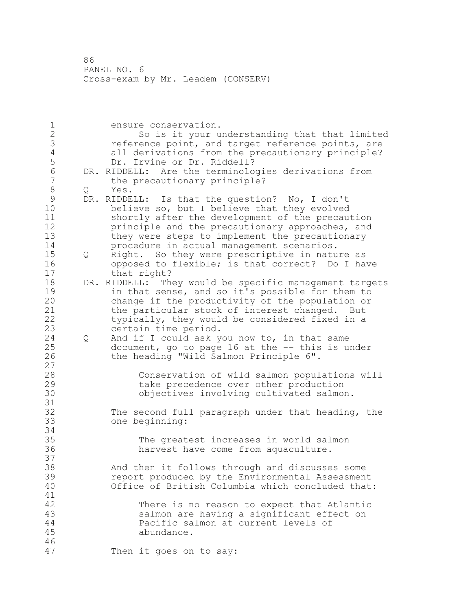ensure conservation. So is it your understanding that that limited 3 3 reference point, and target reference points, are<br>4 all derivations from the precautionary principle? 4 all derivations from the precautionary principle?<br>5 Dr. Irvine or Dr. Riddell? Dr. Irvine or Dr. Riddell? 6 DR. RIDDELL: Are the terminologies derivations from<br>7 the precautionary principle? the precautionary principle? 8 Q Yes.<br>9 DR.RIDDE 9 DR. RIDDELL: Is that the question? No, I don't<br>10 believe so, but I believe that they evolved believe so, but I believe that they evolved shortly after the development of the precaution **principle and the precautionary approaches, and**  they were steps to implement the precautionary procedure in actual management scenarios. Q Right. So they were prescriptive in nature as opposed to flexible; is that correct? Do I have that right? DR. RIDDELL: They would be specific management targets 19 in that sense, and so it's possible for them to<br>20 change if the productivity of the population or change if the productivity of the population or the particular stock of interest changed. But typically, they would be considered fixed in a certain time period. Q And if I could ask you now to, in that same document, go to page 16 at the -- this is under the heading "Wild Salmon Principle 6". Conservation of wild salmon populations will take precedence over other production objectives involving cultivated salmon. The second full paragraph under that heading, the one beginning: The greatest increases in world salmon harvest have come from aquaculture. And then it follows through and discusses some report produced by the Environmental Assessment Office of British Columbia which concluded that: There is no reason to expect that Atlantic salmon are having a significant effect on Pacific salmon at current levels of abundance. Then it goes on to say: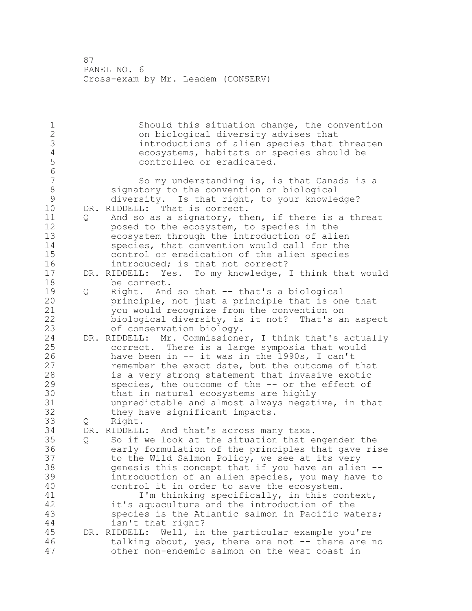1 Should this situation change, the convention<br>2 on biological diversity advises that on biological diversity advises that 3 introductions of alien species that threaten<br>4 ecosystems, habitats or species should be ecosystems, habitats or species should be controlled or eradicated. So my understanding is, is that Canada is a 8 signatory to the convention on biological<br>9 diversity. Is that right, to your knowle 9 diversity. Is that right, to your knowledge?<br>10 DR. RIDDELL: That is correct. DR. RIDDELL: That is correct. Q And so as a signatory, then, if there is a threat posed to the ecosystem, to species in the ecosystem through the introduction of alien species, that convention would call for the control or eradication of the alien species introduced; is that not correct? DR. RIDDELL: Yes. To my knowledge, I think that would be correct. 19 Q Right. And so that -- that's a biological<br>20 principle, not just a principle that is on principle, not just a principle that is one that you would recognize from the convention on biological diversity, is it not? That's an aspect of conservation biology. DR. RIDDELL: Mr. Commissioner, I think that's actually correct. There is a large symposia that would 26 have been in -- it was in the 1990s, I can't<br>27 memember the exact date, but the outcome of remember the exact date, but the outcome of that is a very strong statement that invasive exotic species, the outcome of the -- or the effect of 30 that in natural ecosystems are highly<br>31 unpredictable and almost always negat 31 unpredictable and almost always negative, in that<br>32 they have significant impacts. they have significant impacts. Q Right. DR. RIDDELL: And that's across many taxa. Q So if we look at the situation that engender the early formulation of the principles that gave rise to the Wild Salmon Policy, we see at its very genesis this concept that if you have an alien -- introduction of an alien species, you may have to control it in order to save the ecosystem. 41 I'm thinking specifically, in this context,<br>42 it's aquaculture and the introduction of the it's aquaculture and the introduction of the species is the Atlantic salmon in Pacific waters; isn't that right? DR. RIDDELL: Well, in the particular example you're talking about, yes, there are not -- there are no other non-endemic salmon on the west coast in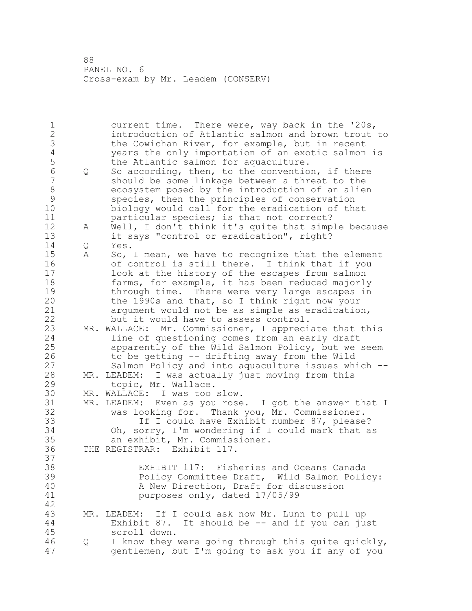current time. There were, way back in the '20s, introduction of Atlantic salmon and brown trout to 3 the Cowichan River, for example, but in recent<br>4 vears the only importation of an exotic salmon years the only importation of an exotic salmon is 5 the Atlantic salmon for aquaculture.<br>6 0 So according, then, to the conventio  $\Omega$  So according, then, to the convention, if there<br>  $\Omega$  should be some linkage between a threat to the should be some linkage between a threat to the 8 ecosystem posed by the introduction of an alien<br>9 species, then the principles of conservation 9 species, then the principles of conservation<br>10 biology would call for the eradication of the biology would call for the eradication of that **particular species;** is that not correct? A Well, I don't think it's quite that simple because it says "control or eradication", right? Q Yes. A So, I mean, we have to recognize that the element of control is still there. I think that if you look at the history of the escapes from salmon farms, for example, it has been reduced majorly 19 through time. There were very large escapes in<br>20 the 1990s and that, so I think right now your the  $1990s$  and that, so I think right now your argument would not be as simple as eradication, but it would have to assess control. MR. WALLACE: Mr. Commissioner, I appreciate that this line of questioning comes from an early draft apparently of the Wild Salmon Policy, but we seem 26 to be getting -- drifting away from the Wild<br>27 Salmon Policy and into aquaculture issues wh Salmon Policy and into aquaculture issues which  $-$ - MR. LEADEM: I was actually just moving from this topic, Mr. Wallace. MR. WALLACE: I was too slow. MR. LEADEM: Even as you rose. I got the answer that I was looking for. Thank you, Mr. Commissioner. If I could have Exhibit number 87, please? Oh, sorry, I'm wondering if I could mark that as an exhibit, Mr. Commissioner. THE REGISTRAR: Exhibit 117. 37<br>38 EXHIBIT 117: Fisheries and Oceans Canada Policy Committee Draft, Wild Salmon Policy: A New Direction, Draft for discussion purposes only, dated 17/05/99 MR. LEADEM: If I could ask now Mr. Lunn to pull up Exhibit 87. It should be -- and if you can just scroll down. Q I know they were going through this quite quickly, gentlemen, but I'm going to ask you if any of you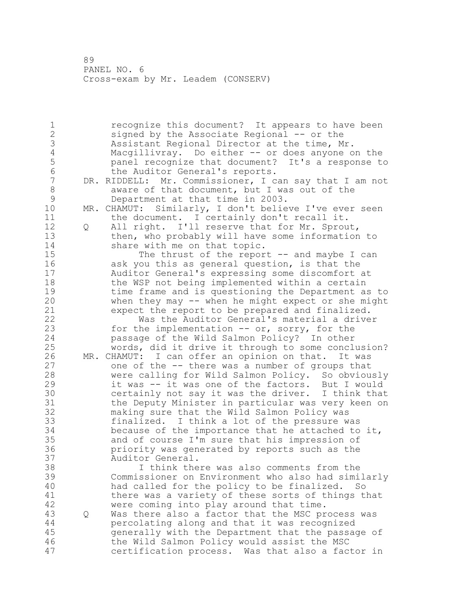recognize this document? It appears to have been signed by the Associate Regional -- or the Assistant Regional Director at the time, Mr. 4 Macgillivray. Do either -- or does anyone on the<br>5 banel recognize that document? It's a response to panel recognize that document? It's a response to 6 the Auditor General's reports.<br>7 DR. RIDDELL: Mr. Commissioner, I c DR. RIDDELL: Mr. Commissioner, I can say that I am not 8 aware of that document, but I was out of the<br>9 Department at that time in 2003. 9 Department at that time in 2003.<br>10 MR. CHAMUT: Similarly, I don't belie MR. CHAMUT: Similarly, I don't believe I've ever seen 11 the document. I certainly don't recall it. Q All right. I'll reserve that for Mr. Sprout, then, who probably will have some information to 14 share with me on that topic. The thrust of the report -- and maybe I can ask you this as general question, is that the Auditor General's expressing some discomfort at 18 the WSP not being implemented within a certain 19 time frame and is questioning the Department as to<br>20 when they may -- when he might expect or she might when they may  $--$  when he might expect or she might expect the report to be prepared and finalized. Was the Auditor General's material a driver for the implementation -- or, sorry, for the passage of the Wild Salmon Policy? In other words, did it drive it through to some conclusion? 26 MR. CHAMUT: I can offer an opinion on that. It was<br>27 one of the -- there was a number of groups that one of the -- there was a number of groups that were calling for Wild Salmon Policy. So obviously it was -- it was one of the factors. But I would certainly not say it was the driver. I think that 31 the Deputy Minister in particular was very keen on<br>32 making sure that the Wild Salmon Policy was making sure that the Wild Salmon Policy was finalized. I think a lot of the pressure was because of the importance that he attached to it, and of course I'm sure that his impression of priority was generated by reports such as the Auditor General. I think there was also comments from the Commissioner on Environment who also had similarly had called for the policy to be finalized. So 41 there was a variety of these sorts of things that<br>42 were coming into play around that time. were coming into play around that time. Q Was there also a factor that the MSC process was percolating along and that it was recognized generally with the Department that the passage of the Wild Salmon Policy would assist the MSC certification process. Was that also a factor in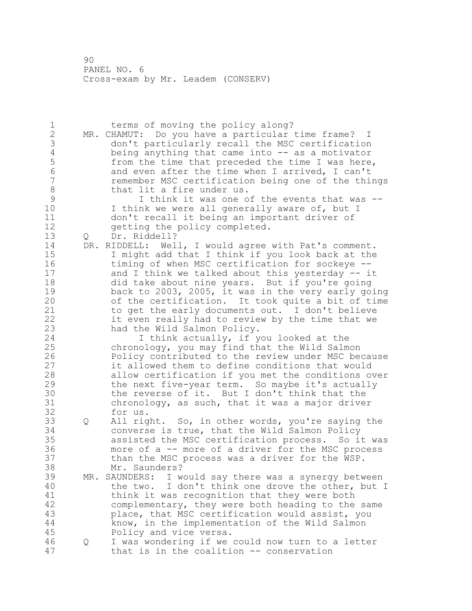1 terms of moving the policy along? MR. CHAMUT: Do you have a particular time frame? I 3 don't particularly recall the MSC certification<br>4 being anything that came into -- as a motivator 4 being anything that came into -- as a motivator<br>5 from the time that preceded the time I was here 5 from the time that preceded the time I was here,<br>6 and even after the time when I arrived. I can't and even after the time when I arrived, I can't remember MSC certification being one of the things 8 that lit a fire under us.<br>9 I think it was one o 9 I think it was one of the events that was --<br>10 I think we were all generally aware of, but I I think we were all generally aware of, but I don't recall it being an important driver of 12 getting the policy completed. Q Dr. Riddell? DR. RIDDELL: Well, I would agree with Pat's comment. I might add that I think if you look back at the timing of when MSC certification for sockeye -- and I think we talked about this yesterday -- it did take about nine years. But if you're going 19 back to 2003, 2005, it was in the very early going<br>20 of the certification. It took quite a bit of time of the certification. It took quite a bit of time to get the early documents out. I don't believe it even really had to review by the time that we had the Wild Salmon Policy. I think actually, if you looked at the chronology, you may find that the Wild Salmon 26 Policy contributed to the review under MSC because<br>27 it allowed them to define conditions that would it allowed them to define conditions that would allow certification if you met the conditions over the next five-year term. So maybe it's actually 30 the reverse of it. But I don't think that the<br>31 chronology, as such, that it was a major drive  $chronology$ , as such, that it was a major driver for us. Q All right. So, in other words, you're saying the converse is true, that the Wild Salmon Policy assisted the MSC certification process. So it was more of a -- more of a driver for the MSC process than the MSC process was a driver for the WSP. Mr. Saunders? MR. SAUNDERS: I would say there was a synergy between the two. I don't think one drove the other, but I 41 think it was recognition that they were both<br>42 complementary, they were both heading to the complementary, they were both heading to the same place, that MSC certification would assist, you know, in the implementation of the Wild Salmon Policy and vice versa. Q I was wondering if we could now turn to a letter that is in the coalition -- conservation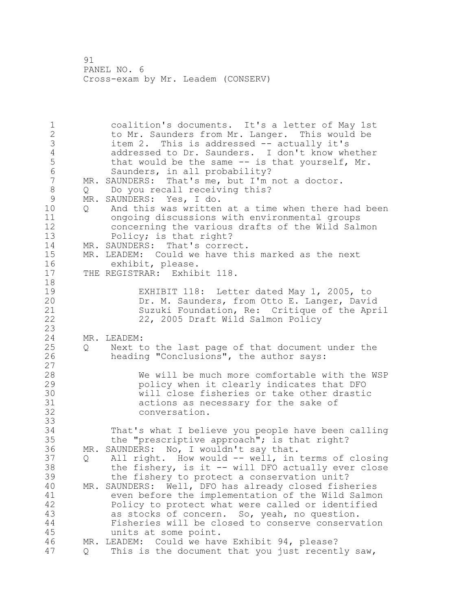1 coalition's documents. It's a letter of May 1st 2 to Mr. Saunders from Mr. Langer. This would be 3 item 2. This is addressed -- actually it's 4 addressed to Dr. Saunders. I don't know whether<br>5 that would be the same -- is that yourself, Mr. that would be the same  $-$  is that yourself, Mr. 6 Saunders, in all probability?<br>7 MR. SAUNDERS: That's me, but I'm MR. SAUNDERS: That's me, but I'm not a doctor. 8 Q Do you recall receiving this?<br>9 MR. SAUNDERS: Yes, I do. 9 MR. SAUNDERS: Yes, I do.<br>10 0 And this was written 0 And this was written at a time when there had been 11 ongoing discussions with environmental groups 12 concerning the various drafts of the Wild Salmon 13 Policy; is that right? 14 MR. SAUNDERS: That's correct.<br>15 MR. LEADEM: Could we have thi 15 MR. LEADEM: Could we have this marked as the next<br>16 exhibit, please. 16 exhibit, please.<br>17 THE REGISTRAR: Exhib THE REGISTRAR: Exhibit 118. 18 19 EXHIBIT 118: Letter dated May 1, 2005, to<br>20 Dr. M. Saunders, from Otto E. Langer, Davi Dr. M. Saunders, from Otto E. Langer, David 21 Suzuki Foundation, Re: Critique of the April 22 22, 2005 Draft Wild Salmon Policy  $\frac{23}{24}$ MR. LEADEM: 25 Q Next to the last page of that document under the 26 heading "Conclusions", the author says:  $\begin{array}{c} 27 \\ 28 \end{array}$ We will be much more comfortable with the WSP 29 policy when it clearly indicates that DFO 30 will close fisheries or take other drastic<br>31 actions as necessary for the sake of 31 actions as necessary for the sake of 32 conversation. 33 34 That's what I believe you people have been calling 35 the "prescriptive approach"; is that right?<br>36 MR. SAUNDERS: No, I wouldn't say that. MR. SAUNDERS: No, I wouldn't say that. 37 Q All right. How would -- well, in terms of closing<br>38 the fishery, is it -- will DFO actually ever close the fishery, is it  $-$  will DFO actually ever close 39 the fishery to protect a conservation unit? 40 MR. SAUNDERS: Well, DFO has already closed fisheries 41 even before the implementation of the Wild Salmon<br>42 Policy to protect what were called or identified Policy to protect what were called or identified 43 as stocks of concern. So, yeah, no question. 44 Fisheries will be closed to conserve conservation 45 units at some point. 46 MR. LEADEM: Could we have Exhibit 94, please? 47 Q This is the document that you just recently saw,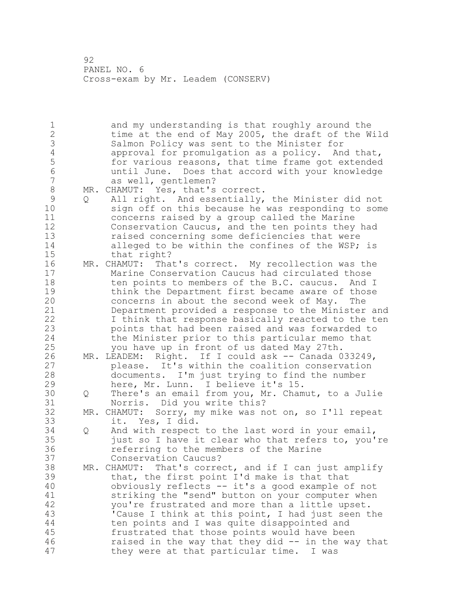and my understanding is that roughly around the 2 time at the end of May 2005, the draft of the Wild 3 Salmon Policy was sent to the Minister for<br>4 approval for promulgation as a policy. An 4 approval for promulgation as a policy. And that,<br>5 6 for various reasons, that time frame got extended for various reasons, that time frame got extended until June. Does that accord with your knowledge as well, gentlemen? 8 MR. CHAMUT: Yes, that's correct.<br>9 0 All right. And essentially, 9 Q All right. And essentially, the Minister did not<br>10 sign off on this because he was responding to some sign off on this because he was responding to some concerns raised by a group called the Marine Conservation Caucus, and the ten points they had raised concerning some deficiencies that were alleged to be within the confines of the WSP; is 15 that right?<br>16 MR. CHAMUT: Tha MR. CHAMUT: That's correct. My recollection was the Marine Conservation Caucus had circulated those 18 ten points to members of the B.C. caucus. And I 19 think the Department first became aware of those<br>20 concerns in about the second week of May. The concerns in about the second week of May. The Department provided a response to the Minister and I think that response basically reacted to the ten points that had been raised and was forwarded to the Minister prior to this particular memo that you have up in front of us dated May 27th. MR. LEADEM: Right. If I could ask -- Canada 033249, 27 please. It's within the coalition conservation<br>28 documents. I'm just trying to find the number documents. I'm just trying to find the number here, Mr. Lunn. I believe it's 15. Q There's an email from you, Mr. Chamut, to a Julie Norris. Did you write this? MR. CHAMUT: Sorry, my mike was not on, so I'll repeat it. Yes, I did. Q And with respect to the last word in your email, just so I have it clear who that refers to, you're referring to the members of the Marine Conservation Caucus? MR. CHAMUT: That's correct, and if I can just amplify that, the first point I'd make is that that obviously reflects -- it's a good example of not 41 striking the "send" button on your computer when<br>42 vou're frustrated and more than a little upset. you're frustrated and more than a little upset. 'Cause I think at this point, I had just seen the ten points and I was quite disappointed and frustrated that those points would have been raised in the way that they did -- in the way that they were at that particular time. I was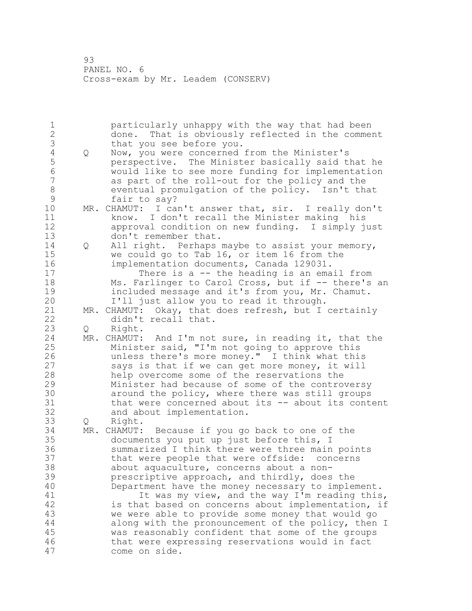1 particularly unhappy with the way that had been<br>2 done. That is obviously reflected in the comme: done. That is obviously reflected in the comment 3 that you see before you.<br>4 Q Now, you were concerned 4 Q Now, you were concerned from the Minister's<br>5 perspective. The Minister basically said t perspective. The Minister basically said that he would like to see more funding for implementation as part of the roll-out for the policy and the 8 eventual promulgation of the policy. Isn't that<br>9 fair to say? 9 fair to say?<br>10 MR. CHAMUT: I ca MR. CHAMUT: I can't answer that, sir. I really don't know. I don't recall the Minister making his approval condition on new funding. I simply just 13 don't remember that. Q All right. Perhaps maybe to assist your memory, we could go to Tab 16, or item 16 from the implementation documents, Canada 129031. There is a -- the heading is an email from Ms. Farlinger to Carol Cross, but if -- there's an 19 included message and it's from you, Mr. Chamut.<br>20 I'll just allow you to read it through. I'll just allow you to read it through. MR. CHAMUT: Okay, that does refresh, but I certainly didn't recall that. Q Right. MR. CHAMUT: And I'm not sure, in reading it, that the Minister said, "I'm not going to approve this 26 unless there's more money." I think what this<br>27 says is that if we can get more money, it will says is that if we can get more money, it will help overcome some of the reservations the Minister had because of some of the controversy 30 30 around the policy, where there was still groups<br>31 that were concerned about its -- about its conte that were concerned about its  $--$  about its content and about implementation. Q Right. MR. CHAMUT: Because if you go back to one of the documents you put up just before this, I summarized I think there were three main points that were people that were offside: concerns about aquaculture, concerns about a non- prescriptive approach, and thirdly, does the Department have the money necessary to implement. 41 It was my view, and the way I'm reading this,<br>42 is that based on concerns about implementation, if is that based on concerns about implementation, if we were able to provide some money that would go along with the pronouncement of the policy, then I was reasonably confident that some of the groups that were expressing reservations would in fact come on side.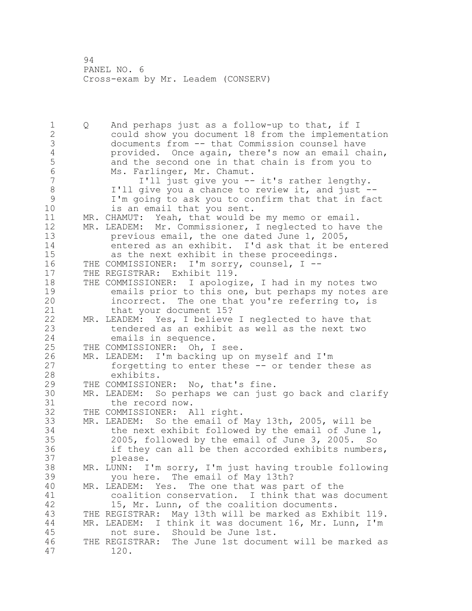1 Q And perhaps just as a follow-up to that, if I 2 could show you document 18 from the implementation 3 documents from -- that Commission counsel have<br>4 provided. Once again, there's now an email ch 4 provided. Once again, there's now an email chain,<br>5 and the second one in that chain is from you to 5 and the second one in that chain is from you to<br>6 Ms. Farlinger, Mr. Chamut. 6 Ms. Farlinger, Mr. Chamut.<br>7 1'll iust give you --7 I'll just give you -- it's rather lengthy. 8 I'll give you a chance to review it, and just --<br>9 I'm going to ask you to confirm that that in fac 9 I'm going to ask you to confirm that that in fact is an email that you sent. 11 MR. CHAMUT: Yeah, that would be my memo or email. 12 MR. LEADEM: Mr. Commissioner, I neglected to have the 13 previous email, the one dated June 1, 2005, 14 entered as an exhibit. I'd ask that it be entered<br>15 as the next exhibit in these proceedings. as the next exhibit in these proceedings. 16 THE COMMISSIONER: I'm sorry, counsel, I -- 17 THE REGISTRAR: Exhibit 119. 18 THE COMMISSIONER: I apologize, I had in my notes two 19 emails prior to this one, but perhaps my notes are<br>20 incorrect. The one that you're referring to, is incorrect. The one that you're referring to, is 21 that your document 15? 22 MR. LEADEM: Yes, I believe I neglected to have that 23 tendered as an exhibit as well as the next two 24 emails in sequence. 25 THE COMMISSIONER: Oh, I see. 26 MR. LEADEM: I'm backing up on myself and I'm<br>27 forgetting to enter these -- or tender the 27 forgetting to enter these -- or tender these as<br>28 exhibits. exhibits. 29 THE COMMISSIONER: No, that's fine. 30 MR. LEADEM: So perhaps we can just go back and clarify 31 the record now.<br>32 THE COMMISSIONER: A THE COMMISSIONER: All right. 33 MR. LEADEM: So the email of May 13th, 2005, will be 34 the next exhibit followed by the email of June 1, 35 2005, followed by the email of June 3, 2005. So 36 if they can all be then accorded exhibits numbers, 37 please. 38 MR. LUNN: I'm sorry, I'm just having trouble following 39 you here. The email of May 13th? 40 MR. LEADEM: Yes. The one that was part of the 41 coalition conservation. I think that was document<br>42 15, Mr. Lunn, of the coalition documents. 15, Mr. Lunn, of the coalition documents. 43 THE REGISTRAR: May 13th will be marked as Exhibit 119. 44 MR. LEADEM: I think it was document 16, Mr. Lunn, I'm 45 not sure. Should be June 1st. 46 THE REGISTRAR: The June 1st document will be marked as 47 120.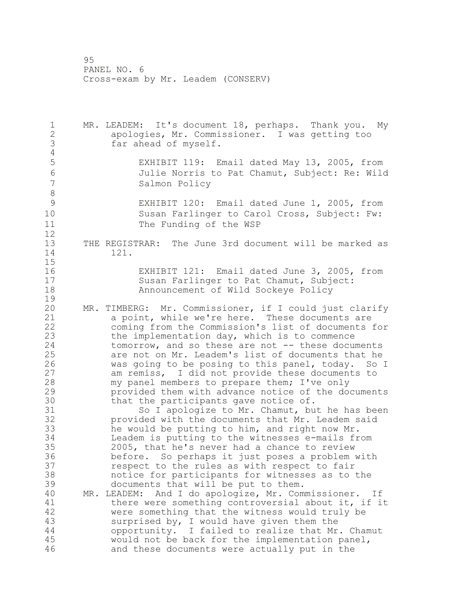MR. LEADEM: It's document 18, perhaps. Thank you. My apologies, Mr. Commissioner. I was getting too far ahead of myself. EXHIBIT 119: Email dated May 13, 2005, from Julie Norris to Pat Chamut, Subject: Re: Wild Salmon Policy EXHIBIT 120: Email dated June 1, 2005, from Susan Farlinger to Carol Cross, Subject: Fw: 11 The Funding of the WSP  $\begin{array}{c} 12 \\ 13 \end{array}$ THE REGISTRAR: The June 3rd document will be marked as 121. 16 EXHIBIT 121: Email dated June 3, 2005, from<br>17 Susan Farlinger to Pat Chamut, Subject: Susan Farlinger to Pat Chamut, Subject: Announcement of Wild Sockeye Policy MR. TIMBERG: Mr. Commissioner, if I could just clarify a point, while we're here. These documents are coming from the Commission's list of documents for 23 the implementation day, which is to commence<br>24 tomorrow, and so these are not -- these docum  $tomorrow$ , and so these are not  $--$  these documents are not on Mr. Leadem's list of documents that he 26 was going to be posing to this panel, today. So I<br>27 am remiss, I did not provide these documents to 27 am remiss, I did not provide these documents to<br>28 my panel members to prepare them; I've only my panel members to prepare them; I've only provided them with advance notice of the documents that the participants gave notice of. 31 So I apologize to Mr. Chamut, but he has been 32 provided with the documents that Mr. Leadem said<br>33 he would be putting to him, and right now Mr. he would be putting to him, and right now Mr. Leadem is putting to the witnesses e-mails from 2005, that he's never had a chance to review before. So perhaps it just poses a problem with respect to the rules as with respect to fair notice for participants for witnesses as to the documents that will be put to them. MR. LEADEM: And I do apologize, Mr. Commissioner. If there were something controversial about it, if it were something that the witness would truly be surprised by, I would have given them the opportunity. I failed to realize that Mr. Chamut would not be back for the implementation panel, and these documents were actually put in the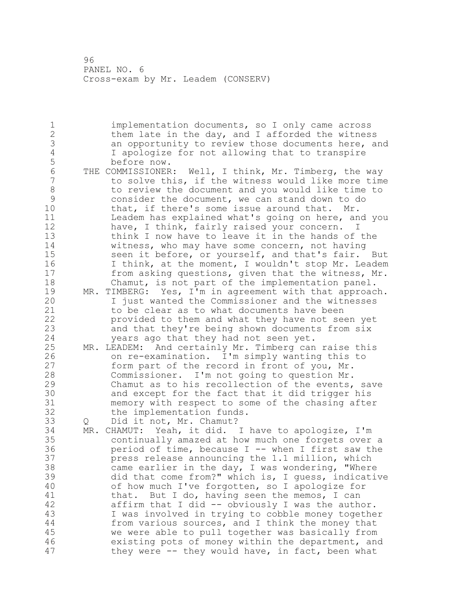implementation documents, so I only came across 2 them late in the day, and I afforded the witness 3 an opportunity to review those documents here, and<br>4 1 apologize for not allowing that to transpire I apologize for not allowing that to transpire 5 before now.<br>6 THE COMMISSIONER: 6 THE COMMISSIONER: Well, I think, Mr. Timberg, the way<br>7 to solve this, if the witness would like more time to solve this, if the witness would like more time 8 to review the document and you would like time to<br>9 consider the document, we can stand down to do 9 consider the document, we can stand down to do<br>10 that, if there's some issue around that. Mr. that, if there's some issue around that. Mr. Leadem has explained what's going on here, and you have, I think, fairly raised your concern. I think I now have to leave it in the hands of the witness, who may have some concern, not having seen it before, or yourself, and that's fair. But I think, at the moment, I wouldn't stop Mr. Leadem from asking questions, given that the witness, Mr. Chamut, is not part of the implementation panel. 19 MR. TIMBERG: Yes, I'm in agreement with that approach.<br>20 1 just wanted the Commissioner and the witnesses I just wanted the Commissioner and the witnesses to be clear as to what documents have been provided to them and what they have not seen yet and that they're being shown documents from six years ago that they had not seen yet. MR. LEADEM: And certainly Mr. Timberg can raise this 26 on re-examination. I'm simply wanting this to<br>27 form part of the record in front of you, Mr. form part of the record in front of you, Mr. Commissioner. I'm not going to question Mr. Chamut as to his recollection of the events, save 30 and except for the fact that it did trigger his<br>31 memory with respect to some of the chasing afte. memory with respect to some of the chasing after the implementation funds. 33 Q Did it not, Mr. Chamut?<br>34 MR. CHAMUT: Yeah, it did. MR. CHAMUT: Yeah, it did. I have to apologize, I'm continually amazed at how much one forgets over a period of time, because I -- when I first saw the press release announcing the 1.1 million, which came earlier in the day, I was wondering, "Where did that come from?" which is, I guess, indicative of how much I've forgotten, so I apologize for 41 that. But I do, having seen the memos, I can<br>42 affirm that I did -- obviously I was the auth affirm that I did  $-$  obviously I was the author. I was involved in trying to cobble money together from various sources, and I think the money that we were able to pull together was basically from existing pots of money within the department, and they were -- they would have, in fact, been what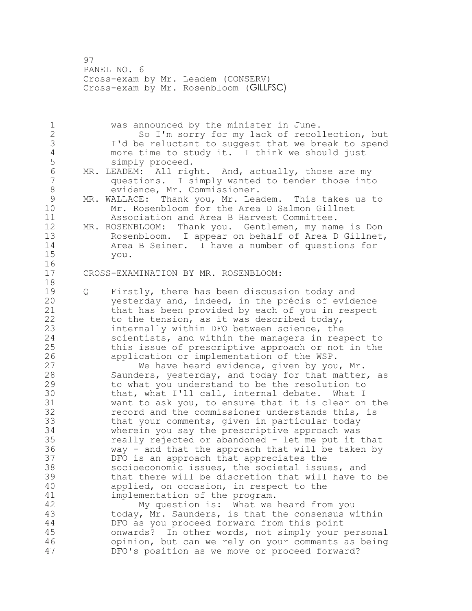PANEL NO. 6 Cross-exam by Mr. Leadem (CONSERV) Cross-exam by Mr. Rosenbloom (GILLFSC)

 was announced by the minister in June. So I'm sorry for my lack of recollection, but I'd be reluctant to suggest that we break to spend 4 more time to study it. I think we should just<br>5 simply proceed. simply proceed. 6 MR. LEADEM: All right. And, actually, those are my<br>7 auestions. I simply wanted to tender those inte questions. I simply wanted to tender those into evidence, Mr. Commissioner. 9 MR. WALLACE: Thank you, Mr. Leadem. This takes us to<br>10 Mr. Rosenbloom for the Area D Salmon Gillnet Mr. Rosenbloom for the Area D Salmon Gillnet Association and Area B Harvest Committee. MR. ROSENBLOOM: Thank you. Gentlemen, my name is Don Rosenbloom. I appear on behalf of Area D Gillnet, Area B Seiner. I have a number of questions for you. CROSS-EXAMINATION BY MR. ROSENBLOOM: 19 Q Firstly, there has been discussion today and<br>20 vesterday and, indeed, in the précis of evide yesterday and, indeed, in the précis of evidence that has been provided by each of you in respect to the tension, as it was described today, internally within DFO between science, the scientists, and within the managers in respect to this issue of prescriptive approach or not in the 26 application or implementation of the WSP.<br>27 We have heard evidence, given by you We have heard evidence, given by you, Mr. Saunders, yesterday, and today for that matter, as to what you understand to be the resolution to 30 that, what I'll call, internal debate. What I<br>31 want to ask you, to ensure that it is clear on want to ask you, to ensure that it is clear on the record and the commissioner understands this, is that your comments, given in particular today wherein you say the prescriptive approach was really rejected or abandoned - let me put it that way - and that the approach that will be taken by DFO is an approach that appreciates the socioeconomic issues, the societal issues, and that there will be discretion that will have to be applied, on occasion, in respect to the 41 implementation of the program.<br>42 My question is: What we My question is: What we heard from you today, Mr. Saunders, is that the consensus within DFO as you proceed forward from this point onwards? In other words, not simply your personal opinion, but can we rely on your comments as being DFO's position as we move or proceed forward?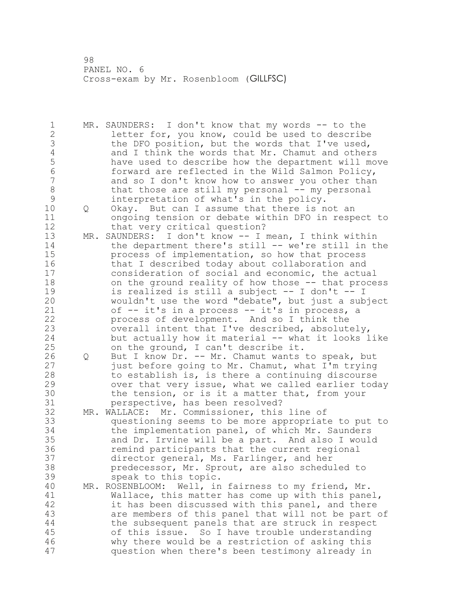1 MR. SAUNDERS: I don't know that my words -- to the letter for, you know, could be used to describe 3 the DFO position, but the words that I've used,<br>4 and I think the words that Mr. Chamut and other 4 and I think the words that Mr. Chamut and others<br>5 have used to describe how the department will mo 5 have used to describe how the department will move<br>6 forward are reflected in the Wild Salmon Policy, forward are reflected in the Wild Salmon Policy, and so I don't know how to answer you other than 8 that those are still my personal -- my personal<br>9 interpretation of what's in the policy. 9 interpretation of what's in the policy.<br>10 0 Okav. But can I assume that there is n Q Okay. But can I assume that there is not an ongoing tension or debate within DFO in respect to 12 that very critical question? MR. SAUNDERS: I don't know -- I mean, I think within the department there's still -- we're still in the process of implementation, so how that process 16 that I described today about collaboration and consideration of social and economic, the actual on the ground reality of how those -- that process 19 is realized is still a subject -- I don't -- I<br>20 wouldn't use the word "debate", but just a sub wouldn't use the word "debate", but just a subject of -- it's in a process -- it's in process, a process of development. And so I think the overall intent that I've described, absolutely, but actually how it material -- what it looks like on the ground, I can't describe it. 26 Q But I know Dr. -- Mr. Chamut wants to speak, but<br>27 just before going to Mr. Chamut, what I'm trying just before going to Mr. Chamut, what I'm trying to establish is, is there a continuing discourse over that very issue, what we called earlier today 30 the tension, or is it a matter that, from your<br>31 berspective, has been resolved? perspective, has been resolved? MR. WALLACE: Mr. Commissioner, this line of questioning seems to be more appropriate to put to the implementation panel, of which Mr. Saunders and Dr. Irvine will be a part. And also I would remind participants that the current regional director general, Ms. Farlinger, and her predecessor, Mr. Sprout, are also scheduled to speak to this topic. MR. ROSENBLOOM: Well, in fairness to my friend, Mr. 41 Wallace, this matter has come up with this panel,<br>42 it has been discussed with this panel, and there it has been discussed with this panel, and there are members of this panel that will not be part of the subsequent panels that are struck in respect of this issue. So I have trouble understanding why there would be a restriction of asking this question when there's been testimony already in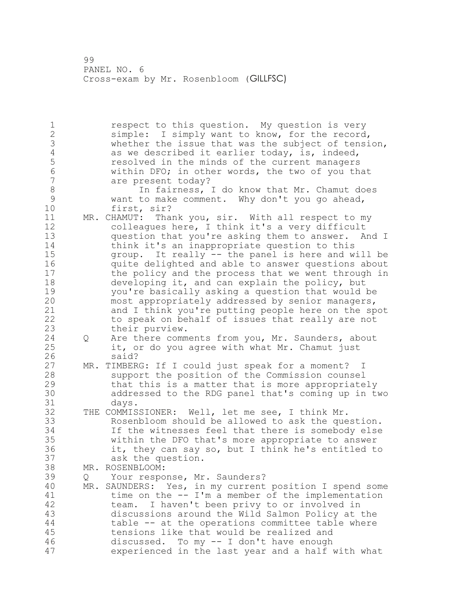respect to this question. My question is very simple: I simply want to know, for the record, 3 whether the issue that was the subject of tension,<br>4 as we described it earlier today, is, indeed, 4 as we described it earlier today, is, indeed,<br>5 see resolved in the minds of the current managers 5 resolved in the minds of the current managers<br>6 within DFO: in other words, the two of you th within DFO; in other words, the two of you that are present today? 8 1n fairness, I do know that Mr. Chamut does<br>9 3 Want to make comment. Why don't you go ahead, 9 want to make comment. Why don't you go ahead,<br>10 first, sir? first, sir? MR. CHAMUT: Thank you, sir. With all respect to my colleagues here, I think it's a very difficult question that you're asking them to answer. And I think it's an inappropriate question to this group. It really -- the panel is here and will be quite delighted and able to answer questions about the policy and the process that we went through in developing it, and can explain the policy, but 19 you're basically asking a question that would be<br>20 most appropriately addressed by senior managers, most appropriately addressed by senior managers, and I think you're putting people here on the spot to speak on behalf of issues that really are not their purview. Q Are there comments from you, Mr. Saunders, about it, or do you agree with what Mr. Chamut just 26 said?<br>27 MR. TIMBER MR. TIMBERG: If I could just speak for a moment? I support the position of the Commission counsel that this is a matter that is more appropriately addressed to the RDG panel that's coming up in two days. THE COMMISSIONER: Well, let me see, I think Mr. Rosenbloom should be allowed to ask the question. If the witnesses feel that there is somebody else within the DFO that's more appropriate to answer it, they can say so, but I think he's entitled to ask the question. MR. ROSENBLOOM: Q Your response, Mr. Saunders? MR. SAUNDERS: Yes, in my current position I spend some 41 time on the -- I'm a member of the implementation<br>42 team. I haven't been privy to or involved in team. I haven't been privy to or involved in discussions around the Wild Salmon Policy at the table -- at the operations committee table where tensions like that would be realized and discussed. To my -- I don't have enough experienced in the last year and a half with what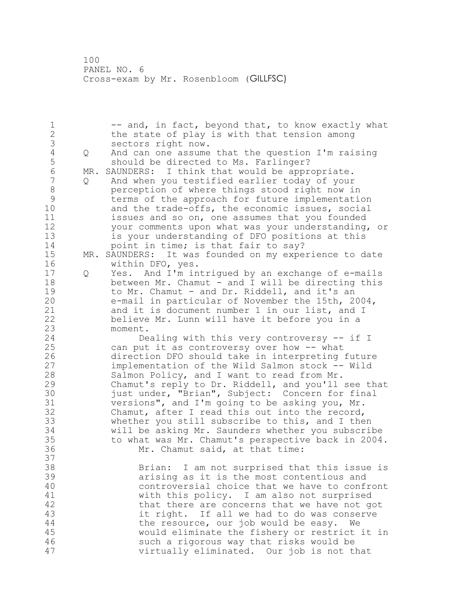1 -- and, in fact, beyond that, to know exactly what the state of play is with that tension among 3 sectors right now.<br>4 Q And can one assume 4 Q And can one assume that the question I'm raising<br>5 should be directed to Ms. Farlinger? 5 should be directed to Ms. Farlinger?<br>6 MR. SAUNDERS: I think that would be appr 6 MR. SAUNDERS: I think that would be appropriate.<br>7 0 And when you testified earlier today of your Q And when you testified earlier today of your 8 perception of where things stood right now in<br>9 terms of the approach for future implementation 9 terms of the approach for future implementation<br>10 and the trade-offs, the economic issues, social and the trade-offs, the economic issues, social issues and so on, one assumes that you founded your comments upon what was your understanding, or is your understanding of DFO positions at this 14 point in time; is that fair to say?<br>15 MR. SAUNDERS: It was founded on my expe MR. SAUNDERS: It was founded on my experience to date within DFO, yes. Q Yes. And I'm intrigued by an exchange of e-mails between Mr. Chamut - and I will be directing this 19 to Mr. Chamut - and Dr. Riddell, and it's an<br>20 e-mail in particular of November the 15th, 2 e-mail in particular of November the 15th, 2004, and it is document number 1 in our list, and I believe Mr. Lunn will have it before you in a moment. Dealing with this very controversy -- if I can put it as controversy over how -- what 26 direction DFO should take in interpreting future<br>27 mplementation of the Wild Salmon stock -- Wild implementation of the Wild Salmon stock -- Wild Salmon Policy, and I want to read from Mr. Chamut's reply to Dr. Riddell, and you'll see that 30 just under, "Brian", Subject: Concern for final<br>31 versions", and I'm going to be asking you, Mr. versions", and I'm going to be asking you, Mr. Chamut, after I read this out into the record, whether you still subscribe to this, and I then will be asking Mr. Saunders whether you subscribe to what was Mr. Chamut's perspective back in 2004. Mr. Chamut said, at that time: Brian: I am not surprised that this issue is arising as it is the most contentious and controversial choice that we have to confront 41 with this policy. I am also not surprised<br>42 that there are concerns that we have not qu that there are concerns that we have not got it right. If all we had to do was conserve the resource, our job would be easy. We would eliminate the fishery or restrict it in such a rigorous way that risks would be virtually eliminated. Our job is not that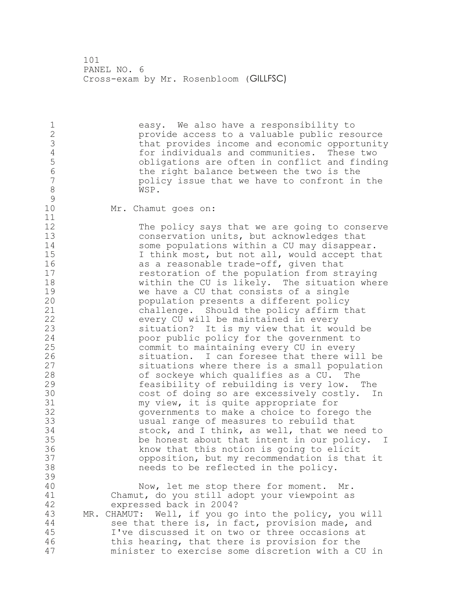1 easy. We also have a responsibility to<br>2 eprovide access to a valuable public res provide access to a valuable public resource 3 that provides income and economic opportunity<br>4 for individuals and communities. These two 4 for individuals and communities. These two<br>5 bobligations are often in conflict and findi 5 b obligations are often in conflict and finding<br>6 the right balance between the two is the 6 the right balance between the two is the policy issue that we have to confront in the 8 WSP.  $\begin{array}{c} 9 \\ 10 \end{array}$ Mr. Chamut goes on: 11 12 The policy says that we are going to conserve<br>13 conservation units, but acknowledges that conservation units, but acknowledges that 14 some populations within a CU may disappear.<br>15 1 think most, but not all, would accept tha I think most, but not all, would accept that 16 as a reasonable trade-off, given that 17 restoration of the population from straying 18 within the CU is likely. The situation where 19 we have a CU that consists of a single<br>20 population presents a different policy population presents a different policy 21 challenge. Should the policy affirm that 22 every CU will be maintained in every 23 situation? It is my view that it would be 24 poor public policy for the government to 25 commit to maintaining every CU in every 26 3ituation. I can foresee that there will be<br>27 situations where there is a small population 27 situations where there is a small population<br>28 of sockeve which qualifies as a CU. The of sockeye which qualifies as a CU. The 29 feasibility of rebuilding is very low. The 30 cost of doing so are excessively costly. In<br>31 my view, it is quite appropriate for 31 my view, it is quite appropriate for<br>32 governments to make a choice to fore governments to make a choice to forego the 33 usual range of measures to rebuild that 34 stock, and I think, as well, that we need to 35 be honest about that intent in our policy. I 36 know that this notion is going to elicit 37 opposition, but my recommendation is that it<br>38 meeds to be reflected in the policy. needs to be reflected in the policy. 39 40 Now, let me stop there for moment. Mr. 41 Chamut, do you still adopt your viewpoint as expressed back in 2004? 43 MR. CHAMUT: Well, if you go into the policy, you will 44 see that there is, in fact, provision made, and 45 I've discussed it on two or three occasions at 46 this hearing, that there is provision for the 47 minister to exercise some discretion with a CU in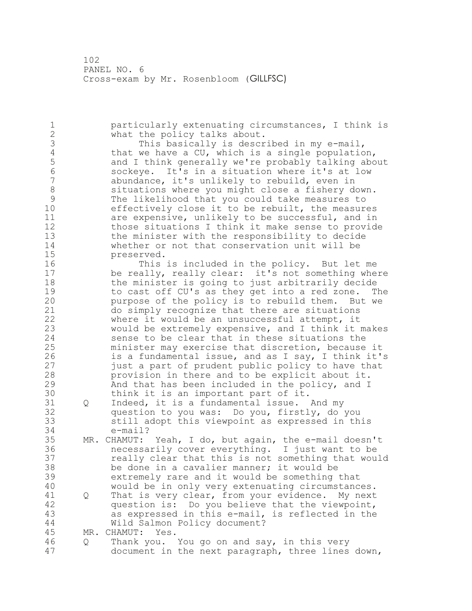particularly extenuating circumstances, I think is what the policy talks about. 3 This basically is described in my e-mail,<br>4 that we have a CU, which is a single populatio 4 that we have a CU, which is a single population,<br>5 and I think generally we're probably talking abo and I think generally we're probably talking about sockeye. It's in a situation where it's at low abundance, it's unlikely to rebuild, even in 8 situations where you might close a fishery down.<br>9 The likelihood that you could take measures to 9 The likelihood that you could take measures to<br>10 effectively close it to be rebuilt, the measure effectively close it to be rebuilt, the measures are expensive, unlikely to be successful, and in those situations I think it make sense to provide the minister with the responsibility to decide whether or not that conservation unit will be preserved. This is included in the policy. But let me be really, really clear: it's not something where the minister is going to just arbitrarily decide 19 to cast off CU's as they get into a red zone. The<br>20 purpose of the policy is to rebuild them. But we purpose of the policy is to rebuild them. But we do simply recognize that there are situations where it would be an unsuccessful attempt, it would be extremely expensive, and I think it makes sense to be clear that in these situations the minister may exercise that discretion, because it 26 is a fundamental issue, and as I say, I think it's<br>27 iust a part of prudent public policy to have that just a part of prudent public policy to have that provision in there and to be explicit about it. And that has been included in the policy, and I 30 think it is an important part of it.<br>31 0 Indeed, it is a fundamental issue. 31 Q Indeed, it is a fundamental issue. And my<br>32 auestion to you was: Do you, firstly, do question to you was: Do you, firstly, do you still adopt this viewpoint as expressed in this e-mail? MR. CHAMUT: Yeah, I do, but again, the e-mail doesn't necessarily cover everything. I just want to be really clear that this is not something that would be done in a cavalier manner; it would be extremely rare and it would be something that would be in only very extenuating circumstances. 41 Q That is very clear, from your evidence. My next<br>42 guestion is: Do you believe that the viewpoint, question is: Do you believe that the viewpoint, as expressed in this e-mail, is reflected in the Wild Salmon Policy document? MR. CHAMUT: Yes. Q Thank you. You go on and say, in this very document in the next paragraph, three lines down,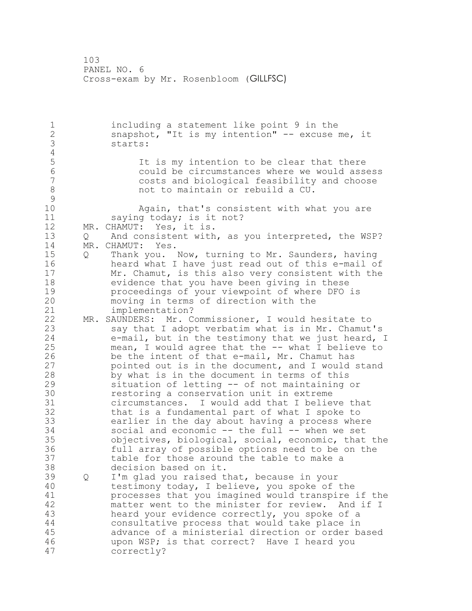including a statement like point 9 in the snapshot, "It is my intention" -- excuse me, it starts: 4<br>5 5 1t is my intention to be clear that there<br>6 6 Could be circumstances where we would asse could be circumstances where we would assess costs and biological feasibility and choose not to maintain or rebuild a CU.  $\begin{array}{c} 9 \\ 10 \end{array}$ Again, that's consistent with what you are 11 saying today; is it not? MR. CHAMUT: Yes, it is. Q And consistent with, as you interpreted, the WSP? MR. CHAMUT: Yes. Q Thank you. Now, turning to Mr. Saunders, having heard what I have just read out of this e-mail of Mr. Chamut, is this also very consistent with the evidence that you have been giving in these 19 proceedings of your viewpoint of where DFO is<br>20 moving in terms of direction with the moving in terms of direction with the implementation? MR. SAUNDERS: Mr. Commissioner, I would hesitate to say that I adopt verbatim what is in Mr. Chamut's e-mail, but in the testimony that we just heard, I mean, I would agree that the -- what I believe to 26 be the intent of that e-mail, Mr. Chamut has<br>27 bointed out is in the document, and I would pointed out is in the document, and I would stand by what is in the document in terms of this situation of letting -- of not maintaining or **120 restoring a conservation unit in extreme**<br>31 circumstances. I would add that I belie 31 circumstances. I would add that I believe that<br>32 that is a fundamental part of what I spoke to that is a fundamental part of what I spoke to earlier in the day about having a process where social and economic -- the full -- when we set objectives, biological, social, economic, that the full array of possible options need to be on the table for those around the table to make a decision based on it. Q I'm glad you raised that, because in your testimony today, I believe, you spoke of the 41 processes that you imagined would transpire if the<br>42 matter went to the minister for review. And if I matter went to the minister for review. And if I heard your evidence correctly, you spoke of a consultative process that would take place in advance of a ministerial direction or order based upon WSP; is that correct? Have I heard you correctly?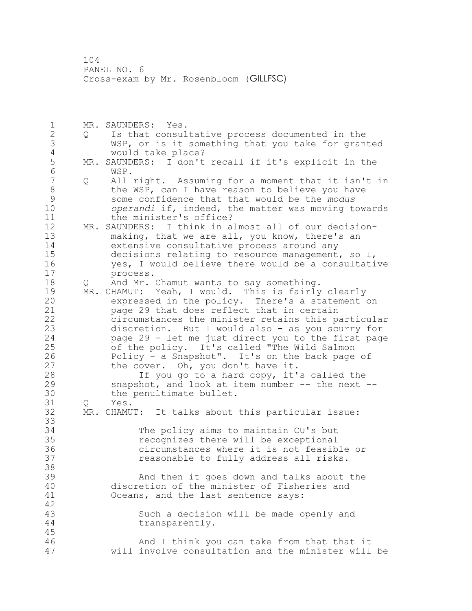MR. SAUNDERS: Yes. Q Is that consultative process documented in the WSP, or is it something that you take for granted 4 would take place?<br>5 MR. SAUNDERS: I don't MR. SAUNDERS: I don't recall if it's explicit in the WSP. Q All right. Assuming for a moment that it isn't in 8 the WSP, can I have reason to believe you have<br>9 some confidence that that would be the modus some confidence that that would be the *modus operandi* if, indeed, the matter was moving towards the minister's office? MR. SAUNDERS: I think in almost all of our decision- making, that we are all, you know, there's an extensive consultative process around any decisions relating to resource management, so I, yes, I would believe there would be a consultative process. 18 Q And Mr. Chamut wants to say something. 19 MR. CHAMUT: Yeah, I would. This is fairly clearly<br>20 expressed in the policy. There's a statement expressed in the policy. There's a statement on page 29 that does reflect that in certain circumstances the minister retains this particular discretion. But I would also - as you scurry for page 29 - let me just direct you to the first page of the policy. It's called "The Wild Salmon 26 Policy - a Snapshot". It's on the back page of<br>27 the cover. Oh, you don't have it. the cover. Oh, you don't have it. If you go to a hard copy, it's called the snapshot, and look at item number -- the next -- 30 the penultimate bullet.<br>31 0 Yes. Q Yes. MR. CHAMUT: It talks about this particular issue: The policy aims to maintain CU's but recognizes there will be exceptional circumstances where it is not feasible or reasonable to fully address all risks. And then it goes down and talks about the discretion of the minister of Fisheries and Oceans, and the last sentence says: Such a decision will be made openly and transparently. And I think you can take from that that it will involve consultation and the minister will be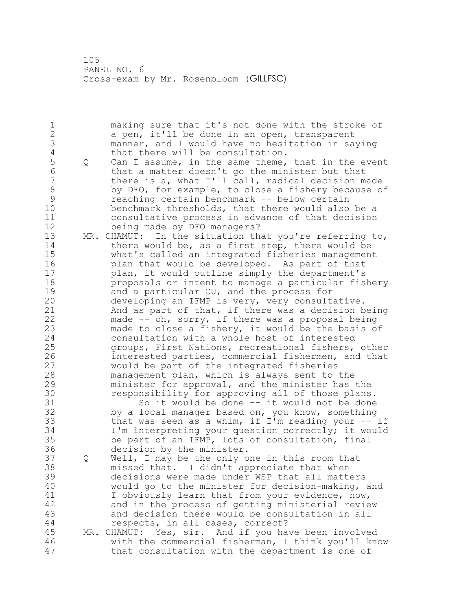1 making sure that it's not done with the stroke of<br>2 a pen, it'll be done in an open, transparent a pen, it'll be done in an open, transparent manner, and I would have no hesitation in saying 4 that there will be consultation.<br>5 0 Can I assume, in the same theme, 5 Q Can I assume, in the same theme, that in the event<br>6 that a matter doesn't go the minister but that 6 that a matter doesn't go the minister but that<br>7 there is a, what I'll call, radical decision ma there is a, what I'll call, radical decision made 8 by DFO, for example, to close a fishery because of<br>9 reaching certain benchmark -- below certain 9 reaching certain benchmark -- below certain<br>10 benchmark thresholds, that there would also benchmark thresholds, that there would also be a consultative process in advance of that decision being made by DFO managers? MR. CHAMUT: In the situation that you're referring to, there would be, as a first step, there would be what's called an integrated fisheries management plan that would be developed. As part of that plan, it would outline simply the department's proposals or intent to manage a particular fishery 19 and a particular CU, and the process for<br>20 developing an IFMP is very, very consult developing an IFMP is very, very consultative. And as part of that, if there was a decision being made -- oh, sorry, if there was a proposal being made to close a fishery, it would be the basis of consultation with a whole host of interested groups, First Nations, recreational fishers, other 26 interested parties, commercial fishermen, and that<br>27 would be part of the integrated fisheries would be part of the integrated fisheries management plan, which is always sent to the minister for approval, and the minister has the 30 responsibility for approving all of those plans.<br>31 So it would be done -- it would not be done 31 So it would be done -- it would not be done<br>32 by a local manager based on, you know, something by a local manager based on, you know, something that was seen as a whim, if I'm reading your -- if I'm interpreting your question correctly; it would be part of an IFMP, lots of consultation, final decision by the minister. Q Well, I may be the only one in this room that missed that. I didn't appreciate that when decisions were made under WSP that all matters would go to the minister for decision-making, and 41 I obviously learn that from your evidence, now,<br>42 and in the process of getting ministerial revie and in the process of getting ministerial review and decision there would be consultation in all respects, in all cases, correct? MR. CHAMUT: Yes, sir. And if you have been involved with the commercial fisherman, I think you'll know that consultation with the department is one of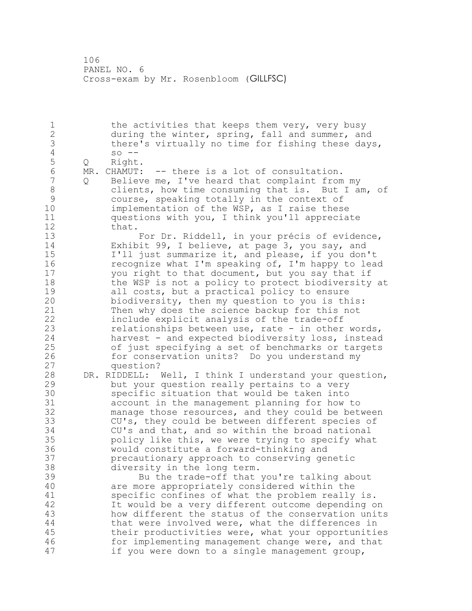1 the activities that keeps them very, very busy during the winter, spring, fall and summer, and 3 there's virtually no time for fishing these days,<br>4 so --4 so --<br>5 Q Right 5 Q Right.<br>6 MR. CHAMUT: MR. CHAMUT: -- there is a lot of consultation. Q Believe me, I've heard that complaint from my clients, how time consuming that is. But I am, of 9 course, speaking totally in the context of<br>10 implementation of the WSP, as I raise these implementation of the WSP, as I raise these questions with you, I think you'll appreciate that. For Dr. Riddell, in your précis of evidence, Exhibit 99, I believe, at page 3, you say, and I'll just summarize it, and please, if you don't recognize what I'm speaking of, I'm happy to lead you right to that document, but you say that if 18 the WSP is not a policy to protect biodiversity at 19 all costs, but a practical policy to ensure<br>20 biodiversity, then my question to you is th biodiversity, then my question to you is this: Then why does the science backup for this not include explicit analysis of the trade-off relationships between use, rate - in other words, harvest - and expected biodiversity loss, instead of just specifying a set of benchmarks or targets 26 for conservation units? Do you understand my<br>27 equestion? question? DR. RIDDELL: Well, I think I understand your question, but your question really pertains to a very 30 specific situation that would be taken into<br>31 account in the management planning for how account in the management planning for how to manage those resources, and they could be between CU's, they could be between different species of CU's and that, and so within the broad national policy like this, we were trying to specify what would constitute a forward-thinking and precautionary approach to conserving genetic diversity in the long term. Bu the trade-off that you're talking about are more appropriately considered within the 41 specific confines of what the problem really is.<br>42 11 Would be a very different outcome depending o It would be a very different outcome depending on how different the status of the conservation units that were involved were, what the differences in their productivities were, what your opportunities for implementing management change were, and that if you were down to a single management group,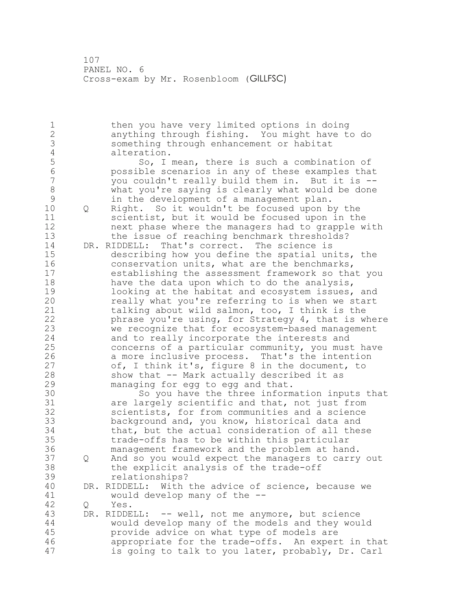then you have very limited options in doing anything through fishing. You might have to do something through enhancement or habitat 4 alteration.<br>5 So, I 5 So, I mean, there is such a combination of 5<br>6 Sossible scenarios in any of these examples that possible scenarios in any of these examples that you couldn't really build them in. But it is --8 what you're saying is clearly what would be done<br>9 in the development of a management plan. 9 in the development of a management plan.<br>10 0 Right. So it wouldn't be focused upon b Q Right. So it wouldn't be focused upon by the scientist, but it would be focused upon in the next phase where the managers had to grapple with the issue of reaching benchmark thresholds? DR. RIDDELL: That's correct. The science is describing how you define the spatial units, the conservation units, what are the benchmarks, establishing the assessment framework so that you 18 have the data upon which to do the analysis, 19 looking at the habitat and ecosystem issues, and<br>20 meally what you're referring to is when we start really what you're referring to is when we start talking about wild salmon, too, I think is the phrase you're using, for Strategy 4, that is where we recognize that for ecosystem-based management and to really incorporate the interests and concerns of a particular community, you must have 26 a more inclusive process. That's the intention<br>27 of, I think it's, figure 8 in the document, to of, I think it's, figure 8 in the document, to show that -- Mark actually described it as managing for egg to egg and that. 30 So you have the three information inputs that<br>31 are largely scientific and that, not just from are largely scientific and that, not just from scientists, for from communities and a science background and, you know, historical data and that, but the actual consideration of all these trade-offs has to be within this particular management framework and the problem at hand. Q And so you would expect the managers to carry out the explicit analysis of the trade-off relationships? DR. RIDDELL: With the advice of science, because we 41 would develop many of the --<br>42 0 Yes. Q Yes. DR. RIDDELL: -- well, not me anymore, but science would develop many of the models and they would provide advice on what type of models are appropriate for the trade-offs. An expert in that is going to talk to you later, probably, Dr. Carl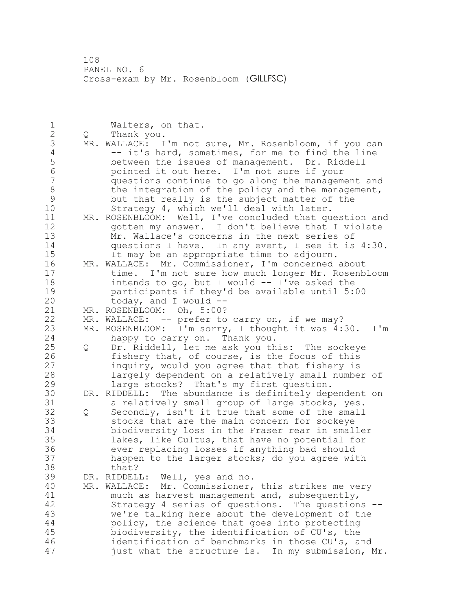| $\mathbf 1$    |     | Walters, on that.                                       |
|----------------|-----|---------------------------------------------------------|
| $\frac{2}{3}$  | Q   | Thank you.                                              |
|                | MR. | WALLACE: I'm not sure, Mr. Rosenbloom, if you can       |
| $\overline{4}$ |     | -- it's hard, sometimes, for me to find the line        |
| 5              |     | between the issues of management. Dr. Riddell           |
| $\sqrt{6}$     |     | pointed it out here. I'm not sure if your               |
| $\overline{7}$ |     |                                                         |
|                |     | questions continue to go along the management and       |
| $\,8\,$        |     | the integration of the policy and the management,       |
| 9              |     | but that really is the subject matter of the            |
| 10             |     | Strategy 4, which we'll deal with later.                |
| 11             |     | MR. ROSENBLOOM: Well, I've concluded that question and  |
| 12             |     | gotten my answer. I don't believe that I violate        |
| 13             |     | Mr. Wallace's concerns in the next series of            |
| 14             |     | questions I have. In any event, I see it is 4:30.       |
| 15             |     | It may be an appropriate time to adjourn.               |
| 16             |     | MR. WALLACE: Mr. Commissioner, I'm concerned about      |
| 17             |     | time. I'm not sure how much longer Mr. Rosenbloom       |
| 18             |     | intends to go, but I would -- I've asked the            |
| 19             |     | participants if they'd be available until 5:00          |
| 20             |     | today, and I would $-$                                  |
| 21             |     | MR. ROSENBLOOM: Oh, 5:00?                               |
| 22             | MR. | WALLACE: -- prefer to carry on, if we may?              |
| 23             | MR. | ROSENBLOOM: I'm sorry, I thought it was 4:30.<br>$I'$ m |
| 24             |     |                                                         |
|                |     | happy to carry on. Thank you.                           |
| 25             | Q   | Dr. Riddell, let me ask you this: The sockeye           |
| 26             |     | fishery that, of course, is the focus of this           |
| 27             |     | inquiry, would you agree that that fishery is           |
| 28             |     | largely dependent on a relatively small number of       |
| 29             |     | large stocks? That's my first question.                 |
| 30             |     | DR. RIDDELL: The abundance is definitely dependent on   |
| 31             |     | a relatively small group of large stocks, yes.          |
| 32             | Q   | Secondly, isn't it true that some of the small          |
| 33             |     | stocks that are the main concern for sockeye            |
| 34             |     | biodiversity loss in the Fraser rear in smaller         |
| 35             |     | lakes, like Cultus, that have no potential for          |
| 36             |     | ever replacing losses if anything bad should            |
| 37             |     | happen to the larger stocks; do you agree with          |
| 38             |     | that?                                                   |
| 39             | DR. | RIDDELL:<br>Well, yes and no.                           |
| 40             | MR. | WALLACE:<br>Mr. Commissioner, this strikes me very      |
| 41             |     | much as harvest management and, subsequently,           |
| 42             |     | Strategy 4 series of questions. The questions --        |
| 43             |     | we're talking here about the development of the         |
| 44             |     |                                                         |
| 45             |     | policy, the science that goes into protecting           |
|                |     | biodiversity, the identification of CU's, the           |
| 46             |     | identification of benchmarks in those CU's, and         |
| 47             |     | just what the structure is. In my submission, Mr.       |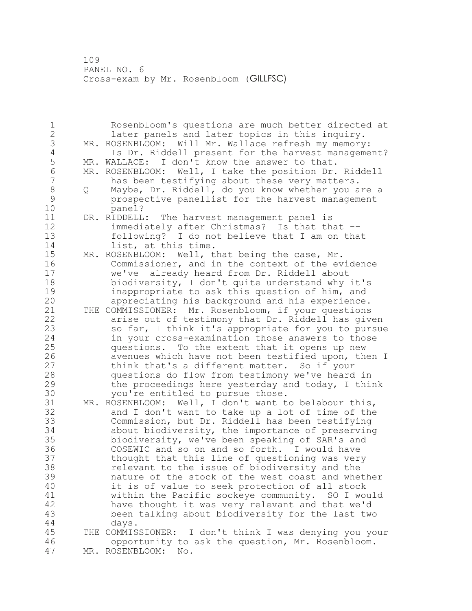Rosenbloom's questions are much better directed at later panels and later topics in this inquiry. MR. ROSENBLOOM: Will Mr. Wallace refresh my memory: 4 Is Dr. Riddell present for the harvest management?<br>5 MR. WALLACE: I don't know the answer to that. 5 MR. WALLACE: I don't know the answer to that.<br>6 MR. ROSENBLOOM: Well, I take the position Dr. 6 MR. ROSENBLOOM: Well, I take the position Dr. Riddell<br>7 has been testifving about these very matters. has been testifying about these very matters. Q Maybe, Dr. Riddell, do you know whether you are a prospective panellist for the harvest management panel? DR. RIDDELL: The harvest management panel is 12 immediately after Christmas? Is that that -- following? I do not believe that I am on that 14 list, at this time. MR. ROSENBLOOM: Well, that being the case, Mr. Commissioner, and in the context of the evidence we've already heard from Dr. Riddell about biodiversity, I don't quite understand why it's 19 19 11 inappropriate to ask this question of him, and<br>20 12 appreciating his background and his experience. appreciating his background and his experience. THE COMMISSIONER: Mr. Rosenbloom, if your questions arise out of testimony that Dr. Riddell has given so far, I think it's appropriate for you to pursue in your cross-examination those answers to those questions. To the extent that it opens up new 26 avenues which have not been testified upon, then I<br>27 think that's a different matter. So if your think that's a different matter. So if your questions do flow from testimony we've heard in the proceedings here yesterday and today, I think 30 you're entitled to pursue those.<br>31 MR. ROSENBLOOM: Well, I don't want t MR. ROSENBLOOM: Well, I don't want to belabour this, and I don't want to take up a lot of time of the Commission, but Dr. Riddell has been testifying about biodiversity, the importance of preserving biodiversity, we've been speaking of SAR's and COSEWIC and so on and so forth. I would have thought that this line of questioning was very relevant to the issue of biodiversity and the nature of the stock of the west coast and whether it is of value to seek protection of all stock 41 within the Pacific sockeye community. SO I would<br>42 have thought it was very relevant and that we'd have thought it was very relevant and that we'd been talking about biodiversity for the last two days. THE COMMISSIONER: I don't think I was denying you your opportunity to ask the question, Mr. Rosenbloom. MR. ROSENBLOOM: No.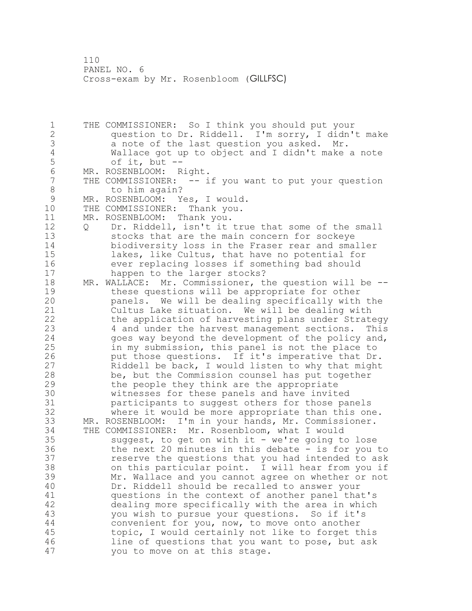THE COMMISSIONER: So I think you should put your question to Dr. Riddell. I'm sorry, I didn't make a note of the last question you asked. Mr. Wallace got up to object and I didn't make a note of it, but  $--$ 6 MR. ROSENBLOOM: Right.<br>7 THE COMMISSIONER: -- i THE COMMISSIONER: -- if you want to put your question 8 to him again? 9 MR. ROSENBLOOM: Yes, I would.<br>10 THE COMMISSIONER: Thank you. THE COMMISSIONER: Thank you. MR. ROSENBLOOM: Thank you. Q Dr. Riddell, isn't it true that some of the small stocks that are the main concern for sockeye biodiversity loss in the Fraser rear and smaller lakes, like Cultus, that have no potential for ever replacing losses if something bad should happen to the larger stocks? MR. WALLACE: Mr. Commissioner, the question will be -- 19 these questions will be appropriate for other<br>20 panels. We will be dealing specifically with panels. We will be dealing specifically with the Cultus Lake situation. We will be dealing with the application of harvesting plans under Strategy 4 and under the harvest management sections. This 24 goes way beyond the development of the policy and, in my submission, this panel is not the place to 26 put those questions. If it's imperative that Dr.<br>27 Riddell be back, I would listen to why that might Riddell be back, I would listen to why that might be, but the Commission counsel has put together the people they think are the appropriate witnesses for these panels and have invited participants to suggest others for those panels where it would be more appropriate than this one. MR. ROSENBLOOM: I'm in your hands, Mr. Commissioner. THE COMMISSIONER: Mr. Rosenbloom, what I would suggest, to get on with it - we're going to lose the next 20 minutes in this debate - is for you to reserve the questions that you had intended to ask on this particular point. I will hear from you if Mr. Wallace and you cannot agree on whether or not Dr. Riddell should be recalled to answer your 41 questions in the context of another panel that's<br>42 dealing more specifically with the area in which dealing more specifically with the area in which you wish to pursue your questions. So if it's convenient for you, now, to move onto another topic, I would certainly not like to forget this line of questions that you want to pose, but ask you to move on at this stage.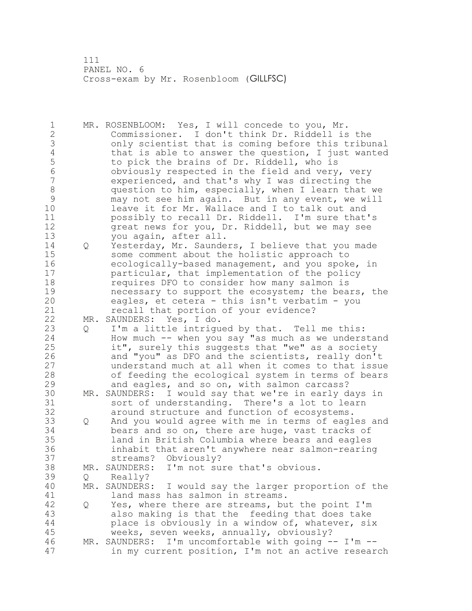MR. ROSENBLOOM: Yes, I will concede to you, Mr. Commissioner. I don't think Dr. Riddell is the 3 only scientist that is coming before this tribunal<br>4 that is able to answer the question, I just wanted 4 that is able to answer the question, I just wanted<br>5 to pick the brains of Dr. Riddell, who is 5 to pick the brains of Dr. Riddell, who is<br>6 0bviously respected in the field and very obviously respected in the field and very, very experienced, and that's why I was directing the 8 question to him, especially, when I learn that we<br>9 may not see him again. But in any event, we will 9 may not see him again. But in any event, we will<br>10 leave it for Mr. Wallace and I to talk out and leave it for Mr. Wallace and I to talk out and possibly to recall Dr. Riddell. I'm sure that's great news for you, Dr. Riddell, but we may see you again, after all. Q Yesterday, Mr. Saunders, I believe that you made some comment about the holistic approach to ecologically-based management, and you spoke, in **particular, that implementation of the policy**  requires DFO to consider how many salmon is 19 necessary to support the ecosystem; the bears, the eagles, et cetera - this isn't verbatim - you eagles, et cetera - this isn't verbatim - you **recall that portion of your evidence?**  MR. SAUNDERS: Yes, I do. Q I'm a little intrigued by that. Tell me this: How much -- when you say "as much as we understand it", surely this suggests that "we" as a society 26 and "you" as DFO and the scientists, really don't<br>27 anderstand much at all when it comes to that issu understand much at all when it comes to that issue of feeding the ecological system in terms of bears and eagles, and so on, with salmon carcass? 30 MR. SAUNDERS: I would say that we're in early days in<br>31 Sort of understanding. There's a lot to learn 31 sort of understanding. There's a lot to learn<br>32 around structure and function of ecosystems. around structure and function of ecosystems. Q And you would agree with me in terms of eagles and bears and so on, there are huge, vast tracks of land in British Columbia where bears and eagles inhabit that aren't anywhere near salmon-rearing streams? Obviously? MR. SAUNDERS: I'm not sure that's obvious. Q Really? MR. SAUNDERS: I would say the larger proportion of the 41 land mass has salmon in streams.<br>42 O Yes, where there are streams, bu Q Yes, where there are streams, but the point I'm also making is that the feeding that does take place is obviously in a window of, whatever, six weeks, seven weeks, annually, obviously? MR. SAUNDERS: I'm uncomfortable with going -- I'm -- in my current position, I'm not an active research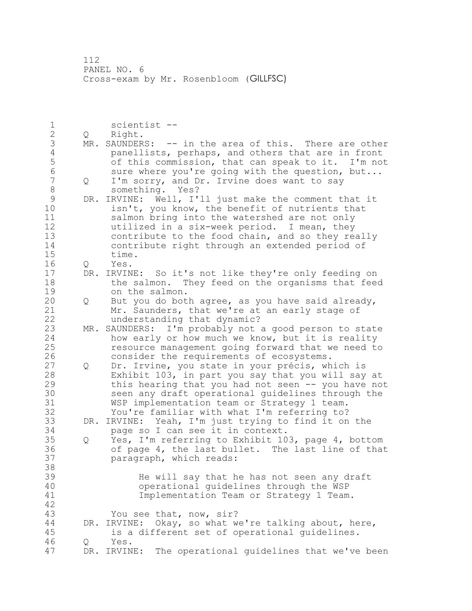1 scientist --<br>2 0 Right. Q Right. 3 MR. SAUNDERS: -- in the area of this. There are other<br>4 panellists, perhaps, and others that are in front 4 panellists, perhaps, and others that are in front<br>5 of this commission, that can speak to it. I'm not 5 5 of this commission, that can speak to it. I'm not<br>6 Sure where you're going with the question, but... 6 sure where you're going with the question, but...<br>7 0 I'm sorry, and Dr. Irvine does want to sav Q I'm sorry, and Dr. Irvine does want to say something. Yes? 9 DR. IRVINE: Well, I'll just make the comment that it<br>10 isn't, you know, the benefit of nutrients that isn't, you know, the benefit of nutrients that salmon bring into the watershed are not only utilized in a six-week period. I mean, they contribute to the food chain, and so they really contribute right through an extended period of time. Q Yes. DR. IRVINE: So it's not like they're only feeding on 18 the salmon. They feed on the organisms that feed 19 on the salmon.<br>20 0 But you do bot Q But you do both agree, as you have said already, Mr. Saunders, that we're at an early stage of understanding that dynamic? MR. SAUNDERS: I'm probably not a good person to state how early or how much we know, but it is reality resource management going forward that we need to 26 consider the requirements of ecosystems.<br>27 0 Dr. Irvine, you state in your précis, wh Q Dr. Irvine, you state in your précis, which is Exhibit 103, in part you say that you will say at this hearing that you had not seen -- you have not 30 seen any draft operational guidelines through the<br>31 WSP implementation team or Strategy 1 team. WSP implementation team or Strategy 1 team. You're familiar with what I'm referring to? DR. IRVINE: Yeah, I'm just trying to find it on the page so I can see it in context. Q Yes, I'm referring to Exhibit 103, page 4, bottom of page 4, the last bullet. The last line of that paragraph, which reads: He will say that he has not seen any draft operational guidelines through the WSP Implementation Team or Strategy 1 Team. You see that, now, sir? DR. IRVINE: Okay, so what we're talking about, here, is a different set of operational guidelines. Q Yes. DR. IRVINE: The operational guidelines that we've been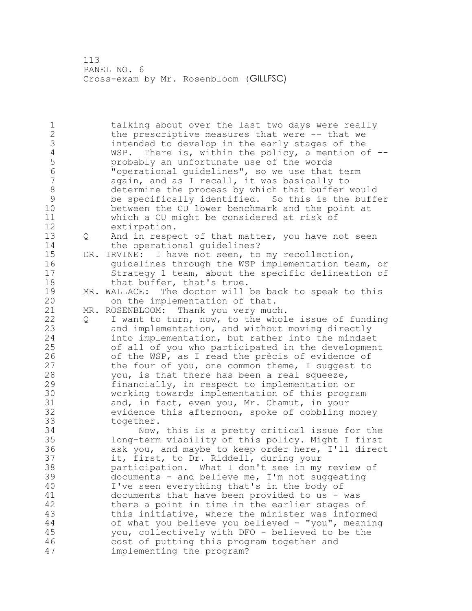1 talking about over the last two days were really 2 the prescriptive measures that were -- that we 3 intended to develop in the early stages of the<br>4 WSP. There is, within the policy, a mention o 4 WSP. There is, within the policy, a mention of --<br>5 brobably an unfortunate use of the words 5 b probably an unfortunate use of the words<br>6 completed into the model widelines", so we use that 6 "operational guidelines", so we use that term again, and as I recall, it was basically to 8 determine the process by which that buffer would<br>9 be specifically identified. So this is the buff 9 be specifically identified. So this is the buffer between the CU lower benchmark and the point at 11 which a CU might be considered at risk of 12 extirpation. 13 Q And in respect of that matter, you have not seen 14 the operational guidelines? 15 DR. IRVINE: I have not seen, to my recollection, 16 guidelines through the WSP implementation team, or 17 Strategy 1 team, about the specific delineation of 18 that buffer, that's true. 19 MR. WALLACE: The doctor will be back to speak to this<br>20 on the implementation of that. on the implementation of that. 21 MR. ROSENBLOOM: Thank you very much. 22 Q I want to turn, now, to the whole issue of funding 23 and implementation, and without moving directly 24 into implementation, but rather into the mindset 25 of all of you who participated in the development 26 of the WSP, as I read the précis of evidence of<br>27 the four of you, one common theme, I suggest to the four of you, one common theme, I suggest to 28 you, is that there has been a real squeeze, 29 financially, in respect to implementation or 30 working towards implementation of this program<br>31 and, in fact, even you, Mr. Chamut, in your 31 and, in fact, even you, Mr. Chamut, in your<br>32 evidence this afternoon, spoke of cobbling p evidence this afternoon, spoke of cobbling money 33 together. 34 Now, this is a pretty critical issue for the 35 long-term viability of this policy. Might I first 36 ask you, and maybe to keep order here, I'll direct 37 it, first, to Dr. Riddell, during your 38 participation. What I don't see in my review of 39 documents - and believe me, I'm not suggesting 40 I've seen everything that's in the body of 41 documents that have been provided to us - was<br>42 there a point in time in the earlier stages o there a point in time in the earlier stages of 43 this initiative, where the minister was informed 44 of what you believe you believed - "you", meaning 45 you, collectively with DFO - believed to be the 46 cost of putting this program together and 47 implementing the program?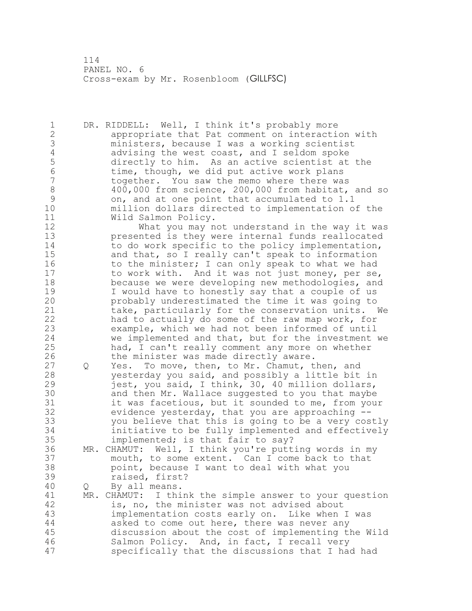1 DR. RIDDELL: Well, I think it's probably more 2 appropriate that Pat comment on interaction with 3 ministers, because I was a working scientist 4 advising the west coast, and I seldom spoke<br>5 directly to him. As an active scientist at 5 directly to him. As an active scientist at the<br>6 time, though, we did put active work plans 6 time, though, we did put active work plans<br>7 together. You saw the memo where there wa together. You saw the memo where there was 8 400,000 from science, 200,000 from habitat, and so<br>9 on, and at one point that accumulated to 1.1 9 on, and at one point that accumulated to 1.1<br>10 million dollars directed to implementation o million dollars directed to implementation of the 11 Wild Salmon Policy. 12 What you may not understand in the way it was<br>13 Depresented is they were internal funds reallocated presented is they were internal funds reallocated 14 to do work specific to the policy implementation, 15 and that, so I really can't speak to information 16 to the minister; I can only speak to what we had 17 to work with. And it was not just money, per se, 18 because we were developing new methodologies, and 19 I would have to honestly say that a couple of us<br>20 probably underestimated the time it was going to probably underestimated the time it was going to 21 take, particularly for the conservation units. We 22 had to actually do some of the raw map work, for 23 example, which we had not been informed of until 24 we implemented and that, but for the investment we 25 had, I can't really comment any more on whether 26 the minister was made directly aware.<br>27 Q Yes. To move, then, to Mr. Chamut, t Q Yes. To move, then, to Mr. Chamut, then, and 28 yesterday you said, and possibly a little bit in 29 jest, you said, I think, 30, 40 million dollars, 30 and then Mr. Wallace suggested to you that maybe<br>31 it was facetious, but it sounded to me, from you it was facetious, but it sounded to me, from your 32 evidence yesterday, that you are approaching -- 33 you believe that this is going to be a very costly 34 initiative to be fully implemented and effectively 35 implemented; is that fair to say? 36 MR. CHAMUT: Well, I think you're putting words in my 37 mouth, to some extent. Can I come back to that 38 point, because I want to deal with what you 39 raised, first? 40 Q By all means. 41 MR. CHAMUT: I think the simple answer to your question 42 is, no, the minister was not advised about 43 implementation costs early on. Like when I was 44 asked to come out here, there was never any 45 discussion about the cost of implementing the Wild 46 Salmon Policy. And, in fact, I recall very 47 specifically that the discussions that I had had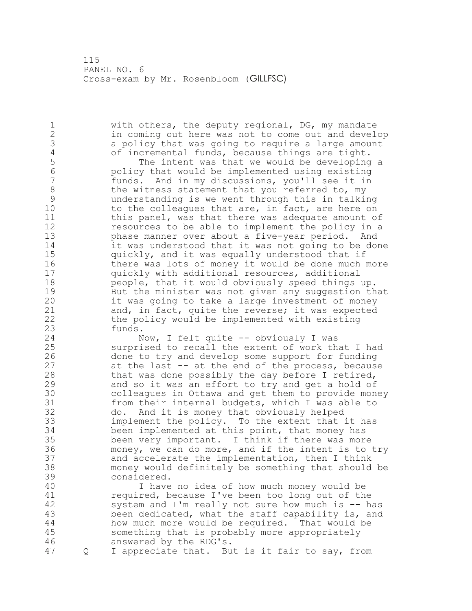with others, the deputy regional, DG, my mandate in coming out here was not to come out and develop 3 a policy that was going to require a large amount<br>4 of incremental funds, because things are tight. 4 of incremental funds, because things are tight.<br>5 The intent was that we would be developing 5 The intent was that we would be developing a<br>6 The intent would be implemented using existing policy that would be implemented using existing funds. And in my discussions, you'll see it in 8 the witness statement that you referred to, my<br>9 understanding is we went through this in talki 9 understanding is we went through this in talking<br>10 to the colleagues that are, in fact, are here on to the colleagues that are, in fact, are here on this panel, was that there was adequate amount of resources to be able to implement the policy in a phase manner over about a five-year period. And it was understood that it was not going to be done quickly, and it was equally understood that if

 there was lots of money it would be done much more quickly with additional resources, additional people, that it would obviously speed things up. 19 But the minister was not given any suggestion that<br>20 it was going to take a large investment of money it was going to take a large investment of money and, in fact, quite the reverse; it was expected the policy would be implemented with existing funds.

 Now, I felt quite -- obviously I was surprised to recall the extent of work that I had 26 done to try and develop some support for funding<br>27 at the last -- at the end of the process, because at the last  $-$  at the end of the process, because that was done possibly the day before I retired, and so it was an effort to try and get a hold of 30 colleagues in Ottawa and get them to provide money<br>31 from their internal budgets, which I was able to from their internal budgets, which I was able to do. And it is money that obviously helped implement the policy. To the extent that it has been implemented at this point, that money has been very important. I think if there was more money, we can do more, and if the intent is to try and accelerate the implementation, then I think money would definitely be something that should be considered.

 I have no idea of how much money would be 41 required, because I've been too long out of the<br>42 system and I'm really not sure how much is -- h system and I'm really not sure how much is  $-$  has been dedicated, what the staff capability is, and how much more would be required. That would be something that is probably more appropriately answered by the RDG's.

Q I appreciate that. But is it fair to say, from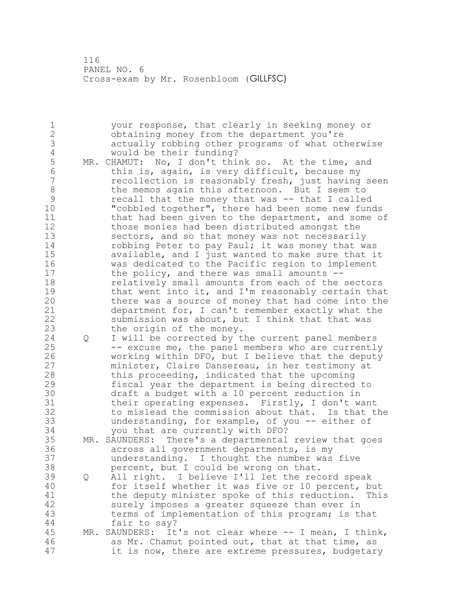your response, that clearly in seeking money or obtaining money from the department you're actually robbing other programs of what otherwise 4 would be their funding?<br>5 MR. CHAMUT: No, I don't thi MR. CHAMUT: No, I don't think so. At the time, and this is, again, is very difficult, because my recollection is reasonably fresh, just having seen 8 the memos again this afternoon. But I seem to<br>9 secall that the money that was -- that I called 9 recall that the money that was -- that I called<br>10 Tcobbled together", there had been some new fund "cobbled together", there had been some new funds 11 that had been given to the department, and some of those monies had been distributed amongst the sectors, and so that money was not necessarily 14 robbing Peter to pay Paul; it was money that was available, and I just wanted to make sure that it was dedicated to the Pacific region to implement the policy, and there was small amounts -- relatively small amounts from each of the sectors 19 that went into it, and I'm reasonably certain that<br>20 there was a source of money that had come into the there was a source of money that had come into the department for, I can't remember exactly what the submission was about, but I think that that was the origin of the money. Q I will be corrected by the current panel members -- excuse me, the panel members who are currently 26 working within DFO, but I believe that the deputy<br>27 minister, Claire Dansereau, in her testimony at minister, Claire Dansereau, in her testimony at this proceeding, indicated that the upcoming fiscal year the department is being directed to 30 draft a budget with a 10 percent reduction in<br>31 their operating expenses. Firstly, I don't wa their operating expenses. Firstly, I don't want to mislead the commission about that. Is that the understanding, for example, of you -- either of you that are currently with DFO? MR. SAUNDERS: There's a departmental review that goes across all government departments, is my understanding. I thought the number was five percent, but I could be wrong on that. Q All right. I believe I'll let the record speak for itself whether it was five or 10 percent, but 41 the deputy minister spoke of this reduction. This<br>42 surely imposes a greater squeeze than ever in surely imposes a greater squeeze than ever in terms of implementation of this program; is that fair to say? MR. SAUNDERS: It's not clear where -- I mean, I think, as Mr. Chamut pointed out, that at that time, as it is now, there are extreme pressures, budgetary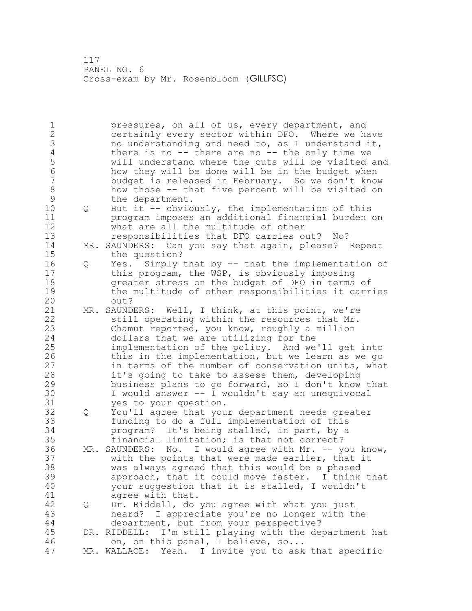| $\mathbf 1$      |     | pressures, on all of us, every department, and             |
|------------------|-----|------------------------------------------------------------|
| $\overline{2}$   |     | certainly every sector within DFO. Where we have           |
| 3                |     | no understanding and need to, as I understand it,          |
| $\sqrt{4}$       |     | there is no $--$ there are no $--$ the only time we        |
| 5                |     | will understand where the cuts will be visited and         |
| 6                |     | how they will be done will be in the budget when           |
| $\boldsymbol{7}$ |     | budget is released in February. So we don't know           |
| $\,8\,$          |     | how those -- that five percent will be visited on          |
| $\mathcal{G}$    |     | the department.                                            |
| 10               | Q   | But it -- obviously, the implementation of this            |
| 11               |     | program imposes an additional financial burden on          |
| 12               |     | what are all the multitude of other                        |
| 13               |     | responsibilities that DFO carries out? No?                 |
| 14               | MR. | SAUNDERS: Can you say that again, please? Repeat           |
| 15               |     | the question?                                              |
| 16               | Q   | Simply that by -- that the implementation of<br>Yes.       |
| 17               |     | this program, the WSP, is obviously imposing               |
| 18               |     | greater stress on the budget of DFO in terms of            |
| 19               |     | the multitude of other responsibilities it carries         |
| 20               |     | out?                                                       |
| 21               |     | MR. SAUNDERS: Well, I think, at this point, we're          |
| 22               |     | still operating within the resources that Mr.              |
| 23               |     | Chamut reported, you know, roughly a million               |
| 24               |     | dollars that we are utilizing for the                      |
| 25               |     | implementation of the policy. And we'll get into           |
| 26               |     | this in the implementation, but we learn as we go          |
| 27               |     | in terms of the number of conservation units, what         |
| 28               |     | it's going to take to assess them, developing              |
| 29               |     | business plans to go forward, so I don't know that         |
| 30               |     | I would answer -- I wouldn't say an unequivocal            |
| 31               |     | yes to your question.                                      |
| 32               | Q   | You'll agree that your department needs greater            |
| 33               |     | funding to do a full implementation of this                |
| 34               |     | program? It's being stalled, in part, by a                 |
| 35               |     | financial limitation; is that not correct?                 |
| 36               | MR. | SAUNDERS: No. I would agree with Mr. -- you know,          |
| 37               |     | with the points that were made earlier, that it            |
| 38               |     | was always agreed that this would be a phased              |
| 39               |     | approach, that it could move faster. I think that          |
| 40               |     | your suggestion that it is stalled, I wouldn't             |
| 41               |     |                                                            |
|                  |     | agree with that.                                           |
| 42               | Q   | Dr. Riddell, do you agree with what you just               |
| 43               |     | I appreciate you're no longer with the<br>heard?           |
| 44               |     | department, but from your perspective?                     |
| 45               |     | I'm still playing with the department hat<br>DR. RIDDELL:  |
| 46               |     | on, on this panel, I believe, so                           |
| 47               |     | I invite you to ask that specific<br>MR. WALLACE:<br>Yeah. |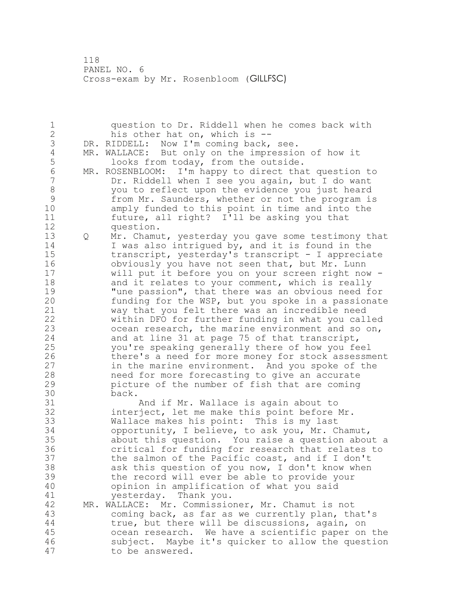question to Dr. Riddell when he comes back with his other hat on, which is -- 3 DR. RIDDELL: Now I'm coming back, see.<br>4 MR. WALLACE: But only on the impressio 4 MR. WALLACE: But only on the impression of how it<br>5 looks from today, from the outside. looks from today, from the outside. MR. ROSENBLOOM: I'm happy to direct that question to Dr. Riddell when I see you again, but I do want 8 you to reflect upon the evidence you just heard<br>9 from Mr. Saunders, whether or not the program is 9 from Mr. Saunders, whether or not the program is<br>10 amply funded to this point in time and into the amply funded to this point in time and into the future, all right? I'll be asking you that question. Q Mr. Chamut, yesterday you gave some testimony that 14 I was also intrigued by, and it is found in the transcript, yesterday's transcript - I appreciate obviously you have not seen that, but Mr. Lunn will put it before you on your screen right now - 18 and it relates to your comment, which is really 19 Tune passion", that there was an obvious need for<br>20 funding for the WSP, but you spoke in a passionate funding for the WSP, but you spoke in a passionate way that you felt there was an incredible need within DFO for further funding in what you called ocean research, the marine environment and so on, and at line 31 at page 75 of that transcript, you're speaking generally there of how you feel 26 there's a need for more money for stock assessment<br>27 in the marine environment. And you spoke of the in the marine environment. And you spoke of the need for more forecasting to give an accurate picture of the number of fish that are coming back. And if Mr. Wallace is again about to interject, let me make this point before Mr. Wallace makes his point: This is my last opportunity, I believe, to ask you, Mr. Chamut, about this question. You raise a question about a critical for funding for research that relates to the salmon of the Pacific coast, and if I don't ask this question of you now, I don't know when the record will ever be able to provide your opinion in amplification of what you said 41 yesterday. Thank you.<br>42 MR. WALLACE: Mr. Commissio MR. WALLACE: Mr. Commissioner, Mr. Chamut is not coming back, as far as we currently plan, that's true, but there will be discussions, again, on ocean research. We have a scientific paper on the subject. Maybe it's quicker to allow the question to be answered.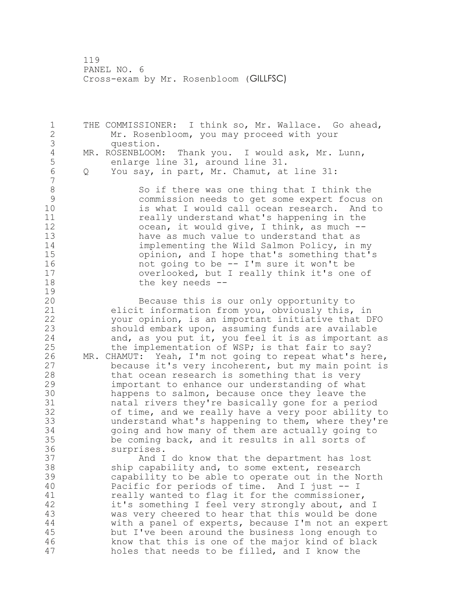1 THE COMMISSIONER: I think so, Mr. Wallace. Go ahead, 2 Mr. Rosenbloom, you may proceed with your 3 question. 4 MR. ROSENBLOOM: Thank you. I would ask, Mr. Lunn,<br>5 enlarge line 31, around line 31. 5 enlarge line 31, around line 31.<br>6 0 You sav, in part, Mr. Chamut, at 6 Q You say, in part, Mr. Chamut, at line 31: 7 8 So if there was one thing that I think the<br>9 Sommission needs to get some expert focus 9 commission needs to get some expert focus on<br>10 is what I would call ocean research. And to is what I would call ocean research. And to 11 **11** really understand what's happening in the 12 ocean, it would give, I think, as much --<br>13 have as much value to understand that as have as much value to understand that as 14 implementing the Wild Salmon Policy, in my<br>15 opinion, and I hope that's something that's 15 opinion, and I hope that's something that's<br>16 occupation of the same it won't be not going to be  $-$  I'm sure it won't be 17 overlooked, but I really think it's one of 18 the key needs -- $\frac{19}{20}$ Because this is our only opportunity to 21 elicit information from you, obviously this, in 22 your opinion, is an important initiative that DFO 23 should embark upon, assuming funds are available 24 and, as you put it, you feel it is as important as 25 the implementation of WSP; is that fair to say? 26 MR. CHAMUT: Yeah, I'm not going to repeat what's here,<br>27 because it's very incoherent, but my main point is because it's very incoherent, but my main point is 28 that ocean research is something that is very 29 important to enhance our understanding of what 30 happens to salmon, because once they leave the<br>31 hatal rivers they're basically gone for a perinatal rivers they're basically gone for a period 32 of time, and we really have a very poor ability to 33 understand what's happening to them, where they're 34 going and how many of them are actually going to 35 be coming back, and it results in all sorts of 36 surprises. 37 And I do know that the department has lost 38 ship capability and, to some extent, research 39 capability to be able to operate out in the North 40 Pacific for periods of time. And I just -- I 41 really wanted to flag it for the commissioner,<br>42 it's something I feel very strongly about, and it's something I feel very strongly about, and I 43 was very cheered to hear that this would be done 44 with a panel of experts, because I'm not an expert 45 but I've been around the business long enough to 46 know that this is one of the major kind of black 47 holes that needs to be filled, and I know the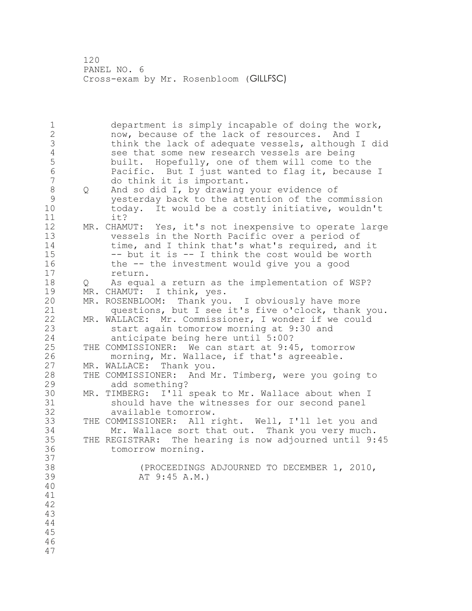department is simply incapable of doing the work, now, because of the lack of resources. And I think the lack of adequate vessels, although I did 4 see that some new research vessels are being<br>5 built. Hopefully, one of them will come to 5 built. Hopefully, one of them will come to the<br>6 Pacific. But I just wanted to flag it, because Pacific. But I just wanted to flag it, because I do think it is important. 8 Q And so did I, by drawing your evidence of<br>9 September of the attention of the co yesterday back to the attention of the commission today. It would be a costly initiative, wouldn't it? MR. CHAMUT: Yes, it's not inexpensive to operate large vessels in the North Pacific over a period of 14 time, and I think that's what's required, and it -- but it is -- I think the cost would be worth the -- the investment would give you a good 17 return. Q As equal a return as the implementation of WSP? 19 MR. CHAMUT: I think, yes.<br>20 MR. ROSENBLOOM: Thank you MR. ROSENBLOOM: Thank you. I obviously have more questions, but I see it's five o'clock, thank you. MR. WALLACE: Mr. Commissioner, I wonder if we could start again tomorrow morning at 9:30 and anticipate being here until 5:00? THE COMMISSIONER: We can start at 9:45, tomorrow 26 morning, Mr. Wallace, if that's agreeable.<br>27 MR. WALLACE: Thank you. MR. WALLACE: Thank you.<br>THE COMMISSIONER: And M THE COMMISSIONER: And Mr. Timberg, were you going to add something? MR. TIMBERG: I'll speak to Mr. Wallace about when I 31 should have the witnesses for our second panel<br>32 available tomorrow. available tomorrow. THE COMMISSIONER: All right. Well, I'll let you and Mr. Wallace sort that out. Thank you very much. THE REGISTRAR: The hearing is now adjourned until 9:45 tomorrow morning. 37<br>38 (PROCEEDINGS ADJOURNED TO DECEMBER 1, 2010, AT 9:45 A.M.)